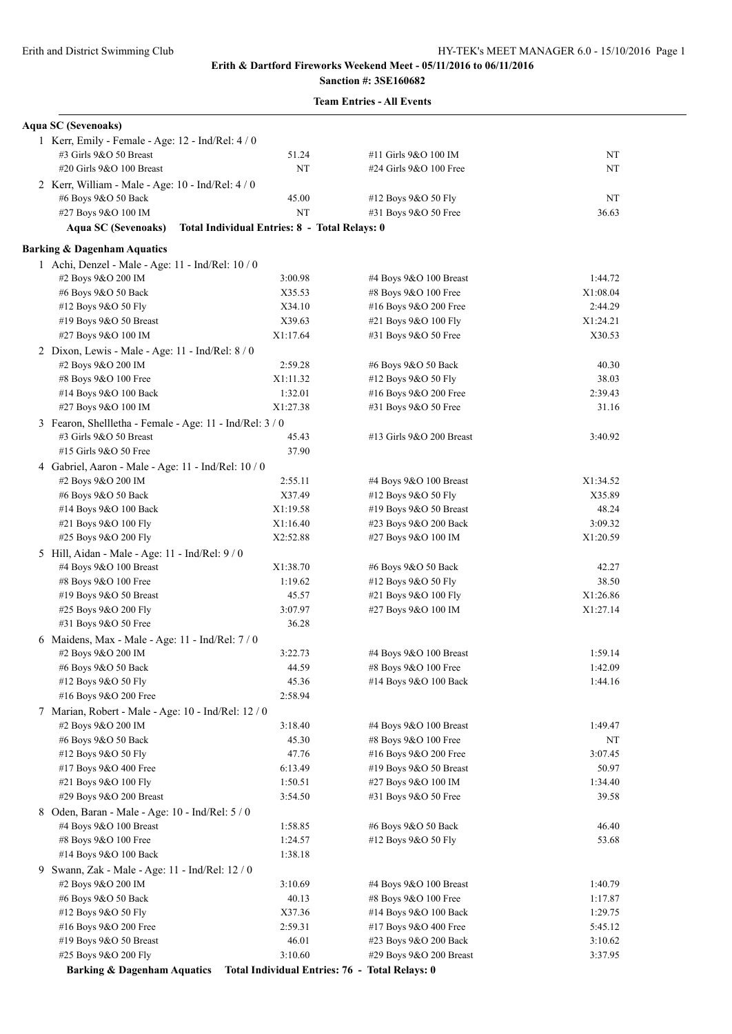# **Sanction #: 3SE160682**

|  | <b>Team Entries - All Events</b> |  |  |
|--|----------------------------------|--|--|
|--|----------------------------------|--|--|

| <b>Aqua SC (Sevenoaks)</b>                               |                                               |                                                |          |
|----------------------------------------------------------|-----------------------------------------------|------------------------------------------------|----------|
| 1 Kerr, Emily - Female - Age: 12 - Ind/Rel: 4 / 0        |                                               |                                                |          |
| #3 Girls 9&O 50 Breast                                   | 51.24                                         | #11 Girls 9&O 100 IM                           | NT       |
| #20 Girls 9&O 100 Breast                                 | NT                                            | #24 Girls 9&O 100 Free                         | NT       |
| 2 Kerr, William - Male - Age: 10 - Ind/Rel: 4 / 0        |                                               |                                                |          |
| #6 Boys 9&O 50 Back                                      | 45.00                                         | #12 Boys 9&O 50 Fly                            | NT       |
| #27 Boys 9&O 100 IM                                      | NT                                            | #31 Boys 9&O 50 Free                           | 36.63    |
| <b>Aqua SC (Sevenoaks)</b>                               | Total Individual Entries: 8 - Total Relays: 0 |                                                |          |
| <b>Barking &amp; Dagenham Aquatics</b>                   |                                               |                                                |          |
| 1 Achi, Denzel - Male - Age: 11 - Ind/Rel: 10 / 0        |                                               |                                                |          |
| #2 Boys 9&O 200 IM                                       | 3:00.98                                       | #4 Boys $9&O$ 100 Breast                       | 1:44.72  |
| #6 Boys 9&O 50 Back                                      | X35.53                                        | #8 Boys 9&O 100 Free                           | X1:08.04 |
| #12 Boys 9&O 50 Fly                                      | X34.10                                        | #16 Boys 9&O 200 Free                          | 2:44.29  |
| #19 Boys 9&O 50 Breast                                   | X39.63                                        | #21 Boys 9&O 100 Fly                           | X1:24.21 |
| #27 Boys 9&O 100 IM                                      | X1:17.64                                      | #31 Boys 9&O 50 Free                           | X30.53   |
| 2 Dixon, Lewis - Male - Age: 11 - Ind/Rel: 8 / 0         |                                               |                                                |          |
| #2 Boys 9&O 200 IM                                       | 2:59.28                                       | #6 Boys 9&O 50 Back                            | 40.30    |
| #8 Boys 9&O 100 Free                                     | X1:11.32                                      | #12 Boys 9&O 50 Fly                            | 38.03    |
| #14 Boys 9&O 100 Back                                    | 1:32.01                                       | #16 Boys 9&O 200 Free                          | 2:39.43  |
| #27 Boys 9&O 100 IM                                      | X1:27.38                                      | #31 Boys 9&O 50 Free                           | 31.16    |
| 3 Fearon, Shellletha - Female - Age: 11 - Ind/Rel: 3 / 0 |                                               |                                                |          |
| #3 Girls 9&O 50 Breast                                   | 45.43                                         | #13 Girls 9&O 200 Breast                       | 3:40.92  |
| #15 Girls 9&O 50 Free                                    | 37.90                                         |                                                |          |
| 4 Gabriel, Aaron - Male - Age: 11 - Ind/Rel: $10/0$      |                                               |                                                |          |
| #2 Boys 9&O 200 IM                                       | 2:55.11                                       | #4 Boys 9&O 100 Breast                         | X1:34.52 |
| #6 Boys 9&O 50 Back                                      | X37.49                                        | #12 Boys 9&O 50 Fly                            | X35.89   |
| #14 Boys 9&O 100 Back                                    | X1:19.58                                      | #19 Boys $9&O 50$ Breast                       | 48.24    |
| #21 Boys 9&O 100 Fly                                     | X1:16.40                                      | #23 Boys 9&O 200 Back                          | 3:09.32  |
| #25 Boys 9&O 200 Fly                                     | X2:52.88                                      | #27 Boys 9&O 100 IM                            | X1:20.59 |
| 5 Hill, Aidan - Male - Age: 11 - Ind/Rel: 9 / 0          |                                               |                                                |          |
| #4 Boys 9&O 100 Breast                                   | X1:38.70                                      | #6 Boys 9&O 50 Back                            | 42.27    |
| #8 Boys 9&O 100 Free                                     | 1:19.62                                       | #12 Boys 9&O 50 Fly                            | 38.50    |
| #19 Boys 9&O 50 Breast                                   | 45.57                                         | #21 Boys 9&O 100 Fly                           | X1:26.86 |
| #25 Boys 9&O 200 Fly                                     | 3:07.97                                       | #27 Boys 9&O 100 IM                            | X1:27.14 |
| #31 Boys 9&O 50 Free                                     | 36.28                                         |                                                |          |
| 6 Maidens, Max - Male - Age: 11 - Ind/Rel: 7 / 0         |                                               |                                                |          |
| #2 Boys 9&O 200 IM                                       | 3:22.73                                       | #4 Boys 9&O 100 Breast                         | 1:59.14  |
| #6 Boys 9&O 50 Back                                      | 44.59                                         | #8 Boys 9&O 100 Free                           | 1:42.09  |
| #12 Boys 9&O 50 Fly                                      | 45.36                                         | #14 Boys 9&O 100 Back                          | 1:44.16  |
| #16 Boys 9&O 200 Free                                    | 2:58.94                                       |                                                |          |
| 7 Marian, Robert - Male - Age: 10 - Ind/Rel: 12 / 0      |                                               |                                                |          |
| #2 Boys 9&O 200 IM                                       | 3:18.40                                       | #4 Boys 9&O 100 Breast                         | 1:49.47  |
| #6 Boys 9&O 50 Back                                      | 45.30                                         | #8 Boys 9&O 100 Free                           | NT       |
| #12 Boys 9&O 50 Fly                                      | 47.76                                         | #16 Boys 9&O 200 Free                          | 3:07.45  |
| #17 Boys 9&O 400 Free                                    | 6:13.49                                       | #19 Boys 9&O 50 Breast                         | 50.97    |
| #21 Boys 9&O 100 Fly                                     | 1:50.51                                       | #27 Boys 9&O 100 IM                            | 1:34.40  |
| #29 Boys 9&O 200 Breast                                  | 3:54.50                                       | #31 Boys 9&O 50 Free                           | 39.58    |
| 8 Oden, Baran - Male - Age: 10 - Ind/Rel: 5 / 0          |                                               |                                                |          |
| #4 Boys 9&O 100 Breast                                   | 1:58.85                                       | #6 Boys 9&O 50 Back                            | 46.40    |
| #8 Boys 9&O 100 Free                                     | 1:24.57                                       | #12 Boys 9&O 50 Fly                            | 53.68    |
| #14 Boys 9&O 100 Back                                    | 1:38.18                                       |                                                |          |
| 9 Swann, Zak - Male - Age: 11 - Ind/Rel: 12 / 0          |                                               |                                                |          |
| #2 Boys 9&O 200 IM                                       | 3:10.69                                       | #4 Boys 9&O 100 Breast                         | 1:40.79  |
| #6 Boys 9&O 50 Back                                      | 40.13                                         | #8 Boys 9&O 100 Free                           | 1:17.87  |
| #12 Boys 9&O 50 Fly                                      | X37.36                                        | #14 Boys 9&O 100 Back                          | 1:29.75  |
| #16 Boys 9&O 200 Free                                    | 2:59.31                                       | #17 Boys 9&O 400 Free                          | 5:45.12  |
| #19 Boys 9&O 50 Breast                                   | 46.01                                         | #23 Boys 9&O 200 Back                          | 3:10.62  |
| #25 Boys 9&O 200 Fly                                     | 3:10.60                                       | #29 Boys 9&O 200 Breast                        | 3:37.95  |
| <b>Barking &amp; Dagenham Aquatics</b>                   |                                               | Total Individual Entries: 76 - Total Relays: 0 |          |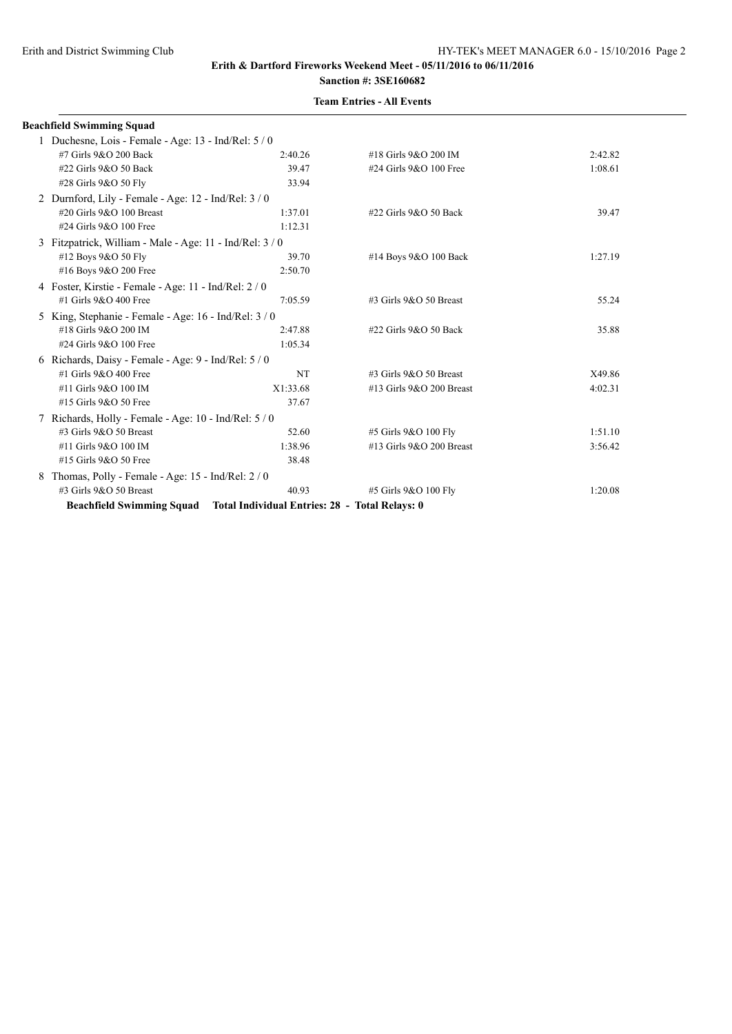|   | <b>Beachfield Swimming Squad</b>                                         |           |                           |         |
|---|--------------------------------------------------------------------------|-----------|---------------------------|---------|
|   | 1 Duchesne, Lois - Female - Age: 13 - Ind/Rel: 5 / 0                     |           |                           |         |
|   | #7 Girls 9&O 200 Back                                                    | 2:40.26   | #18 Girls 9&O 200 IM      | 2:42.82 |
|   | #22 Girls 9&O 50 Back                                                    | 39.47     | #24 Girls 9&O 100 Free    | 1:08.61 |
|   | #28 Girls 9&O 50 Fly                                                     | 33.94     |                           |         |
|   | 2 Durnford, Lily - Female - Age: $12$ - Ind/Rel: $3/0$                   |           |                           |         |
|   | #20 Girls 9&O 100 Breast                                                 | 1:37.01   | #22 Girls 9&O 50 Back     | 39.47   |
|   | #24 Girls 9&O 100 Free                                                   | 1:12.31   |                           |         |
|   | 3 Fitzpatrick, William - Male - Age: 11 - Ind/Rel: 3 / 0                 |           |                           |         |
|   | #12 Boys 9&O 50 Fly                                                      | 39.70     | #14 Boys 9&O 100 Back     | 1:27.19 |
|   | #16 Boys 9&O 200 Free                                                    | 2:50.70   |                           |         |
|   | 4 Foster, Kirstie - Female - Age: 11 - Ind/Rel: 2 / 0                    |           |                           |         |
|   | #1 Girls 9&O 400 Free                                                    | 7:05.59   | #3 Girls 9&O 50 Breast    | 55.24   |
|   | 5 King, Stephanie - Female - Age: 16 - Ind/Rel: 3 / 0                    |           |                           |         |
|   | #18 Girls 9&O 200 IM                                                     | 2:47.88   | #22 Girls 9&O 50 Back     | 35.88   |
|   | #24 Girls 9&O 100 Free                                                   | 1:05.34   |                           |         |
|   | 6 Richards, Daisy - Female - Age: 9 - Ind/Rel: 5 / 0                     |           |                           |         |
|   | #1 Girls 9&O 400 Free                                                    | <b>NT</b> | $\#3$ Girls 9&O 50 Breast | X49.86  |
|   | #11 Girls 9&O 100 IM                                                     | X1:33.68  | #13 Girls 9&O 200 Breast  | 4:02.31 |
|   | #15 Girls 9&O 50 Free                                                    | 37.67     |                           |         |
|   | 7 Richards, Holly - Female - Age: 10 - Ind/Rel: 5/0                      |           |                           |         |
|   | #3 Girls 9&O 50 Breast                                                   | 52.60     | #5 Girls 9&O 100 Fly      | 1:51.10 |
|   | #11 Girls 9&O 100 IM                                                     | 1:38.96   | #13 Girls 9&O 200 Breast  | 3:56.42 |
|   | #15 Girls 9&O 50 Free                                                    | 38.48     |                           |         |
| 8 | Thomas, Polly - Female - Age: 15 - Ind/Rel: 2 / 0                        |           |                           |         |
|   | #3 Girls 9&O 50 Breast                                                   | 40.93     | #5 Girls 9&O 100 Fly      | 1:20.08 |
|   | Beachfield Swimming Squad Total Individual Entries: 28 - Total Relays: 0 |           |                           |         |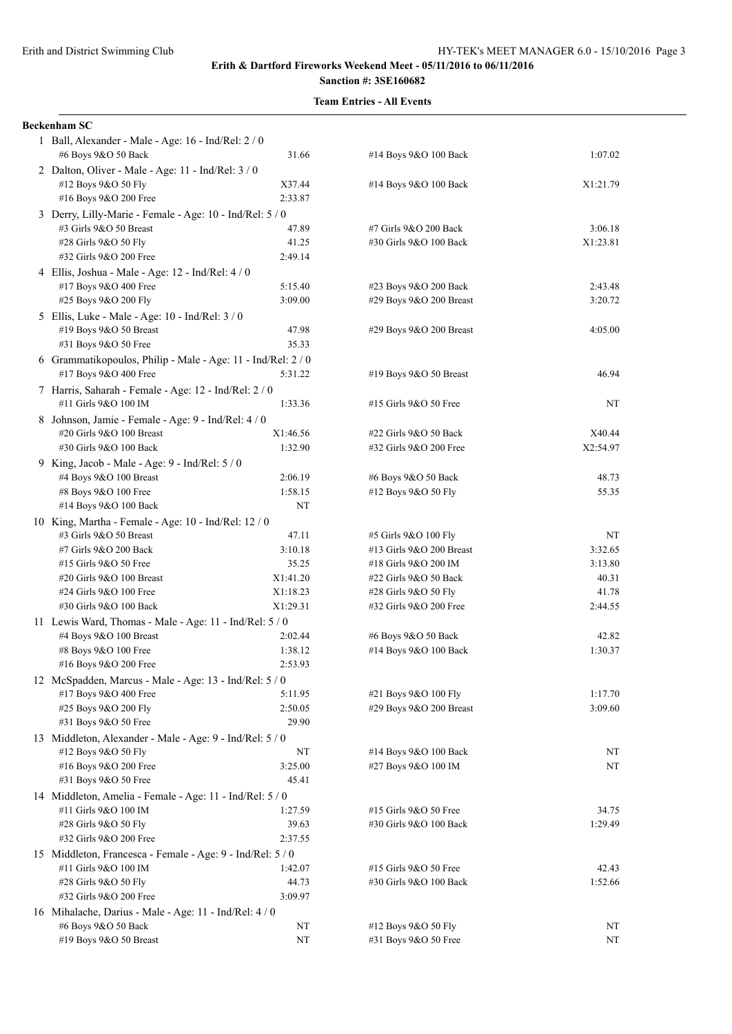| <b>Beckenham SC</b>                                                        |                |                                                  |          |
|----------------------------------------------------------------------------|----------------|--------------------------------------------------|----------|
| 1 Ball, Alexander - Male - Age: 16 - Ind/Rel: 2 / 0                        |                |                                                  |          |
| #6 Boys 9&O 50 Back                                                        | 31.66          | #14 Boys 9&O 100 Back                            | 1:07.02  |
| 2 Dalton, Oliver - Male - Age: 11 - Ind/Rel: 3 / 0                         |                |                                                  |          |
| #12 Boys 9&O 50 Fly                                                        | X37.44         | #14 Boys 9&O 100 Back                            | X1:21.79 |
| #16 Boys 9&O 200 Free                                                      | 2:33.87        |                                                  |          |
| 3 Derry, Lilly-Marie - Female - Age: 10 - Ind/Rel: 5 / 0                   |                |                                                  |          |
| #3 Girls 9&O 50 Breast                                                     | 47.89          | #7 Girls 9&O 200 Back                            | 3:06.18  |
| #28 Girls 9&O 50 Fly<br>#32 Girls 9&O 200 Free                             | 41.25          | #30 Girls 9&O 100 Back                           | X1:23.81 |
|                                                                            | 2:49.14        |                                                  |          |
| 4 Ellis, Joshua - Male - Age: 12 - Ind/Rel: 4 / 0<br>#17 Boys 9&O 400 Free | 5:15.40        |                                                  | 2:43.48  |
| #25 Boys 9&O 200 Fly                                                       | 3:09.00        | #23 Boys 9&O 200 Back<br>#29 Boys 9&O 200 Breast | 3:20.72  |
|                                                                            |                |                                                  |          |
| 5 Ellis, Luke - Male - Age: 10 - Ind/Rel: 3 / 0                            |                |                                                  |          |
| #19 Boys 9&O 50 Breast<br>#31 Boys 9&O 50 Free                             | 47.98<br>35.33 | #29 Boys 9&O 200 Breast                          | 4:05.00  |
|                                                                            |                |                                                  |          |
| 6 Grammatikopoulos, Philip - Male - Age: 11 - Ind/Rel: 2 / 0               |                |                                                  |          |
| #17 Boys 9&O 400 Free                                                      | 5:31.22        | #19 Boys 9&O 50 Breast                           | 46.94    |
| 7 Harris, Saharah - Female - Age: 12 - Ind/Rel: 2 / 0                      |                |                                                  |          |
| #11 Girls 9&O 100 IM                                                       | 1:33.36        | #15 Girls 9&O 50 Free                            | NT       |
| 8 Johnson, Jamie - Female - Age: 9 - Ind/Rel: 4 / 0                        |                |                                                  |          |
| #20 Girls 9&O 100 Breast                                                   | X1:46.56       | #22 Girls 9&O 50 Back                            | X40.44   |
| #30 Girls 9&O 100 Back                                                     | 1:32.90        | #32 Girls 9&O 200 Free                           | X2:54.97 |
| 9 King, Jacob - Male - Age: 9 - Ind/Rel: 5 / 0                             |                |                                                  |          |
| #4 Boys 9&O 100 Breast                                                     | 2:06.19        | #6 Boys 9&O 50 Back                              | 48.73    |
| #8 Boys 9&O 100 Free                                                       | 1:58.15        | #12 Boys 9&O 50 Fly                              | 55.35    |
| #14 Boys 9&O 100 Back                                                      | NT             |                                                  |          |
| 10 King, Martha - Female - Age: 10 - Ind/Rel: 12 / 0                       |                |                                                  |          |
| #3 Girls 9&O 50 Breast                                                     | 47.11          | #5 Girls 9&O 100 Fly                             | NT       |
| #7 Girls 9&O 200 Back                                                      | 3:10.18        | #13 Girls 9&O 200 Breast                         | 3:32.65  |
| #15 Girls 9&O 50 Free                                                      | 35.25          | #18 Girls 9&O 200 IM                             | 3:13.80  |
| #20 Girls 9&O 100 Breast                                                   | X1:41.20       | #22 Girls 9&O 50 Back                            | 40.31    |
| #24 Girls 9&O 100 Free                                                     | X1:18.23       | #28 Girls 9&O 50 Fly                             | 41.78    |
| #30 Girls 9&O 100 Back                                                     | X1:29.31       | #32 Girls 9&O 200 Free                           | 2:44.55  |
| 11 Lewis Ward, Thomas - Male - Age: 11 - Ind/Rel: 5 / 0                    |                |                                                  |          |
| #4 Boys 9&O 100 Breast                                                     | 2:02.44        | #6 Boys 9&O 50 Back                              | 42.82    |
| #8 Boys 9&O 100 Free                                                       | 1:38.12        | #14 Boys 9&O 100 Back                            | 1:30.37  |
| #16 Boys 9&O 200 Free                                                      | 2:53.93        |                                                  |          |
| 12 McSpadden, Marcus - Male - Age: 13 - Ind/Rel: 5 / 0                     |                |                                                  |          |
| #17 Boys 9&O 400 Free                                                      | 5:11.95        | #21 Boys 9&O 100 Fly                             | 1:17.70  |
| #25 Boys 9&O 200 Fly                                                       | 2:50.05        | #29 Boys 9&O 200 Breast                          | 3:09.60  |
| #31 Boys 9&O 50 Free                                                       | 29.90          |                                                  |          |
| 13 Middleton, Alexander - Male - Age: 9 - Ind/Rel: 5 / 0                   |                |                                                  |          |
| #12 Boys 9&O 50 Fly                                                        | NT             | #14 Boys 9&O 100 Back                            | NT       |
| #16 Boys 9&O 200 Free                                                      | 3:25.00        | #27 Boys 9&O 100 IM                              | NT       |
| #31 Boys 9&O 50 Free                                                       | 45.41          |                                                  |          |
| 14 Middleton, Amelia - Female - Age: 11 - Ind/Rel: 5 / 0                   |                |                                                  |          |
| #11 Girls 9&O 100 IM                                                       | 1:27.59        | #15 Girls 9&O 50 Free                            | 34.75    |
| #28 Girls 9&O 50 Fly                                                       | 39.63          | #30 Girls 9&O 100 Back                           | 1:29.49  |
| #32 Girls 9&O 200 Free                                                     | 2:37.55        |                                                  |          |
| 15 Middleton, Francesca - Female - Age: 9 - Ind/Rel: 5 / 0                 |                |                                                  |          |
| #11 Girls 9&O 100 IM                                                       | 1:42.07        | #15 Girls 9&O 50 Free                            | 42.43    |
| #28 Girls 9&O 50 Fly                                                       | 44.73          | #30 Girls 9&O 100 Back                           | 1:52.66  |
| #32 Girls 9&O 200 Free                                                     | 3:09.97        |                                                  |          |
| 16 Mihalache, Darius - Male - Age: 11 - Ind/Rel: 4 / 0                     |                |                                                  |          |
| #6 Boys 9&O 50 Back                                                        | NT             | #12 Boys 9&O 50 Fly                              | NT       |
| #19 Boys 9&O 50 Breast                                                     | NT             | #31 Boys 9&O 50 Free                             | NT       |

| #14 Boys 9&O 100 Back    | X1:21.79 |
|--------------------------|----------|
|                          |          |
| #7 Girls 9&O 200 Back    | 3:06.18  |
| #30 Girls 9&O 100 Back   | X1:23.81 |
|                          |          |
|                          |          |
| #23 Boys 9&O 200 Back    | 2:43.48  |
| #29 Boys 9&O 200 Breast  | 3:20.72  |
| #29 Boys 9&O 200 Breast  | 4:05.00  |
|                          |          |
|                          | 46.94    |
| #19 Boys $9&O 50$ Breast |          |
| #15 Girls 9&O 50 Free    | NT       |
|                          |          |
| #22 Girls 9&O 50 Back    | X40.44   |
| #32 Girls 9&O 200 Free   | X2:54.97 |
| #6 Boys 9&O 50 Back      | 48.73    |
| #12 Boys 9&O 50 Fly      | 55.35    |
|                          |          |
| #5 Girls 9&O 100 Fly     | NT       |
| #13 Girls 9&O 200 Breast | 3:32.65  |
| #18 Girls 9&O 200 IM     | 3:13.80  |
| #22 Girls 9&O 50 Back    | 40.31    |
| #28 Girls 9&O 50 Fly     | 41.78    |
| #32 Girls 9&O 200 Free   | 2:44.55  |
|                          |          |
| #6 Boys 9&O 50 Back      | 42.82    |
| #14 Boys 9&O 100 Back    | 1:30.37  |
|                          |          |
| #21 Boys 9&O 100 Fly     | 1:17.70  |
| #29 Boys 9&O 200 Breast  | 3:09.60  |
|                          |          |
| #14 Boys 9&O 100 Back    | NT       |
| #27 Boys 9&O 100 IM      | NT       |
|                          |          |
|                          |          |
| #15 Girls 9&O 50 Free    | 34.75    |
| #30 Girls 9&O 100 Back   | 1:29.49  |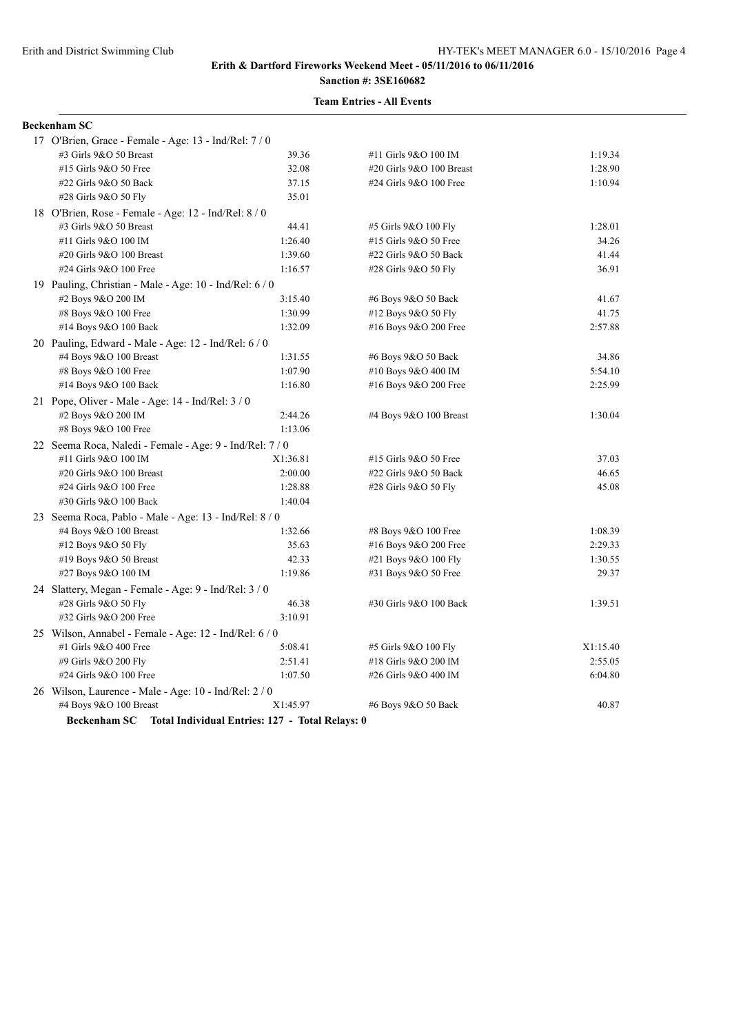# **Sanction #: 3SE160682**

#### **Team Entries - All Events**

# **Beckenham SC**

| 17 O'Brien, Grace - Female - Age: 13 - Ind/Rel: 7 / 0        |          |                          |          |
|--------------------------------------------------------------|----------|--------------------------|----------|
| #3 Girls 9&O 50 Breast                                       | 39.36    | #11 Girls 9&O 100 IM     | 1:19.34  |
| #15 Girls 9&O 50 Free                                        | 32.08    | #20 Girls 9&O 100 Breast | 1:28.90  |
| #22 Girls 9&O 50 Back                                        | 37.15    | #24 Girls 9&O 100 Free   | 1:10.94  |
| #28 Girls 9&O 50 Fly                                         | 35.01    |                          |          |
| 18 O'Brien, Rose - Female - Age: 12 - Ind/Rel: 8 / 0         |          |                          |          |
| #3 Girls 9&O 50 Breast                                       | 44.41    | #5 Girls 9&O 100 Fly     | 1:28.01  |
| #11 Girls 9&O 100 IM                                         | 1:26.40  | #15 Girls 9&O 50 Free    | 34.26    |
| #20 Girls 9&O 100 Breast                                     | 1:39.60  | #22 Girls 9&O 50 Back    | 41.44    |
| #24 Girls 9&O 100 Free                                       | 1:16.57  | #28 Girls 9&O 50 Fly     | 36.91    |
| 19 Pauling, Christian - Male - Age: 10 - Ind/Rel: 6 / 0      |          |                          |          |
| #2 Boys 9&O 200 IM                                           | 3:15.40  | #6 Boys 9&O 50 Back      | 41.67    |
| #8 Boys 9&O 100 Free                                         | 1:30.99  | #12 Boys 9&O 50 Fly      | 41.75    |
| #14 Boys 9&O 100 Back                                        | 1:32.09  | #16 Boys 9&O 200 Free    | 2:57.88  |
| 20 Pauling, Edward - Male - Age: $12$ - Ind/Rel: $6/0$       |          |                          |          |
| #4 Boys 9&O 100 Breast                                       | 1:31.55  | #6 Boys 9&O 50 Back      | 34.86    |
| #8 Boys 9&O 100 Free                                         | 1:07.90  | #10 Boys 9&O 400 IM      | 5:54.10  |
| #14 Boys 9&O 100 Back                                        | 1:16.80  | #16 Boys 9&O 200 Free    | 2:25.99  |
| 21 Pope, Oliver - Male - Age: $14$ - Ind/Rel: $3/0$          |          |                          |          |
| #2 Boys 9&O 200 IM                                           | 2:44.26  | #4 Boys 9&O 100 Breast   | 1:30.04  |
| #8 Boys 9&O 100 Free                                         | 1:13.06  |                          |          |
| 22 Seema Roca, Naledi - Female - Age: 9 - Ind/Rel: 7 / 0     |          |                          |          |
| #11 Girls 9&O 100 IM                                         | X1:36.81 | #15 Girls 9&O 50 Free    | 37.03    |
| #20 Girls 9&O 100 Breast                                     | 2:00.00  | #22 Girls 9&O 50 Back    | 46.65    |
| #24 Girls 9&O 100 Free                                       | 1:28.88  | #28 Girls 9&O 50 Fly     | 45.08    |
| #30 Girls 9&O 100 Back                                       | 1:40.04  |                          |          |
| 23 Seema Roca, Pablo - Male - Age: 13 - Ind/Rel: 8 / 0       |          |                          |          |
| #4 Boys 9&O 100 Breast                                       | 1:32.66  | #8 Boys 9&O 100 Free     | 1:08.39  |
| #12 Boys 9&O 50 Fly                                          | 35.63    | #16 Boys 9&O 200 Free    | 2:29.33  |
| #19 Boys $9&O 50$ Breast                                     | 42.33    | #21 Boys 9&O 100 Fly     | 1:30.55  |
| #27 Boys 9&O 100 IM                                          | 1:19.86  | #31 Boys 9&O 50 Free     | 29.37    |
| 24 Slattery, Megan - Female - Age: 9 - Ind/Rel: 3 / 0        |          |                          |          |
| #28 Girls 9&O 50 Fly                                         | 46.38    | #30 Girls 9&O 100 Back   | 1:39.51  |
| #32 Girls 9&O 200 Free                                       | 3:10.91  |                          |          |
| 25 Wilson, Annabel - Female - Age: 12 - Ind/Rel: 6 / 0       |          |                          |          |
| #1 Girls 9&O 400 Free                                        | 5:08.41  | #5 Girls 9&O 100 Fly     | X1:15.40 |
| #9 Girls 9&O 200 Fly                                         | 2:51.41  | #18 Girls 9&O 200 IM     | 2:55.05  |
| #24 Girls 9&O 100 Free                                       | 1:07.50  | #26 Girls 9&O 400 IM     | 6:04.80  |
| 26 Wilson, Laurence - Male - Age: 10 - Ind/Rel: 2 / 0        |          |                          |          |
| #4 Boys 9&O 100 Breast                                       | X1:45.97 | #6 Boys 9&O 50 Back      | 40.87    |
| Beckenham SC Total Individual Entries: 127 - Total Relays: 0 |          |                          |          |
|                                                              |          |                          |          |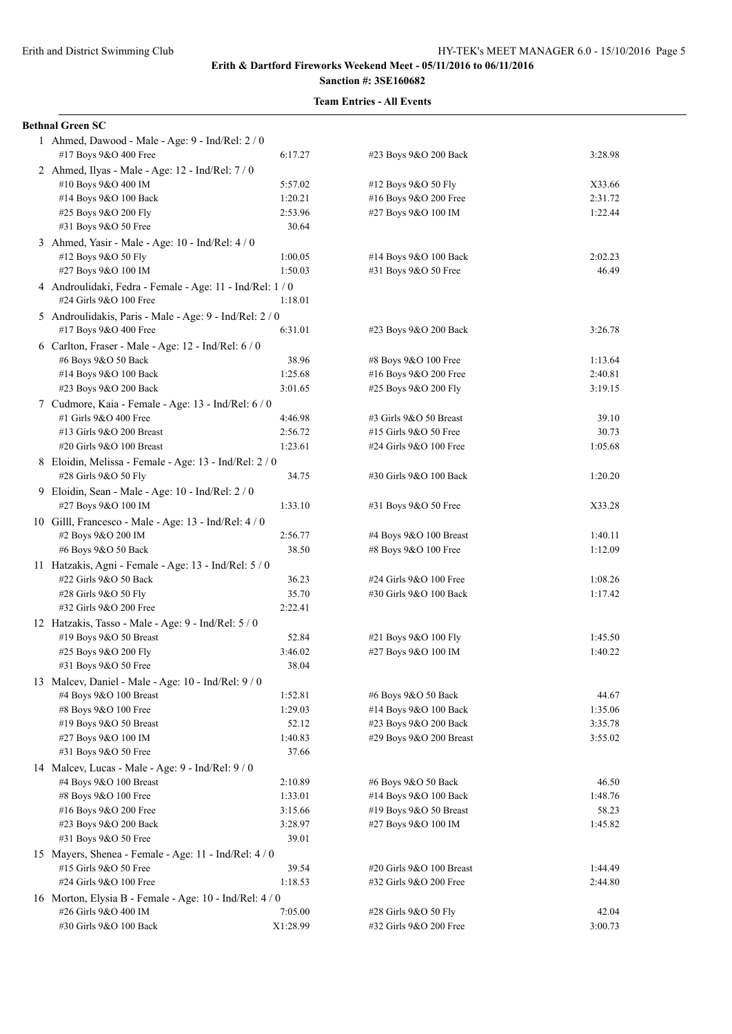# **Sanction #: 3SE160682**

| <b>Bethnal Green SC</b>                                                           |                  |                                                    |                    |
|-----------------------------------------------------------------------------------|------------------|----------------------------------------------------|--------------------|
| 1 Ahmed, Dawood - Male - Age: 9 - Ind/Rel: 2 / 0                                  |                  |                                                    |                    |
| #17 Boys 9&O 400 Free                                                             | 6:17.27          | #23 Boys 9&O 200 Back                              | 3:28.98            |
| 2 Ahmed, Ilyas - Male - Age: 12 - Ind/Rel: 7 / 0                                  |                  |                                                    |                    |
| #10 Boys 9&O 400 IM                                                               | 5:57.02          | #12 Boys 9&O 50 Fly                                | X33.66             |
| #14 Boys 9&O 100 Back                                                             | 1:20.21          | #16 Boys 9&O 200 Free                              | 2:31.72            |
| #25 Boys 9&O 200 Fly                                                              | 2:53.96          | #27 Boys 9&O 100 IM                                | 1:22.44            |
| #31 Boys 9&O 50 Free                                                              | 30.64            |                                                    |                    |
| 3 Ahmed, Yasir - Male - Age: 10 - Ind/Rel: 4 / 0                                  |                  |                                                    |                    |
| #12 Boys 9&O 50 Fly                                                               | 1:00.05          | #14 Boys 9&O 100 Back                              | 2:02.23            |
| #27 Boys 9&O 100 IM                                                               | 1:50.03          | #31 Boys 9&O 50 Free                               | 46.49              |
| 4 Androulidaki, Fedra - Female - Age: 11 - Ind/Rel: 1/0<br>#24 Girls 9&O 100 Free | 1:18.01          |                                                    |                    |
| 5 Androulidakis, Paris - Male - Age: 9 - Ind/Rel: 2 / 0                           |                  |                                                    |                    |
| #17 Boys 9&O 400 Free                                                             | 6:31.01          | #23 Boys 9&O 200 Back                              | 3:26.78            |
| 6 Carlton, Fraser - Male - Age: $12$ - Ind/Rel: $6/0$                             |                  |                                                    |                    |
| #6 Boys 9&O 50 Back                                                               | 38.96            | #8 Boys 9&O 100 Free                               | 1:13.64            |
| #14 Boys 9&O 100 Back                                                             | 1:25.68          | #16 Boys 9&O 200 Free                              | 2:40.81            |
| #23 Boys 9&O 200 Back                                                             | 3:01.65          | #25 Boys 9&O 200 Fly                               | 3:19.15            |
| 7 Cudmore, Kaia - Female - Age: 13 - Ind/Rel: 6 / 0                               |                  |                                                    |                    |
| #1 Girls 9&O 400 Free                                                             | 4:46.98          | #3 Girls 9&O 50 Breast                             | 39.10              |
| #13 Girls 9&O 200 Breast                                                          | 2:56.72          | #15 Girls 9&O 50 Free                              | 30.73              |
| #20 Girls 9&O 100 Breast                                                          | 1:23.61          | #24 Girls 9&O 100 Free                             | 1:05.68            |
| 8 Eloidin, Melissa - Female - Age: 13 - Ind/Rel: 2 / 0<br>#28 Girls 9&O 50 Fly    | 34.75            | #30 Girls 9&O 100 Back                             | 1:20.20            |
| 9 Eloidin, Sean - Male - Age: 10 - Ind/Rel: 2 / 0                                 |                  |                                                    |                    |
| #27 Boys 9&O 100 IM                                                               | 1:33.10          | #31 Boys 9&O 50 Free                               | X33.28             |
| 10 Gilll, Francesco - Male - Age: 13 - Ind/Rel: 4/0                               |                  |                                                    |                    |
| #2 Boys 9&O 200 IM                                                                | 2:56.77          | #4 Boys 9&O 100 Breast                             | 1:40.11            |
| #6 Boys 9&O 50 Back                                                               | 38.50            | #8 Boys 9&O 100 Free                               | 1:12.09            |
| 11 Hatzakis, Agni - Female - Age: 13 - Ind/Rel: 5 / 0                             |                  |                                                    |                    |
| #22 Girls 9&O 50 Back                                                             | 36.23            | #24 Girls 9&O 100 Free                             | 1:08.26            |
| #28 Girls 9&O 50 Fly                                                              | 35.70            | #30 Girls 9&O 100 Back                             | 1:17.42            |
| #32 Girls 9&O 200 Free                                                            | 2:22.41          |                                                    |                    |
| 12 Hatzakis, Tasso - Male - Age: 9 - Ind/Rel: 5 / 0                               |                  |                                                    |                    |
| #19 Boys 9&O 50 Breast                                                            | 52.84            | #21 Boys 9&O 100 Fly                               | 1:45.50            |
| #25 Boys 9&O 200 Fly                                                              | 3:46.02          | #27 Boys 9&O 100 IM                                | 1:40.22            |
| #31 Boys 9&O 50 Free                                                              | 38.04            |                                                    |                    |
| 13 Malcev, Daniel - Male - Age: 10 - Ind/Rel: 9 / 0                               |                  |                                                    |                    |
| #4 Boys 9&O 100 Breast                                                            | 1:52.81          | #6 Boys 9&O 50 Back                                | 44.67              |
| #8 Boys 9&O 100 Free                                                              | 1:29.03          | #14 Boys 9&O 100 Back                              | 1:35.06            |
| #19 Boys 9&O 50 Breast                                                            | 52.12            | #23 Boys 9&O 200 Back                              | 3:35.78            |
| #27 Boys 9&O 100 IM                                                               | 1:40.83          | #29 Boys 9&O 200 Breast                            | 3:55.02            |
| #31 Boys 9&O 50 Free                                                              | 37.66            |                                                    |                    |
| 14 Malcev, Lucas - Male - Age: 9 - Ind/Rel: 9 / 0                                 |                  |                                                    |                    |
| #4 Boys 9&O 100 Breast                                                            | 2:10.89          | #6 Boys 9&O 50 Back                                | 46.50              |
| #8 Boys 9&O 100 Free                                                              | 1:33.01          | #14 Boys 9&O 100 Back                              | 1:48.76            |
| #16 Boys 9&O 200 Free                                                             | 3:15.66          | #19 Boys 9&O 50 Breast                             | 58.23              |
| #23 Boys 9&O 200 Back                                                             | 3:28.97          | #27 Boys 9&O 100 IM                                | 1:45.82            |
| #31 Boys 9&O 50 Free                                                              | 39.01            |                                                    |                    |
| 15 Mayers, Shenea - Female - Age: 11 - Ind/Rel: 4 / 0                             |                  |                                                    |                    |
| #15 Girls 9&O 50 Free<br>#24 Girls 9&O 100 Free                                   | 39.54<br>1:18.53 | #20 Girls 9&O 100 Breast<br>#32 Girls 9&O 200 Free | 1:44.49<br>2:44.80 |
|                                                                                   |                  |                                                    |                    |
| 16 Morton, Elysia B - Female - Age: 10 - Ind/Rel: 4 / 0<br>#26 Girls 9&O 400 IM   | 7:05.00          | #28 Girls 9&O 50 Fly                               | 42.04              |
| #30 Girls 9&O 100 Back                                                            | X1:28.99         | #32 Girls 9&O 200 Free                             | 3:00.73            |
|                                                                                   |                  |                                                    |                    |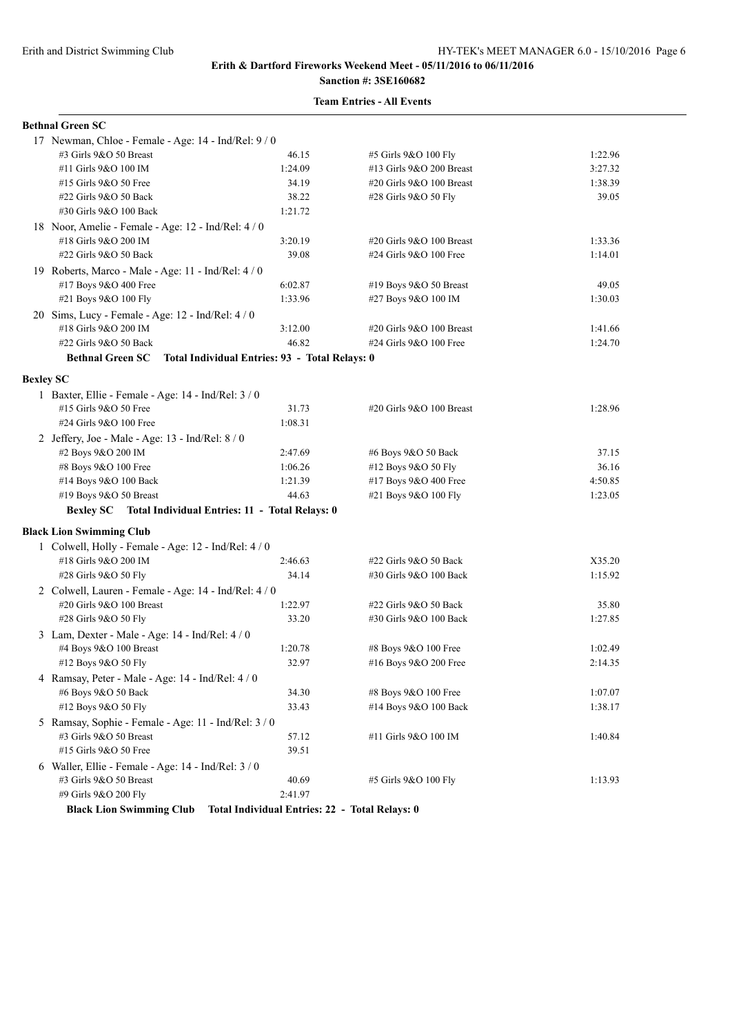# **Sanction #: 3SE160682**

|                  | <b>Bethnal Green SC</b>                               |                                                |                          |         |
|------------------|-------------------------------------------------------|------------------------------------------------|--------------------------|---------|
|                  | 17 Newman, Chloe - Female - Age: 14 - Ind/Rel: 9 / 0  |                                                |                          |         |
|                  | #3 Girls 9&O 50 Breast                                | 46.15                                          | #5 Girls 9&O 100 Fly     | 1:22.96 |
|                  | #11 Girls 9&O 100 IM                                  | 1:24.09                                        | #13 Girls 9&O 200 Breast | 3:27.32 |
|                  | #15 Girls 9&O 50 Free                                 | 34.19                                          | #20 Girls 9&O 100 Breast | 1:38.39 |
|                  | #22 Girls 9&O 50 Back                                 | 38.22                                          | #28 Girls 9&O 50 Fly     | 39.05   |
|                  | #30 Girls 9&O 100 Back                                | 1:21.72                                        |                          |         |
|                  | 18 Noor, Amelie - Female - Age: 12 - Ind/Rel: 4 / 0   |                                                |                          |         |
|                  | #18 Girls 9&O 200 IM                                  | 3:20.19                                        | #20 Girls 9&O 100 Breast | 1:33.36 |
|                  | #22 Girls 9&O 50 Back                                 | 39.08                                          | #24 Girls 9&O 100 Free   | 1:14.01 |
|                  | 19 Roberts, Marco - Male - Age: 11 - Ind/Rel: 4 / 0   |                                                |                          |         |
|                  | #17 Boys 9&O 400 Free                                 | 6:02.87                                        | #19 Boys 9&O 50 Breast   | 49.05   |
|                  | #21 Boys 9&O 100 Fly                                  | 1:33.96                                        | #27 Boys 9&O 100 IM      | 1:30.03 |
|                  | 20 Sims, Lucy - Female - Age: 12 - Ind/Rel: 4 / 0     |                                                |                          |         |
|                  | #18 Girls 9&O 200 IM                                  | 3:12.00                                        | #20 Girls 9&O 100 Breast | 1:41.66 |
|                  | #22 Girls 9&O 50 Back                                 | 46.82                                          | #24 Girls 9&O 100 Free   | 1:24.70 |
|                  | <b>Bethnal Green SC</b>                               | Total Individual Entries: 93 - Total Relays: 0 |                          |         |
|                  |                                                       |                                                |                          |         |
| <b>Bexley SC</b> |                                                       |                                                |                          |         |
|                  | 1 Baxter, Ellie - Female - Age: 14 - Ind/Rel: 3 / 0   |                                                |                          |         |
|                  | #15 Girls 9&O 50 Free                                 | 31.73                                          | #20 Girls 9&O 100 Breast | 1:28.96 |
|                  | #24 Girls 9&O 100 Free                                | 1:08.31                                        |                          |         |
|                  | 2 Jeffery, Joe - Male - Age: 13 - Ind/Rel: $8/0$      |                                                |                          |         |
|                  | #2 Boys 9&O 200 IM                                    | 2:47.69                                        | #6 Boys 9&O 50 Back      | 37.15   |
|                  | #8 Boys 9&O 100 Free                                  | 1:06.26                                        | #12 Boys 9&O 50 Fly      | 36.16   |
|                  | #14 Boys 9&O 100 Back                                 | 1:21.39                                        | #17 Boys 9&O 400 Free    | 4:50.85 |
|                  | #19 Boys 9&O 50 Breast                                | 44.63                                          | #21 Boys 9&O 100 Fly     | 1:23.05 |
|                  | <b>Bexley SC</b>                                      | Total Individual Entries: 11 - Total Relays: 0 |                          |         |
|                  | <b>Black Lion Swimming Club</b>                       |                                                |                          |         |
|                  | 1 Colwell, Holly - Female - Age: 12 - Ind/Rel: 4 / 0  |                                                |                          |         |
|                  | #18 Girls 9&O 200 IM                                  | 2:46.63                                        | #22 Girls 9&O 50 Back    | X35.20  |
|                  | #28 Girls 9&O 50 Fly                                  | 34.14                                          | #30 Girls 9&O 100 Back   | 1:15.92 |
|                  | 2 Colwell, Lauren - Female - Age: 14 - Ind/Rel: 4 / 0 |                                                |                          |         |
|                  | #20 Girls 9&O 100 Breast                              | 1:22.97                                        | #22 Girls 9&O 50 Back    | 35.80   |
|                  | #28 Girls 9&O 50 Fly                                  | 33.20                                          | #30 Girls 9&O 100 Back   | 1:27.85 |
|                  | 3 Lam, Dexter - Male - Age: 14 - Ind/Rel: 4 / 0       |                                                |                          |         |
|                  | #4 Boys 9&O 100 Breast                                | 1:20.78                                        | #8 Boys 9&O 100 Free     | 1:02.49 |
|                  | #12 Boys 9&O 50 Fly                                   | 32.97                                          | #16 Boys 9&O 200 Free    | 2:14.35 |
|                  | 4 Ramsay, Peter - Male - Age: 14 - Ind/Rel: 4 / 0     |                                                |                          |         |
|                  | #6 Boys 9&O 50 Back                                   | 34.30                                          | #8 Boys 9&O 100 Free     | 1:07.07 |
|                  | #12 Boys 9&O 50 Fly                                   | 33.43                                          | #14 Boys 9&O 100 Back    | 1:38.17 |
|                  | 5 Ramsay, Sophie - Female - Age: 11 - Ind/Rel: 3 / 0  |                                                |                          |         |
|                  | #3 Girls 9&O 50 Breast                                | 57.12                                          | #11 Girls 9&O 100 IM     | 1:40.84 |
|                  | #15 Girls 9&O 50 Free                                 | 39.51                                          |                          |         |
|                  | 6 Waller, Ellie - Female - Age: 14 - Ind/Rel: 3 / 0   |                                                |                          |         |
|                  | #3 Girls 9&O 50 Breast                                | 40.69                                          | #5 Girls 9&O 100 Fly     | 1:13.93 |
|                  | #9 Girls 9&O 200 Fly                                  | 2:41.97                                        |                          |         |
|                  | <b>Black Lion Swimming Club</b>                       | Total Individual Entries: 22 - Total Relays: 0 |                          |         |
|                  |                                                       |                                                |                          |         |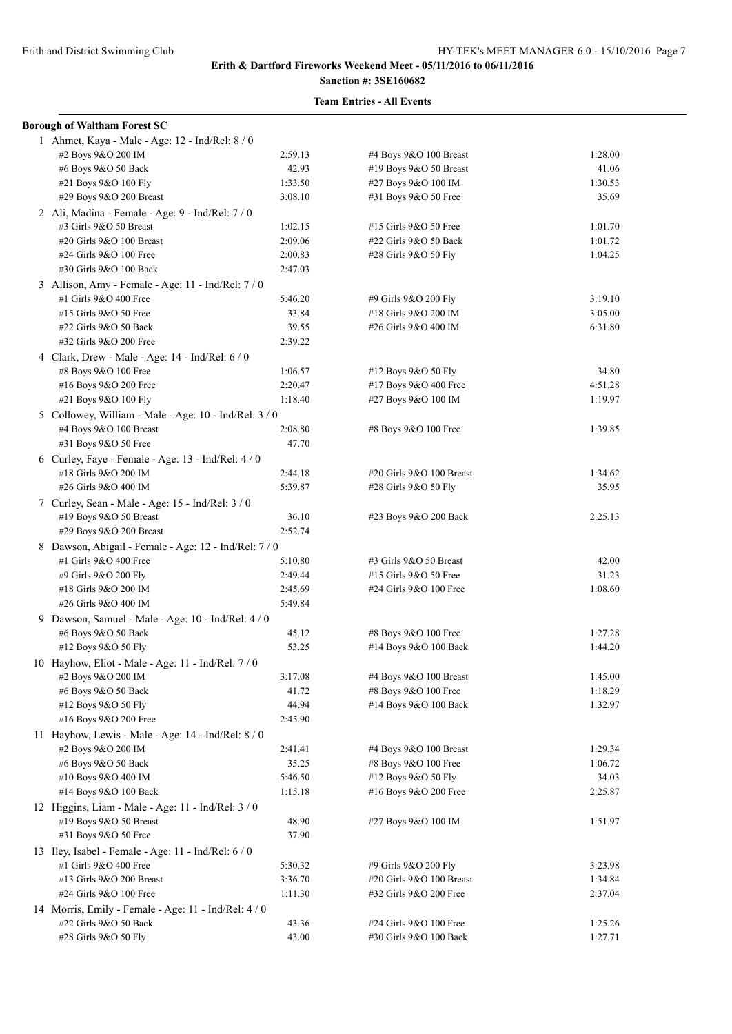# **Sanction #: 3SE160682**

| <b>Borough of Waltham Forest SC</b>                   |         |                          |         |
|-------------------------------------------------------|---------|--------------------------|---------|
| 1 Ahmet, Kaya - Male - Age: 12 - Ind/Rel: 8 / 0       |         |                          |         |
| #2 Boys 9&O 200 IM                                    | 2:59.13 | #4 Boys 9&O 100 Breast   | 1:28.00 |
| #6 Boys 9&O 50 Back                                   | 42.93   | #19 Boys 9&O 50 Breast   | 41.06   |
| #21 Boys 9&O 100 Fly                                  | 1:33.50 | #27 Boys 9&O 100 IM      | 1:30.53 |
| #29 Boys 9&O 200 Breast                               | 3:08.10 | #31 Boys 9&O 50 Free     | 35.69   |
| 2 Ali, Madina - Female - Age: 9 - Ind/Rel: 7 / 0      |         |                          |         |
| #3 Girls 9&O 50 Breast                                | 1:02.15 | #15 Girls 9&O 50 Free    | 1:01.70 |
| #20 Girls 9&O 100 Breast                              | 2:09.06 | #22 Girls 9&O 50 Back    | 1:01.72 |
| #24 Girls 9&O 100 Free                                | 2:00.83 | #28 Girls 9&O 50 Fly     | 1:04.25 |
| #30 Girls 9&O 100 Back                                | 2:47.03 |                          |         |
| 3 Allison, Amy - Female - Age: 11 - Ind/Rel: 7 / 0    |         |                          |         |
| #1 Girls 9&O 400 Free                                 | 5:46.20 | #9 Girls 9&O 200 Fly     | 3:19.10 |
| #15 Girls 9&O 50 Free                                 | 33.84   | #18 Girls 9&O 200 IM     | 3:05.00 |
| #22 Girls 9&O 50 Back                                 | 39.55   | #26 Girls 9&O 400 IM     | 6:31.80 |
| #32 Girls 9&O 200 Free                                | 2:39.22 |                          |         |
| 4 Clark, Drew - Male - Age: 14 - Ind/Rel: 6 / 0       |         |                          |         |
| #8 Boys 9&O 100 Free                                  | 1:06.57 | #12 Boys 9&O 50 Fly      | 34.80   |
| #16 Boys 9&O 200 Free                                 | 2:20.47 | #17 Boys 9&O 400 Free    | 4:51.28 |
| #21 Boys 9&O 100 Fly                                  | 1:18.40 | #27 Boys 9&O 100 IM      | 1:19.97 |
| 5 Collowey, William - Male - Age: 10 - Ind/Rel: 3 / 0 |         |                          |         |
| #4 Boys 9&O 100 Breast                                | 2:08.80 | #8 Boys 9&O 100 Free     | 1:39.85 |
| #31 Boys 9&O 50 Free                                  | 47.70   |                          |         |
| 6 Curley, Faye - Female - Age: $13$ - Ind/Rel: $4/0$  |         |                          |         |
| #18 Girls 9&O 200 IM                                  | 2:44.18 | #20 Girls 9&O 100 Breast | 1:34.62 |
| #26 Girls 9&O 400 IM                                  | 5:39.87 | #28 Girls 9&O 50 Fly     | 35.95   |
| 7 Curley, Sean - Male - Age: 15 - Ind/Rel: 3 / 0      |         |                          |         |
| #19 Boys 9&O 50 Breast                                | 36.10   | #23 Boys 9&O 200 Back    | 2:25.13 |
| #29 Boys 9&O 200 Breast                               | 2:52.74 |                          |         |
| 8 Dawson, Abigail - Female - Age: 12 - Ind/Rel: 7 / 0 |         |                          |         |
| #1 Girls 9&O 400 Free                                 | 5:10.80 | #3 Girls 9&O 50 Breast   | 42.00   |
| #9 Girls 9&O 200 Fly                                  | 2:49.44 | #15 Girls 9&O 50 Free    | 31.23   |
| #18 Girls 9&O 200 IM                                  | 2:45.69 | #24 Girls 9&O 100 Free   | 1:08.60 |
| #26 Girls 9&O 400 IM                                  | 5:49.84 |                          |         |
| 9 Dawson, Samuel - Male - Age: 10 - Ind/Rel: 4 / 0    |         |                          |         |
| #6 Boys 9&O 50 Back                                   | 45.12   | #8 Boys 9&O 100 Free     | 1:27.28 |
| #12 Boys 9&O 50 Fly                                   | 53.25   | #14 Boys 9&O 100 Back    | 1:44.20 |
| 10 Hayhow, Eliot - Male - Age: 11 - Ind/Rel: 7 / 0    |         |                          |         |
| #2 Boys 9&O 200 IM                                    | 3:17.08 | #4 Boys 9&O 100 Breast   | 1:45.00 |
| #6 Boys 9&O 50 Back                                   | 41.72   | #8 Boys 9&O 100 Free     | 1:18.29 |
| #12 Boys 9&O 50 Fly                                   | 44.94   | #14 Boys 9&O 100 Back    | 1:32.97 |
| #16 Boys 9&O 200 Free                                 | 2:45.90 |                          |         |
| 11 Hayhow, Lewis - Male - Age: 14 - Ind/Rel: 8 / 0    |         |                          |         |
| #2 Boys 9&O 200 IM                                    | 2:41.41 | #4 Boys 9&O 100 Breast   | 1:29.34 |
| #6 Boys 9&O 50 Back                                   | 35.25   | #8 Boys 9&O 100 Free     | 1:06.72 |
| #10 Boys 9&O 400 IM                                   | 5:46.50 | #12 Boys 9&O 50 Fly      | 34.03   |
| #14 Boys 9&O 100 Back                                 | 1:15.18 | #16 Boys 9&O 200 Free    | 2:25.87 |
| 12 Higgins, Liam - Male - Age: 11 - Ind/Rel: $3/0$    |         |                          |         |
| #19 Boys 9&O 50 Breast                                | 48.90   | #27 Boys 9&O 100 IM      | 1:51.97 |
| #31 Boys 9&O 50 Free                                  | 37.90   |                          |         |
| 13 Iley, Isabel - Female - Age: 11 - Ind/Rel: 6 / 0   |         |                          |         |
| #1 Girls 9&O 400 Free                                 | 5:30.32 | #9 Girls 9&O 200 Fly     | 3:23.98 |
| #13 Girls 9&O 200 Breast                              | 3:36.70 | #20 Girls 9&O 100 Breast | 1:34.84 |
| #24 Girls 9&O 100 Free                                | 1:11.30 | #32 Girls 9&O 200 Free   | 2:37.04 |
| 14 Morris, Emily - Female - Age: 11 - Ind/Rel: 4 / 0  |         |                          |         |
| #22 Girls 9&O 50 Back                                 | 43.36   | #24 Girls 9&O 100 Free   | 1:25.26 |
| #28 Girls 9&O 50 Fly                                  | 43.00   | #30 Girls 9&O 100 Back   | 1:27.71 |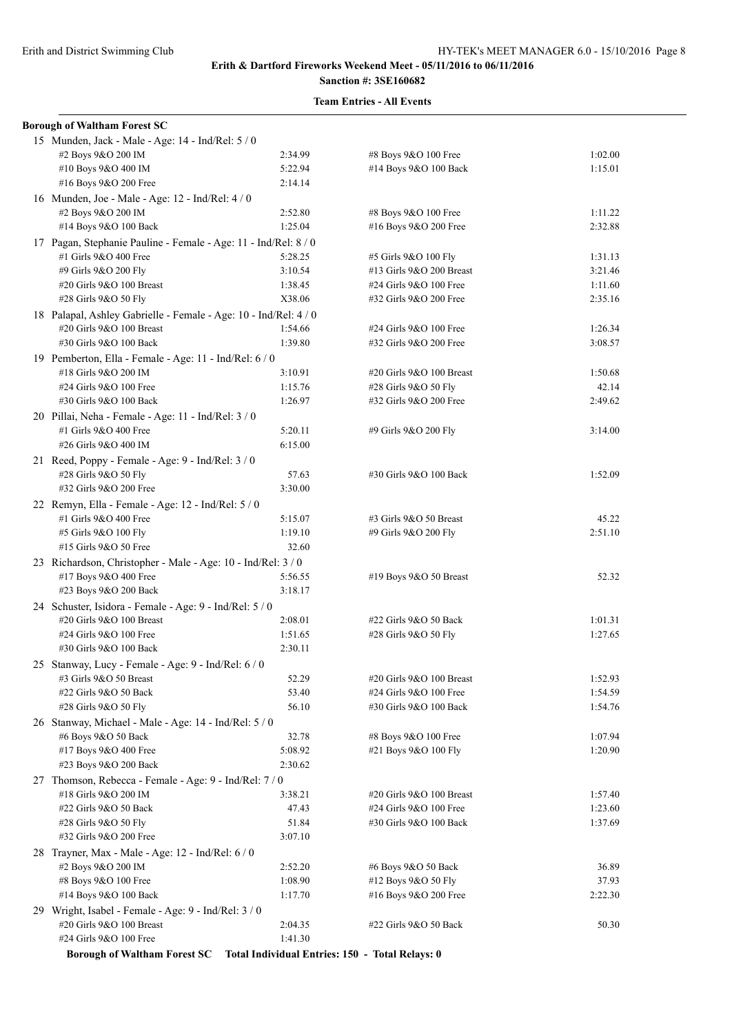# **Sanction #: 3SE160682**

| <b>Borough of Waltham Forest SC</b>                                          |         |                          |         |
|------------------------------------------------------------------------------|---------|--------------------------|---------|
| 15 Munden, Jack - Male - Age: 14 - Ind/Rel: 5 / 0                            |         |                          |         |
| #2 Boys 9&O 200 IM                                                           | 2:34.99 | #8 Boys 9&O 100 Free     | 1:02.00 |
| #10 Boys 9&O 400 IM                                                          | 5:22.94 | #14 Boys 9&O 100 Back    | 1:15.01 |
| #16 Boys 9&O 200 Free                                                        | 2:14.14 |                          |         |
| 16 Munden, Joe - Male - Age: 12 - Ind/Rel: 4 / 0                             |         |                          |         |
| #2 Boys 9&O 200 IM                                                           | 2:52.80 | #8 Boys 9&O 100 Free     | 1:11.22 |
| #14 Boys 9&O 100 Back                                                        | 1:25.04 | #16 Boys 9&O 200 Free    | 2:32.88 |
| 17 Pagan, Stephanie Pauline - Female - Age: 11 - Ind/Rel: 8 / 0              |         |                          |         |
| #1 Girls 9&O 400 Free                                                        | 5:28.25 | #5 Girls 9&O 100 Fly     | 1:31.13 |
| #9 Girls 9&O 200 Fly                                                         | 3:10.54 | #13 Girls 9&O 200 Breast | 3:21.46 |
| #20 Girls 9&O 100 Breast                                                     | 1:38.45 | #24 Girls 9&O 100 Free   | 1:11.60 |
| #28 Girls 9&O 50 Fly                                                         | X38.06  | #32 Girls 9&O 200 Free   | 2:35.16 |
| 18 Palapal, Ashley Gabrielle - Female - Age: 10 - Ind/Rel: 4 / 0             |         |                          |         |
| #20 Girls 9&O 100 Breast                                                     | 1:54.66 | #24 Girls 9&O 100 Free   | 1:26.34 |
| #30 Girls 9&O 100 Back                                                       | 1:39.80 | #32 Girls 9&O 200 Free   | 3:08.57 |
| 19 Pemberton, Ella - Female - Age: 11 - Ind/Rel: 6 / 0                       |         |                          |         |
| #18 Girls 9&O 200 IM                                                         | 3:10.91 | #20 Girls 9&O 100 Breast | 1:50.68 |
| #24 Girls 9&O 100 Free                                                       | 1:15.76 | #28 Girls 9&O 50 Fly     | 42.14   |
| #30 Girls 9&O 100 Back                                                       | 1:26.97 | #32 Girls 9&O 200 Free   | 2:49.62 |
| 20 Pillai, Neha - Female - Age: 11 - Ind/Rel: 3 / 0                          |         |                          |         |
| #1 Girls 9&O 400 Free                                                        | 5:20.11 | #9 Girls 9&O 200 Fly     | 3:14.00 |
| #26 Girls 9&O 400 IM                                                         | 6:15.00 |                          |         |
| 21 Reed, Poppy - Female - Age: 9 - Ind/Rel: 3 / 0                            |         |                          |         |
| #28 Girls 9&O 50 Fly                                                         | 57.63   | #30 Girls 9&O 100 Back   | 1:52.09 |
| #32 Girls 9&O 200 Free                                                       | 3:30.00 |                          |         |
| 22 Remyn, Ella - Female - Age: 12 - Ind/Rel: 5 / 0                           |         |                          |         |
| #1 Girls 9&O 400 Free                                                        | 5:15.07 | #3 Girls 9&O 50 Breast   | 45.22   |
| #5 Girls 9&O 100 Fly                                                         | 1:19.10 | #9 Girls 9&O 200 Fly     | 2:51.10 |
| #15 Girls 9&O 50 Free                                                        | 32.60   |                          |         |
| 23 Richardson, Christopher - Male - Age: 10 - Ind/Rel: 3 / 0                 |         |                          |         |
| #17 Boys 9&O 400 Free                                                        | 5:56.55 | #19 Boys 9&O 50 Breast   | 52.32   |
| #23 Boys 9&O 200 Back                                                        | 3:18.17 |                          |         |
| 24 Schuster, Isidora - Female - Age: 9 - Ind/Rel: 5 / 0                      |         |                          |         |
| #20 Girls 9&O 100 Breast                                                     | 2:08.01 | #22 Girls 9&O 50 Back    | 1:01.31 |
| #24 Girls 9&O 100 Free                                                       | 1:51.65 | #28 Girls 9&O 50 Fly     | 1:27.65 |
| #30 Girls 9&O 100 Back                                                       | 2:30.11 |                          |         |
| 25 Stanway, Lucy - Female - Age: 9 - Ind/Rel: 6 / 0                          |         |                          |         |
| #3 Girls 9&O 50 Breast                                                       | 52.29   | #20 Girls 9&O 100 Breast | 1:52.93 |
| #22 Girls 9&O 50 Back                                                        | 53.40   | #24 Girls 9&O 100 Free   | 1:54.59 |
| #28 Girls 9&O 50 Fly                                                         | 56.10   | #30 Girls 9&O 100 Back   | 1:54.76 |
| 26 Stanway, Michael - Male - Age: 14 - Ind/Rel: 5 / 0                        |         |                          |         |
| #6 Boys 9&O 50 Back                                                          | 32.78   | #8 Boys 9&O 100 Free     | 1:07.94 |
| #17 Boys 9&O 400 Free                                                        | 5:08.92 | #21 Boys 9&O 100 Fly     | 1:20.90 |
| #23 Boys 9&O 200 Back                                                        | 2:30.62 |                          |         |
| 27 Thomson, Rebecca - Female - Age: 9 - Ind/Rel: 7/0                         |         |                          |         |
| #18 Girls 9&O 200 IM                                                         | 3:38.21 | #20 Girls 9&O 100 Breast | 1:57.40 |
| #22 Girls 9&O 50 Back                                                        | 47.43   | #24 Girls 9&O 100 Free   | 1:23.60 |
| #28 Girls 9&O 50 Fly                                                         | 51.84   | #30 Girls 9&O 100 Back   | 1:37.69 |
| #32 Girls 9&O 200 Free                                                       | 3:07.10 |                          |         |
| 28 Trayner, Max - Male - Age: 12 - Ind/Rel: $6/0$                            |         |                          |         |
| #2 Boys 9&O 200 IM                                                           | 2:52.20 | #6 Boys 9&O 50 Back      | 36.89   |
| #8 Boys 9&O 100 Free                                                         | 1:08.90 | #12 Boys 9&O 50 Fly      | 37.93   |
| #14 Boys 9&O 100 Back                                                        | 1:17.70 | #16 Boys 9&O 200 Free    | 2:22.30 |
| 29 Wright, Isabel - Female - Age: 9 - Ind/Rel: 3 / 0                         |         |                          |         |
| #20 Girls 9&O 100 Breast                                                     | 2:04.35 | #22 Girls 9&O 50 Back    | 50.30   |
| #24 Girls 9&O 100 Free                                                       | 1:41.30 |                          |         |
| Borough of Waltham Forest SC Total Individual Entries: 150 - Total Relays: 0 |         |                          |         |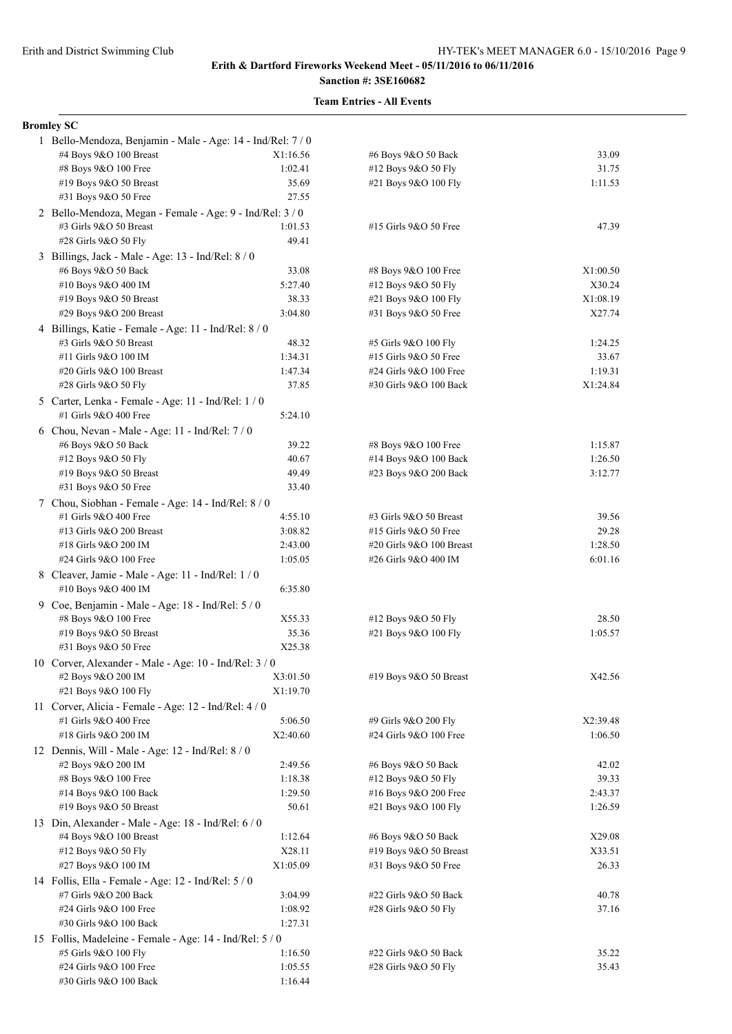# **Sanction #: 3SE160682 Team Entries - All Events**

| <b>Bromley SC</b>                                           |          |                               |          |
|-------------------------------------------------------------|----------|-------------------------------|----------|
| 1 Bello-Mendoza, Benjamin - Male - Age: 14 - Ind/Rel: 7 / 0 |          |                               |          |
| #4 Boys 9&O 100 Breast                                      | X1:16.56 | #6 Boys 9&O 50 Back           | 33.09    |
| #8 Boys 9&O 100 Free                                        | 1:02.41  | #12 Boys 9&O 50 Fly           | 31.75    |
| #19 Boys 9&O 50 Breast                                      | 35.69    | #21 Boys 9&O 100 Fly          | 1:11.53  |
| #31 Boys 9&O 50 Free                                        | 27.55    |                               |          |
|                                                             |          |                               |          |
| 2 Bello-Mendoza, Megan - Female - Age: 9 - Ind/Rel: 3 / 0   |          |                               |          |
| #3 Girls 9&O 50 Breast                                      | 1:01.53  | #15 Girls 9&O 50 Free         | 47.39    |
| #28 Girls 9&O 50 Fly                                        | 49.41    |                               |          |
| 3 Billings, Jack - Male - Age: 13 - Ind/Rel: 8 / 0          |          |                               |          |
| #6 Boys 9&O 50 Back                                         | 33.08    | #8 Boys 9&O 100 Free          | X1:00.50 |
| #10 Boys 9&O 400 IM                                         | 5:27.40  | #12 Boys 9&O 50 Fly           | X30.24   |
| #19 Boys 9&O 50 Breast                                      | 38.33    | #21 Boys 9&O 100 Fly          | X1:08.19 |
| #29 Boys 9&O 200 Breast                                     | 3:04.80  | #31 Boys 9&O 50 Free          | X27.74   |
| 4 Billings, Katie - Female - Age: 11 - Ind/Rel: 8 / 0       |          |                               |          |
| #3 Girls 9&O 50 Breast                                      | 48.32    | #5 Girls 9&O 100 Fly          | 1:24.25  |
| #11 Girls 9&O 100 IM                                        | 1:34.31  | #15 Girls 9&O 50 Free         | 33.67    |
| #20 Girls 9&O 100 Breast                                    | 1:47.34  | #24 Girls 9&O 100 Free        | 1:19.31  |
| #28 Girls 9&O 50 Fly                                        | 37.85    | #30 Girls 9&O 100 Back        | X1:24.84 |
|                                                             |          |                               |          |
| 5 Carter, Lenka - Female - Age: 11 - Ind/Rel: 1 / 0         |          |                               |          |
| #1 Girls 9&O 400 Free                                       | 5:24.10  |                               |          |
| 6 Chou, Nevan - Male - Age: $11$ - Ind/Rel: $7/0$           |          |                               |          |
| #6 Boys 9&O 50 Back                                         | 39.22    | #8 Boys 9&O 100 Free          | 1:15.87  |
| #12 Boys 9&O 50 Fly                                         | 40.67    | #14 Boys 9&O 100 Back         | 1:26.50  |
| #19 Boys 9&O 50 Breast                                      | 49.49    | #23 Boys 9&O 200 Back         | 3:12.77  |
| #31 Boys 9&O 50 Free                                        | 33.40    |                               |          |
| 7 Chou, Siobhan - Female - Age: 14 - Ind/Rel: 8 / 0         |          |                               |          |
| #1 Girls 9&O 400 Free                                       | 4:55.10  | #3 Girls 9&O 50 Breast        | 39.56    |
| #13 Girls 9&O 200 Breast                                    | 3:08.82  | #15 Girls 9&O 50 Free         | 29.28    |
| #18 Girls 9&O 200 IM                                        | 2:43.00  | $\#20$ Girls $9&0$ 100 Breast | 1:28.50  |
| #24 Girls 9&O 100 Free                                      | 1:05.05  | #26 Girls 9&O 400 IM          | 6:01.16  |
|                                                             |          |                               |          |
| 8 Cleaver, Jamie - Male - Age: 11 - Ind/Rel: 1 / 0          |          |                               |          |
| #10 Boys 9&O 400 IM                                         | 6:35.80  |                               |          |
| 9 Coe, Benjamin - Male - Age: 18 - Ind/Rel: 5 / 0           |          |                               |          |
| #8 Boys 9&O 100 Free                                        | X55.33   | #12 Boys 9&O 50 Fly           | 28.50    |
| #19 Boys 9&O 50 Breast                                      | 35.36    | #21 Boys 9&O 100 Fly          | 1:05.57  |
| #31 Boys 9&O 50 Free                                        | X25.38   |                               |          |
| 10 Corver, Alexander - Male - Age: 10 - Ind/Rel: 3 / 0      |          |                               |          |
| #2 Boys 9&O 200 IM                                          | X3:01.50 | #19 Boys 9&O 50 Breast        | X42.56   |
| #21 Boys 9&O 100 Fly                                        | X1:19.70 |                               |          |
| 11 Corver, Alicia - Female - Age: 12 - Ind/Rel: 4 / 0       |          |                               |          |
| #1 Girls 9&O 400 Free                                       | 5:06.50  | #9 Girls 9&O 200 Fly          | X2:39.48 |
| #18 Girls 9&O 200 IM                                        | X2:40.60 | #24 Girls 9&O 100 Free        | 1:06.50  |
| 12 Dennis, Will - Male - Age: $12$ - Ind/Rel: $8/0$         |          |                               |          |
| #2 Boys 9&O 200 IM                                          | 2:49.56  | #6 Boys 9&O 50 Back           | 42.02    |
| #8 Boys 9&O 100 Free                                        |          |                               |          |
|                                                             | 1:18.38  | #12 Boys 9&O 50 Fly           | 39.33    |
| #14 Boys 9&O 100 Back                                       | 1:29.50  | #16 Boys 9&O 200 Free         | 2:43.37  |
| #19 Boys 9&O 50 Breast                                      | 50.61    | #21 Boys 9&O 100 Fly          | 1:26.59  |
| 13 Din, Alexander - Male - Age: 18 - Ind/Rel: 6/0           |          |                               |          |
| #4 Boys 9&O 100 Breast                                      | 1:12.64  | #6 Boys 9&O 50 Back           | X29.08   |
| #12 Boys 9&O 50 Fly                                         | X28.11   | #19 Boys 9&O 50 Breast        | X33.51   |
| #27 Boys 9&O 100 IM                                         | X1:05.09 | #31 Boys 9&O 50 Free          | 26.33    |
| 14 Follis, Ella - Female - Age: 12 - Ind/Rel: 5 / 0         |          |                               |          |
| #7 Girls 9&O 200 Back                                       | 3:04.99  | #22 Girls 9&O 50 Back         | 40.78    |
| #24 Girls 9&O 100 Free                                      | 1:08.92  | #28 Girls 9&O 50 Fly          | 37.16    |
| #30 Girls 9&O 100 Back                                      | 1:27.31  |                               |          |
|                                                             |          |                               |          |
| 15 Follis, Madeleine - Female - Age: 14 - Ind/Rel: 5 / 0    |          |                               |          |
| #5 Girls 9&O 100 Fly                                        | 1:16.50  | #22 Girls 9&O 50 Back         | 35.22    |
| #24 Girls 9&O 100 Free                                      | 1:05.55  | #28 Girls 9&O 50 Fly          | 35.43    |
| #30 Girls 9&O 100 Back                                      | 1:16.44  |                               |          |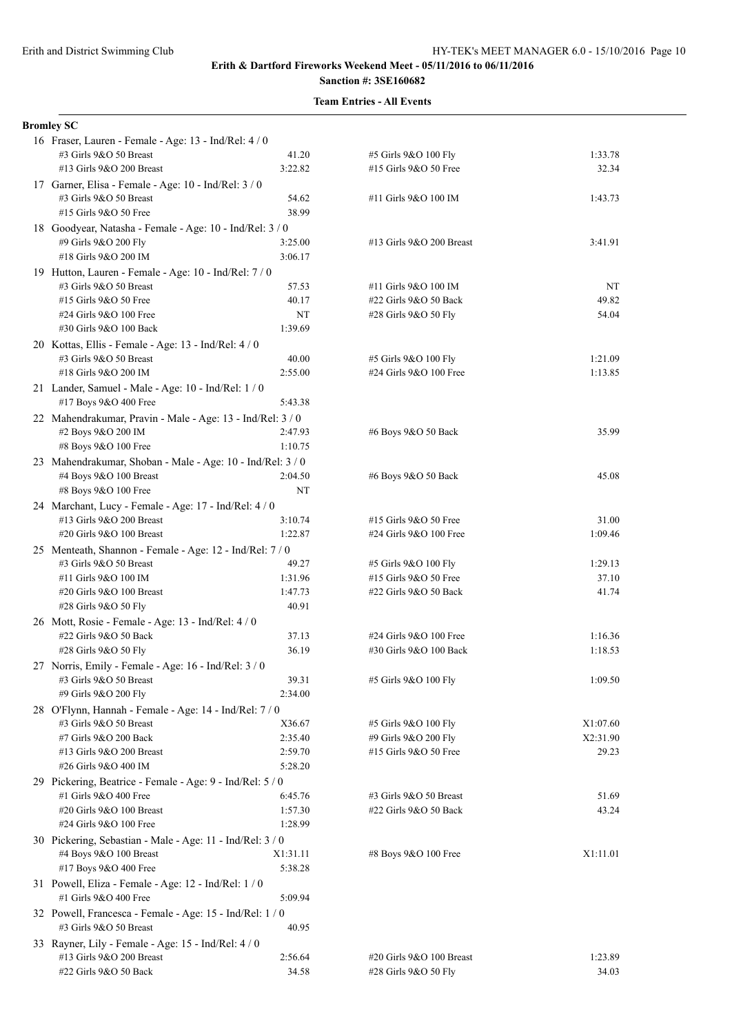| <b>Bromley SC</b>                                                                |                    |                                                 |                  |
|----------------------------------------------------------------------------------|--------------------|-------------------------------------------------|------------------|
| 16 Fraser, Lauren - Female - Age: 13 - Ind/Rel: 4 / 0                            |                    |                                                 |                  |
| #3 Girls 9&O 50 Breast                                                           | 41.20              | #5 Girls 9&O 100 Fly                            | 1:33.78          |
| #13 Girls 9&O 200 Breast                                                         | 3:22.82            | #15 Girls 9&O 50 Free                           | 32.34            |
| 17 Garner, Elisa - Female - Age: 10 - Ind/Rel: 3 / 0                             |                    |                                                 |                  |
| #3 Girls 9&O 50 Breast                                                           | 54.62              | #11 Girls 9&O 100 IM                            | 1:43.73          |
| #15 Girls 9&O 50 Free                                                            | 38.99              |                                                 |                  |
| 18 Goodyear, Natasha - Female - Age: 10 - Ind/Rel: 3 / 0                         |                    |                                                 |                  |
| #9 Girls 9&O 200 Fly<br>#18 Girls 9&O 200 IM                                     | 3:25.00<br>3:06.17 | #13 Girls 9&O 200 Breast                        | 3:41.91          |
| 19 Hutton, Lauren - Female - Age: 10 - Ind/Rel: 7 / 0                            |                    |                                                 |                  |
| #3 Girls 9&O 50 Breast                                                           | 57.53              | #11 Girls 9&O 100 IM                            | NT               |
| #15 Girls 9&O 50 Free                                                            | 40.17              | #22 Girls 9&O 50 Back                           | 49.82            |
| #24 Girls 9&O 100 Free                                                           | NT                 | #28 Girls 9&O 50 Fly                            | 54.04            |
| #30 Girls 9&O 100 Back                                                           | 1:39.69            |                                                 |                  |
| 20 Kottas, Ellis - Female - Age: 13 - Ind/Rel: 4/0                               |                    |                                                 |                  |
| #3 Girls 9&O 50 Breast                                                           | 40.00              | #5 Girls 9&O 100 Fly                            | 1:21.09          |
| #18 Girls 9&O 200 IM                                                             | 2:55.00            | #24 Girls 9&O 100 Free                          | 1:13.85          |
| 21 Lander, Samuel - Male - Age: 10 - Ind/Rel: 1 / 0                              |                    |                                                 |                  |
| #17 Boys 9&O 400 Free                                                            | 5:43.38            |                                                 |                  |
| 22 Mahendrakumar, Pravin - Male - Age: 13 - Ind/Rel: 3 / 0                       |                    |                                                 |                  |
| #2 Boys 9&O 200 IM                                                               | 2:47.93            | #6 Boys 9&O 50 Back                             | 35.99            |
| #8 Boys 9&O 100 Free                                                             | 1:10.75            |                                                 |                  |
| 23 Mahendrakumar, Shoban - Male - Age: 10 - Ind/Rel: 3 / 0                       |                    |                                                 |                  |
| #4 Boys 9&O 100 Breast                                                           | 2:04.50            | #6 Boys 9&O 50 Back                             | 45.08            |
| #8 Boys 9&O 100 Free                                                             | NT                 |                                                 |                  |
| 24 Marchant, Lucy - Female - Age: 17 - Ind/Rel: 4 / 0                            |                    |                                                 |                  |
| #13 Girls 9&O 200 Breast<br>#20 Girls 9&O 100 Breast                             | 3:10.74<br>1:22.87 | #15 Girls 9&O 50 Free<br>#24 Girls 9&O 100 Free | 31.00<br>1:09.46 |
|                                                                                  |                    |                                                 |                  |
| 25 Menteath, Shannon - Female - Age: 12 - Ind/Rel: 7/0<br>#3 Girls 9&O 50 Breast | 49.27              | #5 Girls 9&O 100 Fly                            | 1:29.13          |
| #11 Girls 9&O 100 IM                                                             | 1:31.96            | #15 Girls 9&O 50 Free                           | 37.10            |
| #20 Girls 9&O 100 Breast                                                         | 1:47.73            | #22 Girls 9&O 50 Back                           | 41.74            |
| #28 Girls 9&O 50 Fly                                                             | 40.91              |                                                 |                  |
| 26 Mott, Rosie - Female - Age: 13 - Ind/Rel: 4 / 0                               |                    |                                                 |                  |
| #22 Girls 9&O 50 Back                                                            | 37.13              | #24 Girls 9&O 100 Free                          | 1:16.36          |
| #28 Girls 9&O 50 Fly                                                             | 36.19              | #30 Girls 9&O 100 Back                          | 1:18.53          |
| 27 Norris, Emily - Female - Age: 16 - Ind/Rel: 3 / 0                             |                    |                                                 |                  |
| #3 Girls 9&O 50 Breast                                                           | 39.31              | #5 Girls 9&O 100 Fly                            | 1:09.50          |
| #9 Girls 9&O 200 Fly                                                             | 2:34.00            |                                                 |                  |
| 28 O'Flynn, Hannah - Female - Age: 14 - Ind/Rel: 7 / 0                           |                    |                                                 |                  |
| #3 Girls 9&O 50 Breast                                                           | X36.67             | #5 Girls 9&O 100 Fly                            | X1:07.60         |
| #7 Girls 9&O 200 Back                                                            | 2:35.40            | #9 Girls 9&O 200 Fly                            | X2:31.90         |
| #13 Girls 9&O 200 Breast<br>#26 Girls 9&O 400 IM                                 | 2:59.70<br>5:28.20 | #15 Girls 9&O 50 Free                           | 29.23            |
| 29 Pickering, Beatrice - Female - Age: 9 - Ind/Rel: 5 / 0                        |                    |                                                 |                  |
| #1 Girls 9&O 400 Free                                                            | 6:45.76            | #3 Girls 9&O 50 Breast                          | 51.69            |
| #20 Girls 9&O 100 Breast                                                         | 1:57.30            | #22 Girls 9&O 50 Back                           | 43.24            |
| #24 Girls 9&O 100 Free                                                           | 1:28.99            |                                                 |                  |
| 30 Pickering, Sebastian - Male - Age: 11 - Ind/Rel: 3 / 0                        |                    |                                                 |                  |
| #4 Boys 9&O 100 Breast                                                           | X1:31.11           | #8 Boys 9&O 100 Free                            | X1:11.01         |
| #17 Boys 9&O 400 Free                                                            | 5:38.28            |                                                 |                  |
| 31 Powell, Eliza - Female - Age: 12 - Ind/Rel: 1 / 0                             |                    |                                                 |                  |
| #1 Girls 9&O 400 Free                                                            | 5:09.94            |                                                 |                  |
| 32 Powell, Francesca - Female - Age: 15 - Ind/Rel: 1 / 0                         |                    |                                                 |                  |
| #3 Girls 9&O 50 Breast                                                           | 40.95              |                                                 |                  |
| 33 Rayner, Lily - Female - Age: 15 - Ind/Rel: 4 / 0                              |                    |                                                 |                  |
| #13 Girls 9&O 200 Breast                                                         | 2:56.64            | #20 Girls 9&O 100 Breast                        | 1:23.89          |
| #22 Girls 9&O 50 Back                                                            | 34.58              | #28 Girls 9&O 50 Fly                            | 34.03            |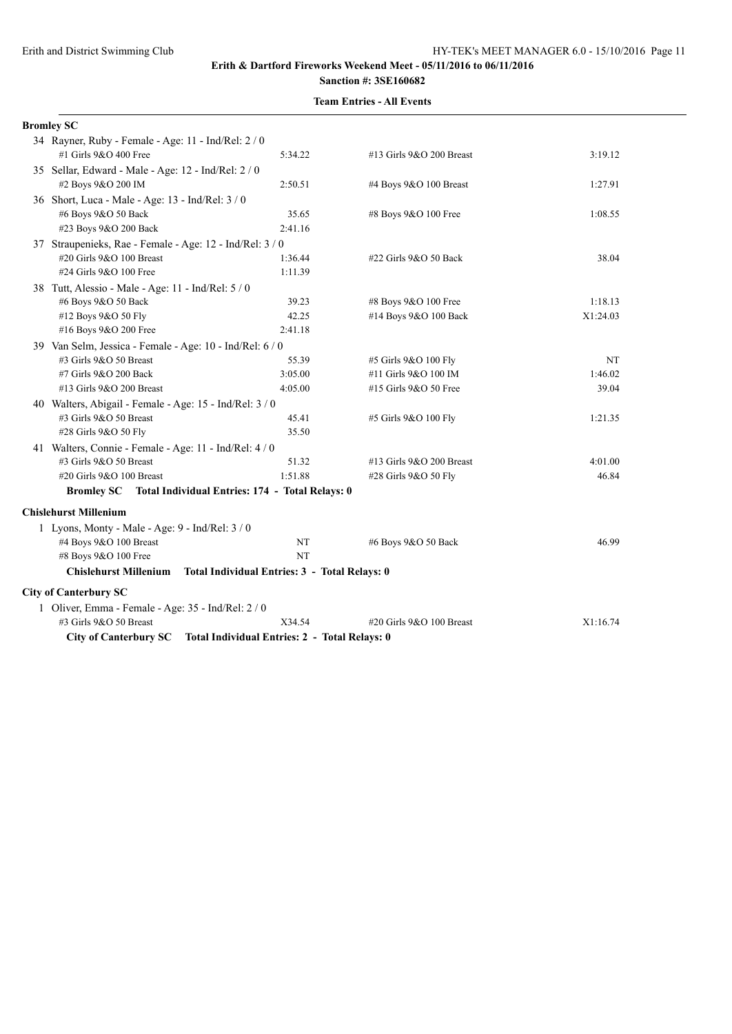# **Sanction #: 3SE160682**

| <b>Bromley SC</b>                                                   |                                               |                          |          |
|---------------------------------------------------------------------|-----------------------------------------------|--------------------------|----------|
| 34 Rayner, Ruby - Female - Age: 11 - Ind/Rel: 2 / 0                 |                                               |                          |          |
| #1 Girls 9&O 400 Free                                               | 5:34.22                                       | #13 Girls 9&O 200 Breast | 3:19.12  |
| 35 Sellar, Edward - Male - Age: 12 - Ind/Rel: 2 / 0                 |                                               |                          |          |
| #2 Boys 9&O 200 IM                                                  | 2:50.51                                       | #4 Boys 9&O 100 Breast   | 1:27.91  |
| 36 Short, Luca - Male - Age: 13 - Ind/Rel: 3 / 0                    |                                               |                          |          |
| #6 Boys 9&O 50 Back                                                 | 35.65                                         | #8 Boys 9&O 100 Free     | 1:08.55  |
| #23 Boys 9&O 200 Back                                               | 2:41.16                                       |                          |          |
| 37 Straupenieks, Rae - Female - Age: 12 - Ind/Rel: 3 / 0            |                                               |                          |          |
| #20 Girls 9&O 100 Breast                                            | 1:36.44                                       | #22 Girls 9&O 50 Back    | 38.04    |
| #24 Girls 9&O 100 Free                                              | 1:11.39                                       |                          |          |
| 38 Tutt, Alessio - Male - Age: 11 - Ind/Rel: 5 / 0                  |                                               |                          |          |
| #6 Boys 9&O 50 Back                                                 | 39.23                                         | #8 Boys 9&O 100 Free     | 1:18.13  |
| #12 Boys 9&O 50 Fly                                                 | 42.25                                         | #14 Boys 9&O 100 Back    | X1:24.03 |
| #16 Boys 9&O 200 Free                                               | 2:41.18                                       |                          |          |
| 39 Van Selm, Jessica - Female - Age: 10 - Ind/Rel: 6 / 0            |                                               |                          |          |
| #3 Girls 9&O 50 Breast                                              | 55.39                                         | #5 Girls 9&O 100 Fly     | NT       |
| #7 Girls 9&O 200 Back                                               | 3:05.00                                       | #11 Girls 9&O 100 IM     | 1:46.02  |
| #13 Girls 9&O 200 Breast                                            | 4:05.00                                       | #15 Girls 9&O 50 Free    | 39.04    |
| 40 Walters, Abigail - Female - Age: 15 - Ind/Rel: 3 / 0             |                                               |                          |          |
| #3 Girls 9&O 50 Breast                                              | 45.41                                         | #5 Girls 9&O 100 Fly     | 1:21.35  |
| #28 Girls 9&O 50 Fly                                                | 35.50                                         |                          |          |
| 41 Walters, Connie - Female - Age: 11 - Ind/Rel: 4 / 0              |                                               |                          |          |
| #3 Girls 9&O 50 Breast                                              | 51.32                                         | #13 Girls 9&O 200 Breast | 4:01.00  |
| #20 Girls 9&O 100 Breast                                            | 1:51.88                                       | #28 Girls 9&O 50 Fly     | 46.84    |
| Bromley SC Total Individual Entries: 174 - Total Relays: 0          |                                               |                          |          |
| <b>Chislehurst Millenium</b>                                        |                                               |                          |          |
| 1 Lyons, Monty - Male - Age: 9 - Ind/Rel: 3 / 0                     |                                               |                          |          |
| #4 Boys 9&O 100 Breast                                              | NT                                            | #6 Boys 9&O 50 Back      | 46.99    |
| #8 Boys 9&O 100 Free                                                | NT                                            |                          |          |
| <b>Chislehurst Millenium</b>                                        | Total Individual Entries: 3 - Total Relays: 0 |                          |          |
| <b>City of Canterbury SC</b>                                        |                                               |                          |          |
| 1 Oliver, Emma - Female - Age: 35 - Ind/Rel: 2 / 0                  |                                               |                          |          |
| #3 Girls 9&O 50 Breast                                              | X34.54                                        | #20 Girls 9&O 100 Breast | X1:16.74 |
| City of Canterbury SC Total Individual Entries: 2 - Total Relays: 0 |                                               |                          |          |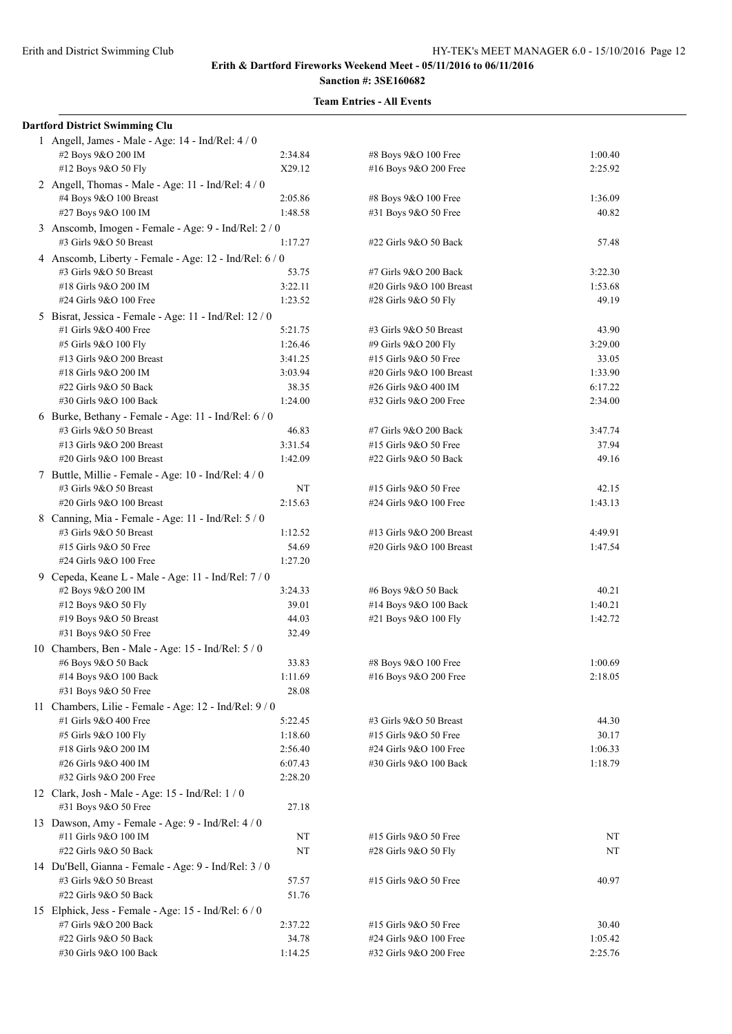| <b>Dartford District Swimming Clu</b>                                        |                |                          |         |
|------------------------------------------------------------------------------|----------------|--------------------------|---------|
| 1 Angell, James - Male - Age: 14 - Ind/Rel: 4 / 0                            |                |                          |         |
| #2 Boys 9&O 200 IM                                                           | 2:34.84        | #8 Boys 9&O 100 Free     | 1:00.40 |
| #12 Boys 9&O 50 Fly                                                          | X29.12         | #16 Boys 9&O 200 Free    | 2:25.92 |
| 2 Angell, Thomas - Male - Age: 11 - Ind/Rel: 4 / 0                           |                |                          |         |
| #4 Boys 9&O 100 Breast                                                       | 2:05.86        | #8 Boys 9&O 100 Free     | 1:36.09 |
| #27 Boys 9&O 100 IM                                                          | 1:48.58        | #31 Boys 9&O 50 Free     | 40.82   |
| 3 Anscomb, Imogen - Female - Age: 9 - Ind/Rel: 2 / 0                         |                |                          |         |
| #3 Girls 9&O 50 Breast                                                       | 1:17.27        | #22 Girls 9&O 50 Back    | 57.48   |
| 4 Anscomb, Liberty - Female - Age: 12 - Ind/Rel: 6 / 0                       |                |                          |         |
| #3 Girls 9&O 50 Breast                                                       | 53.75          | #7 Girls 9&O 200 Back    | 3:22.30 |
| #18 Girls 9&O 200 IM                                                         | 3:22.11        | #20 Girls 9&O 100 Breast | 1:53.68 |
| #24 Girls 9&O 100 Free                                                       | 1:23.52        | #28 Girls 9&O 50 Fly     | 49.19   |
| 5 Bisrat, Jessica - Female - Age: 11 - Ind/Rel: 12 / 0                       |                |                          |         |
| #1 Girls 9&O 400 Free                                                        | 5:21.75        | #3 Girls 9&O 50 Breast   | 43.90   |
| #5 Girls 9&O 100 Fly                                                         | 1:26.46        | #9 Girls 9&O 200 Fly     | 3:29.00 |
| #13 Girls 9&O 200 Breast                                                     | 3:41.25        | #15 Girls 9&O 50 Free    | 33.05   |
| #18 Girls 9&O 200 IM                                                         | 3:03.94        | #20 Girls 9&O 100 Breast | 1:33.90 |
| #22 Girls 9&O 50 Back                                                        | 38.35          | #26 Girls 9&O 400 IM     | 6:17.22 |
| #30 Girls 9&O 100 Back                                                       | 1:24.00        | #32 Girls 9&O 200 Free   | 2:34.00 |
| 6 Burke, Bethany - Female - Age: 11 - Ind/Rel: 6 / 0                         |                |                          |         |
| #3 Girls 9&O 50 Breast                                                       | 46.83          | #7 Girls 9&O 200 Back    | 3:47.74 |
| #13 Girls 9&O 200 Breast                                                     | 3:31.54        | #15 Girls 9&O 50 Free    | 37.94   |
| #20 Girls 9&O 100 Breast                                                     | 1:42.09        | #22 Girls 9&O 50 Back    | 49.16   |
| 7 Buttle, Millie - Female - Age: 10 - Ind/Rel: 4 / 0                         |                |                          |         |
| #3 Girls 9&O 50 Breast                                                       | NT             | #15 Girls 9&O 50 Free    | 42.15   |
| #20 Girls 9&O 100 Breast                                                     | 2:15.63        | #24 Girls 9&O 100 Free   | 1:43.13 |
|                                                                              |                |                          |         |
| 8 Canning, Mia - Female - Age: 11 - Ind/Rel: 5 / 0<br>#3 Girls 9&O 50 Breast | 1:12.52        | #13 Girls 9&O 200 Breast | 4:49.91 |
| #15 Girls 9&O 50 Free                                                        | 54.69          | #20 Girls 9&O 100 Breast | 1:47.54 |
| #24 Girls 9&O 100 Free                                                       | 1:27.20        |                          |         |
|                                                                              |                |                          |         |
| 9 Cepeda, Keane L - Male - Age: 11 - Ind/Rel: 7 / 0                          |                |                          |         |
| #2 Boys 9&O 200 IM                                                           | 3:24.33        | #6 Boys 9&O 50 Back      | 40.21   |
| #12 Boys 9&O 50 Fly                                                          | 39.01<br>44.03 | #14 Boys 9&O 100 Back    | 1:40.21 |
| #19 Boys 9&O 50 Breast                                                       |                | #21 Boys 9&O 100 Fly     | 1:42.72 |
| #31 Boys 9&O 50 Free                                                         | 32.49          |                          |         |
| 10 Chambers, Ben - Male - Age: 15 - Ind/Rel: 5 / 0                           |                |                          |         |
| #6 Boys 9&O 50 Back                                                          | 33.83          | #8 Boys 9&O 100 Free     | 1:00.69 |
| #14 Boys 9&O 100 Back                                                        | 1:11.69        | #16 Boys 9&O 200 Free    | 2:18.05 |
| #31 Boys 9&O 50 Free                                                         | 28.08          |                          |         |
| 11 Chambers, Lilie - Female - Age: 12 - Ind/Rel: 9/0                         |                |                          |         |
| #1 Girls 9&O 400 Free                                                        | 5:22.45        | #3 Girls 9&O 50 Breast   | 44.30   |
| #5 Girls 9&O 100 Fly                                                         | 1:18.60        | #15 Girls 9&O 50 Free    | 30.17   |
| #18 Girls 9&O 200 IM                                                         | 2:56.40        | #24 Girls 9&O 100 Free   | 1:06.33 |
| #26 Girls 9&O 400 IM                                                         | 6:07.43        | #30 Girls 9&O 100 Back   | 1:18.79 |
| #32 Girls 9&O 200 Free                                                       | 2:28.20        |                          |         |
| 12 Clark, Josh - Male - Age: 15 - Ind/Rel: 1 / 0                             |                |                          |         |
| #31 Boys 9&O 50 Free                                                         | 27.18          |                          |         |
| 13 Dawson, Amy - Female - Age: 9 - Ind/Rel: 4 / 0                            |                |                          |         |
| #11 Girls 9&O 100 IM                                                         | NT             | #15 Girls 9&O 50 Free    | NT      |
| #22 Girls 9&O 50 Back                                                        | NT             | #28 Girls 9&O 50 Fly     | NT      |
| 14 Du'Bell, Gianna - Female - Age: 9 - Ind/Rel: 3 / 0                        |                |                          |         |
| #3 Girls 9&O 50 Breast                                                       | 57.57          | #15 Girls 9&O 50 Free    | 40.97   |
| #22 Girls 9&O 50 Back                                                        | 51.76          |                          |         |
| 15 Elphick, Jess - Female - Age: 15 - Ind/Rel: 6 / 0                         |                |                          |         |
| #7 Girls 9&O 200 Back                                                        | 2:37.22        | #15 Girls 9&O 50 Free    | 30.40   |
| #22 Girls 9&O 50 Back                                                        | 34.78          | #24 Girls 9&O 100 Free   | 1:05.42 |
| #30 Girls 9&O 100 Back                                                       | 1:14.25        | #32 Girls 9&O 200 Free   | 2:25.76 |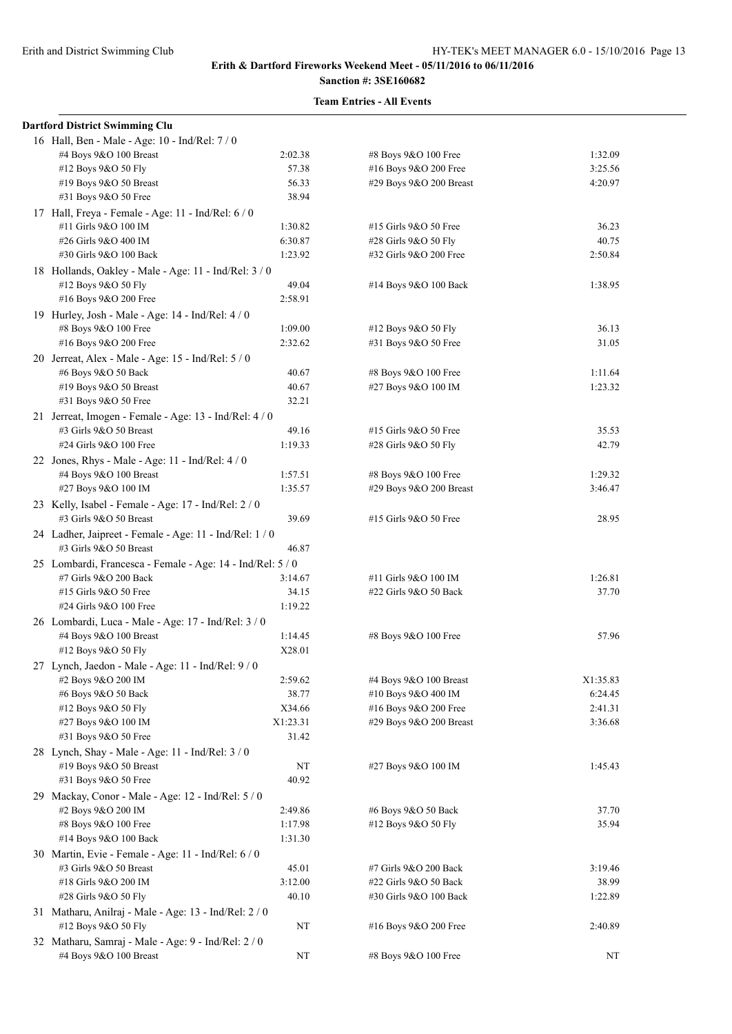| <b>Dartford District Swimming Clu</b>                      |          |                         |          |
|------------------------------------------------------------|----------|-------------------------|----------|
| 16 Hall, Ben - Male - Age: 10 - Ind/Rel: 7 / 0             |          |                         |          |
| #4 Boys 9&O 100 Breast                                     | 2:02.38  | #8 Boys 9&O 100 Free    | 1:32.09  |
| #12 Boys 9&O 50 Fly                                        | 57.38    | #16 Boys 9&O 200 Free   | 3:25.56  |
| #19 Boys 9&O 50 Breast                                     | 56.33    | #29 Boys 9&O 200 Breast | 4:20.97  |
| #31 Boys 9&O 50 Free                                       | 38.94    |                         |          |
| 17 Hall, Freya - Female - Age: 11 - Ind/Rel: 6 / 0         |          |                         |          |
| #11 Girls 9&O 100 IM                                       | 1:30.82  | #15 Girls 9&O 50 Free   | 36.23    |
| #26 Girls 9&O 400 IM                                       | 6:30.87  | #28 Girls 9&O 50 Fly    | 40.75    |
| #30 Girls 9&O 100 Back                                     | 1:23.92  | #32 Girls 9&O 200 Free  | 2:50.84  |
| 18 Hollands, Oakley - Male - Age: 11 - Ind/Rel: 3 / 0      |          |                         |          |
| #12 Boys 9&O 50 Fly                                        | 49.04    | #14 Boys 9&O 100 Back   | 1:38.95  |
| #16 Boys 9&O 200 Free                                      | 2:58.91  |                         |          |
| 19 Hurley, Josh - Male - Age: 14 - Ind/Rel: 4 / 0          |          |                         |          |
| #8 Boys 9&O 100 Free                                       | 1:09.00  | #12 Boys 9&O 50 Fly     | 36.13    |
| #16 Boys 9&O 200 Free                                      | 2:32.62  | #31 Boys 9&O 50 Free    | 31.05    |
|                                                            |          |                         |          |
| 20 Jerreat, Alex - Male - Age: 15 - Ind/Rel: 5 / 0         |          |                         |          |
| #6 Boys 9&O 50 Back                                        | 40.67    | #8 Boys 9&O 100 Free    | 1:11.64  |
| #19 Boys 9&O 50 Breast                                     | 40.67    | #27 Boys 9&O 100 IM     | 1:23.32  |
| #31 Boys 9&O 50 Free                                       | 32.21    |                         |          |
| 21 Jerreat, Imogen - Female - Age: 13 - Ind/Rel: 4 / 0     |          |                         |          |
| #3 Girls 9&O 50 Breast                                     | 49.16    | #15 Girls 9&O 50 Free   | 35.53    |
| #24 Girls 9&O 100 Free                                     | 1:19.33  | #28 Girls 9&O 50 Fly    | 42.79    |
| 22 Jones, Rhys - Male - Age: 11 - Ind/Rel: $4/0$           |          |                         |          |
| #4 Boys 9&O 100 Breast                                     | 1:57.51  | #8 Boys 9&O 100 Free    | 1:29.32  |
| #27 Boys 9&O 100 IM                                        | 1:35.57  | #29 Boys 9&O 200 Breast | 3:46.47  |
| 23 Kelly, Isabel - Female - Age: 17 - Ind/Rel: 2 / 0       |          |                         |          |
| #3 Girls 9&O 50 Breast                                     | 39.69    | #15 Girls 9&O 50 Free   | 28.95    |
| 24 Ladher, Jaipreet - Female - Age: 11 - Ind/Rel: 1 / 0    |          |                         |          |
| #3 Girls 9&O 50 Breast                                     | 46.87    |                         |          |
| 25 Lombardi, Francesca - Female - Age: 14 - Ind/Rel: 5 / 0 |          |                         |          |
| #7 Girls 9&O 200 Back                                      | 3:14.67  | #11 Girls 9&O 100 IM    | 1:26.81  |
| #15 Girls 9&O 50 Free                                      | 34.15    | #22 Girls 9&O 50 Back   | 37.70    |
| #24 Girls 9&O 100 Free                                     | 1:19.22  |                         |          |
| 26 Lombardi, Luca - Male - Age: 17 - Ind/Rel: 3 / 0        |          |                         |          |
| #4 Boys 9&O 100 Breast                                     | 1:14.45  | #8 Boys 9&O 100 Free    | 57.96    |
| #12 Boys 9&O 50 Fly                                        | X28.01   |                         |          |
| 27 Lynch, Jaedon - Male - Age: 11 - Ind/Rel: 9 / 0         |          |                         |          |
| #2 Boys 9&O 200 IM                                         | 2:59.62  | #4 Boys 9&O 100 Breast  | X1:35.83 |
| #6 Boys 9&O 50 Back                                        | 38.77    | #10 Boys 9&O 400 IM     | 6:24.45  |
| #12 Boys 9&O 50 Fly                                        | X34.66   | #16 Boys 9&O 200 Free   | 2:41.31  |
| #27 Boys 9&O 100 IM                                        | X1:23.31 | #29 Boys 9&O 200 Breast | 3:36.68  |
| #31 Boys 9&O 50 Free                                       | 31.42    |                         |          |
| 28 Lynch, Shay - Male - Age: 11 - Ind/Rel: 3 / 0           |          |                         |          |
| #19 Boys 9&O 50 Breast                                     | NT       | #27 Boys 9&O 100 IM     | 1:45.43  |
| #31 Boys 9&O 50 Free                                       | 40.92    |                         |          |
| 29 Mackay, Conor - Male - Age: 12 - Ind/Rel: 5 / 0         |          |                         |          |
| #2 Boys 9&O 200 IM                                         | 2:49.86  | #6 Boys 9&O 50 Back     | 37.70    |
| #8 Boys 9&O 100 Free                                       | 1:17.98  | #12 Boys 9&O 50 Fly     | 35.94    |
|                                                            |          |                         |          |
| #14 Boys 9&O 100 Back                                      | 1:31.30  |                         |          |
| 30 Martin, Evie - Female - Age: 11 - Ind/Rel: 6 / 0        |          |                         |          |
| #3 Girls 9&O 50 Breast                                     | 45.01    | #7 Girls 9&O 200 Back   | 3:19.46  |
| #18 Girls 9&O 200 IM                                       | 3:12.00  | #22 Girls 9&O 50 Back   | 38.99    |
| #28 Girls 9&O 50 Fly                                       | 40.10    | #30 Girls 9&O 100 Back  | 1:22.89  |
| 31 Matharu, Anilraj - Male - Age: 13 - Ind/Rel: 2 / 0      |          |                         |          |
| #12 Boys 9&O 50 Fly                                        | NT       | #16 Boys 9&O 200 Free   | 2:40.89  |
| 32 Matharu, Samraj - Male - Age: 9 - Ind/Rel: 2 / 0        |          |                         |          |
| #4 Boys 9&O 100 Breast                                     | NT       | #8 Boys 9&O 100 Free    | NT       |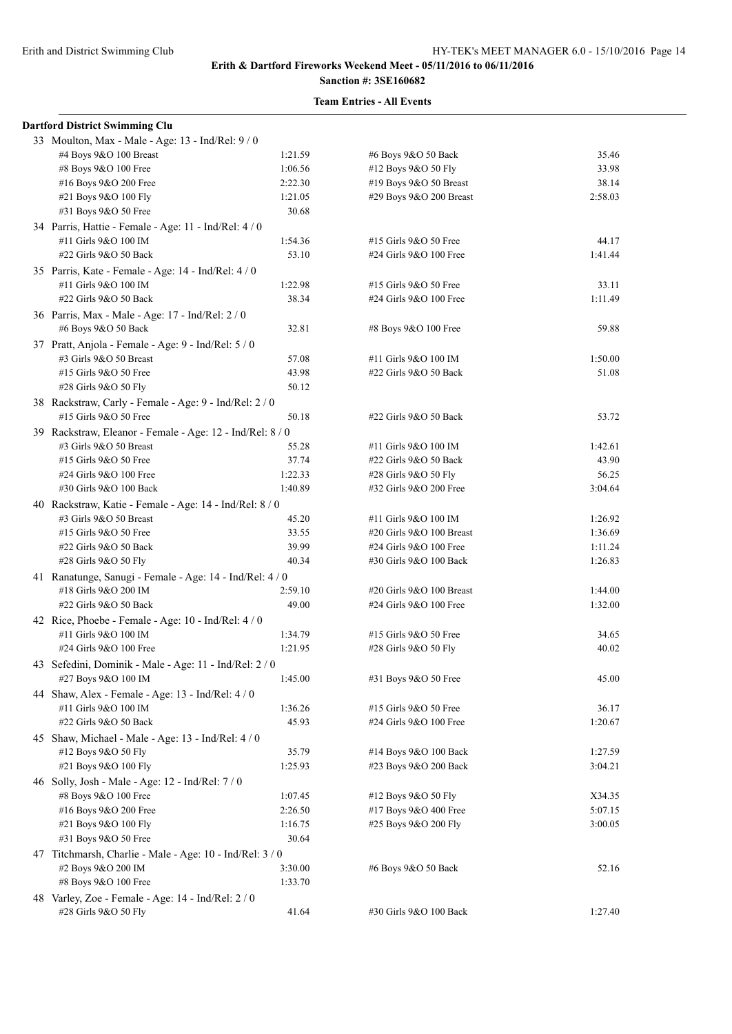# **Sanction #: 3SE160682**

| <b>Dartford District Swimming Clu</b>                     |         |                          |         |
|-----------------------------------------------------------|---------|--------------------------|---------|
| 33 Moulton, Max - Male - Age: 13 - Ind/Rel: 9/0           |         |                          |         |
| #4 Boys 9&O 100 Breast                                    | 1:21.59 | #6 Boys 9&O 50 Back      | 35.46   |
| #8 Boys 9&O 100 Free                                      | 1:06.56 | #12 Boys 9&O 50 Fly      | 33.98   |
| #16 Boys 9&O 200 Free                                     | 2:22.30 | #19 Boys 9&O 50 Breast   | 38.14   |
| #21 Boys 9&O 100 Fly                                      | 1:21.05 | #29 Boys 9&O 200 Breast  | 2:58.03 |
| #31 Boys 9&O 50 Free                                      | 30.68   |                          |         |
| 34 Parris, Hattie - Female - Age: 11 - Ind/Rel: 4 / 0     |         |                          |         |
| #11 Girls 9&O 100 IM                                      | 1:54.36 | #15 Girls 9&O 50 Free    | 44.17   |
| #22 Girls 9&O 50 Back                                     | 53.10   | #24 Girls 9&O 100 Free   | 1:41.44 |
| 35 Parris, Kate - Female - Age: 14 - Ind/Rel: 4 / 0       |         |                          |         |
|                                                           |         |                          | 33.11   |
| #11 Girls 9&O 100 IM                                      | 1:22.98 | #15 Girls 9&O 50 Free    |         |
| #22 Girls 9&O 50 Back                                     | 38.34   | #24 Girls 9&O 100 Free   | 1:11.49 |
| 36 Parris, Max - Male - Age: 17 - Ind/Rel: 2 / 0          |         |                          |         |
| #6 Boys 9&O 50 Back                                       | 32.81   | #8 Boys 9&O 100 Free     | 59.88   |
| 37 Pratt, Anjola - Female - Age: 9 - Ind/Rel: 5 / 0       |         |                          |         |
| #3 Girls 9&O 50 Breast                                    | 57.08   | #11 Girls 9&O 100 IM     | 1:50.00 |
| #15 Girls 9&O 50 Free                                     | 43.98   | #22 Girls 9&O 50 Back    | 51.08   |
| #28 Girls 9&O 50 Fly                                      | 50.12   |                          |         |
| 38 Rackstraw, Carly - Female - Age: 9 - Ind/Rel: 2 / 0    |         |                          |         |
| #15 Girls 9&O 50 Free                                     | 50.18   | #22 Girls 9&O 50 Back    | 53.72   |
| 39 Rackstraw, Eleanor - Female - Age: 12 - Ind/Rel: 8 / 0 |         |                          |         |
| #3 Girls 9&O 50 Breast                                    | 55.28   | #11 Girls 9&O 100 IM     | 1:42.61 |
| #15 Girls 9&O 50 Free                                     | 37.74   | #22 Girls 9&O 50 Back    | 43.90   |
| #24 Girls 9&O 100 Free                                    | 1:22.33 | #28 Girls 9&O 50 Fly     | 56.25   |
| #30 Girls 9&O 100 Back                                    | 1:40.89 | #32 Girls 9&O 200 Free   | 3:04.64 |
| 40 Rackstraw, Katie - Female - Age: 14 - Ind/Rel: 8 / 0   |         |                          |         |
| #3 Girls 9&O 50 Breast                                    | 45.20   | #11 Girls 9&O 100 IM     | 1:26.92 |
| #15 Girls 9&O 50 Free                                     | 33.55   | #20 Girls 9&O 100 Breast | 1:36.69 |
| #22 Girls 9&O 50 Back                                     | 39.99   | #24 Girls 9&O 100 Free   | 1:11.24 |
| #28 Girls 9&O 50 Fly                                      | 40.34   | #30 Girls 9&O 100 Back   | 1:26.83 |
|                                                           |         |                          |         |
| 41 Ranatunge, Sanugi - Female - Age: 14 - Ind/Rel: 4 / 0  |         |                          |         |
| #18 Girls 9&O 200 IM                                      | 2:59.10 | #20 Girls 9&O 100 Breast | 1:44.00 |
| #22 Girls 9&O 50 Back                                     | 49.00   | #24 Girls 9&O 100 Free   | 1:32.00 |
| 42 Rice, Phoebe - Female - Age: 10 - Ind/Rel: 4 / 0       |         |                          |         |
| #11 Girls 9&O 100 IM                                      | 1:34.79 | #15 Girls 9&O 50 Free    | 34.65   |
| #24 Girls 9&O 100 Free                                    | 1:21.95 | #28 Girls 9&O 50 Fly     | 40.02   |
| 43 Sefedini, Dominik - Male - Age: 11 - Ind/Rel: 2 / 0    |         |                          |         |
| #27 Boys 9&O 100 IM                                       | 1:45.00 | #31 Boys 9&O 50 Free     | 45.00   |
| 44 Shaw, Alex - Female - Age: 13 - Ind/Rel: 4 / 0         |         |                          |         |
| #11 Girls 9&O 100 IM                                      | 1:36.26 | #15 Girls 9&O 50 Free    | 36.17   |
| #22 Girls 9&O 50 Back                                     | 45.93   | #24 Girls 9&O 100 Free   | 1:20.67 |
| 45 Shaw, Michael - Male - Age: $13$ - Ind/Rel: $4/0$      |         |                          |         |
| #12 Boys 9&O 50 Fly                                       | 35.79   | #14 Boys 9&O 100 Back    | 1:27.59 |
| #21 Boys 9&O 100 Fly                                      | 1:25.93 | #23 Boys 9&O 200 Back    | 3:04.21 |
| 46 Solly, Josh - Male - Age: 12 - Ind/Rel: 7/0            |         |                          |         |
| #8 Boys 9&O 100 Free                                      | 1:07.45 | #12 Boys 9&O 50 Fly      | X34.35  |
| #16 Boys 9&O 200 Free                                     | 2:26.50 | #17 Boys 9&O 400 Free    | 5:07.15 |
| #21 Boys 9&O 100 Fly                                      | 1:16.75 | #25 Boys 9&O 200 Fly     | 3:00.05 |
|                                                           |         |                          |         |
| #31 Boys 9&O 50 Free                                      | 30.64   |                          |         |
| 47 Titchmarsh, Charlie - Male - Age: 10 - Ind/Rel: 3 / 0  |         |                          |         |
| #2 Boys 9&O 200 IM                                        | 3:30.00 | #6 Boys 9&O 50 Back      | 52.16   |
| #8 Boys 9&O 100 Free                                      | 1:33.70 |                          |         |
| 48 Varley, Zoe - Female - Age: 14 - Ind/Rel: 2 / 0        |         |                          |         |
| #28 Girls 9&O 50 Fly                                      | 41.64   | #30 Girls 9&O 100 Back   | 1:27.40 |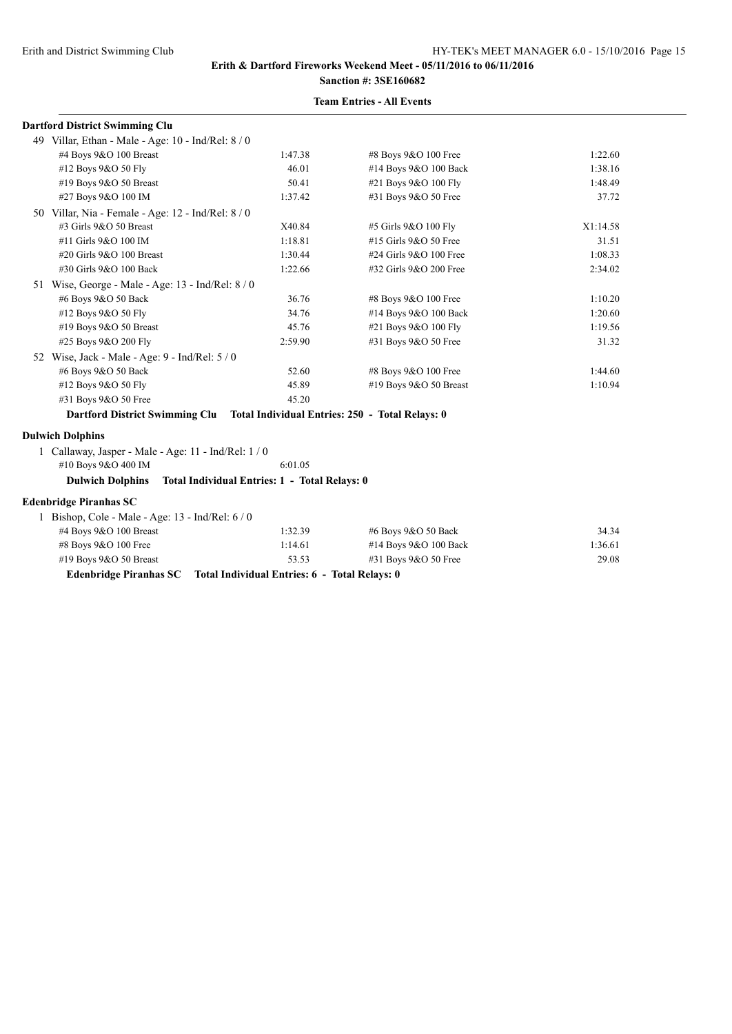# **Sanction #: 3SE160682**

## **Team Entries - All Events**

| <b>Dartford District Swimming Clu</b>                                          |                                               |                        |          |
|--------------------------------------------------------------------------------|-----------------------------------------------|------------------------|----------|
| 49 Villar, Ethan - Male - Age: 10 - Ind/Rel: 8 / 0                             |                                               |                        |          |
| #4 Boys 9&O 100 Breast                                                         | 1:47.38                                       | #8 Boys 9&O 100 Free   | 1:22.60  |
| #12 Boys 9&O 50 Fly                                                            | 46.01                                         | #14 Boys 9&O 100 Back  | 1:38.16  |
| #19 Boys 9&O 50 Breast                                                         | 50.41                                         | #21 Boys 9&O 100 Fly   | 1:48.49  |
| #27 Boys 9&O 100 IM                                                            | 1:37.42                                       | #31 Boys 9&O 50 Free   | 37.72    |
| 50 Villar, Nia - Female - Age: $12$ - Ind/Rel: $8/0$                           |                                               |                        |          |
| #3 Girls 9&O 50 Breast                                                         | X40.84                                        | #5 Girls 9&O 100 Fly   | X1:14.58 |
| #11 Girls 9&O 100 IM                                                           | 1:18.81                                       | #15 Girls 9&O 50 Free  | 31.51    |
| #20 Girls $9&O$ 100 Breast                                                     | 1:30.44                                       | #24 Girls 9&O 100 Free | 1:08.33  |
| #30 Girls 9&O 100 Back                                                         | 1:22.66                                       | #32 Girls 9&O 200 Free | 2:34.02  |
| 51 Wise, George - Male - Age: 13 - Ind/Rel: $8/0$                              |                                               |                        |          |
| #6 Boys 9&O 50 Back                                                            | 36.76                                         | #8 Boys 9&O 100 Free   | 1:10.20  |
| #12 Boys 9&O 50 Fly                                                            | 34.76                                         | #14 Boys 9&O 100 Back  | 1:20.60  |
| #19 Boys 9&O 50 Breast                                                         | 45.76                                         | #21 Boys 9&O 100 Fly   | 1:19.56  |
| #25 Boys 9&O 200 Fly                                                           | 2:59.90                                       | #31 Boys 9&O 50 Free   | 31.32    |
| 52 Wise, Jack - Male - Age: $9$ - Ind/Rel: $5/0$                               |                                               |                        |          |
| #6 Boys 9&O 50 Back                                                            | 52.60                                         | #8 Boys 9&O 100 Free   | 1:44.60  |
| #12 Boys 9&O 50 Fly                                                            | 45.89                                         | #19 Boys 9&O 50 Breast | 1:10.94  |
| #31 Boys 9&O 50 Free                                                           | 45.20                                         |                        |          |
| Dartford District Swimming Clu Total Individual Entries: 250 - Total Relays: 0 |                                               |                        |          |
| <b>Dulwich Dolphins</b>                                                        |                                               |                        |          |
| 1 Callaway, Jasper - Male - Age: 11 - Ind/Rel: $1/0$                           |                                               |                        |          |
| #10 Boys 9&O 400 IM                                                            | 6:01.05                                       |                        |          |
| <b>Dulwich Dolphins</b>                                                        | Total Individual Entries: 1 - Total Relays: 0 |                        |          |
| <b>Edenbridge Piranhas SC</b>                                                  |                                               |                        |          |
| 1 Bishop, Cole - Male - Age: $13$ - Ind/Rel: $6/0$                             |                                               |                        |          |

| #4 Boys $9&O$ 100 Breast | 1:32.39 | #6 Boys 9&O 50 Back     | 34.34   |
|--------------------------|---------|-------------------------|---------|
| $#8$ Boys $9&O$ 100 Free | 1:14.61 | #14 Boys $9&O$ 100 Back | 1:36.61 |
| #19 Boys $9&O 50$ Breast | 53.53   | $\#31$ Boys 9&O 50 Free | 29.08   |

**Edenbridge Piranhas SC Total Individual Entries: 6 - Total Relays: 0**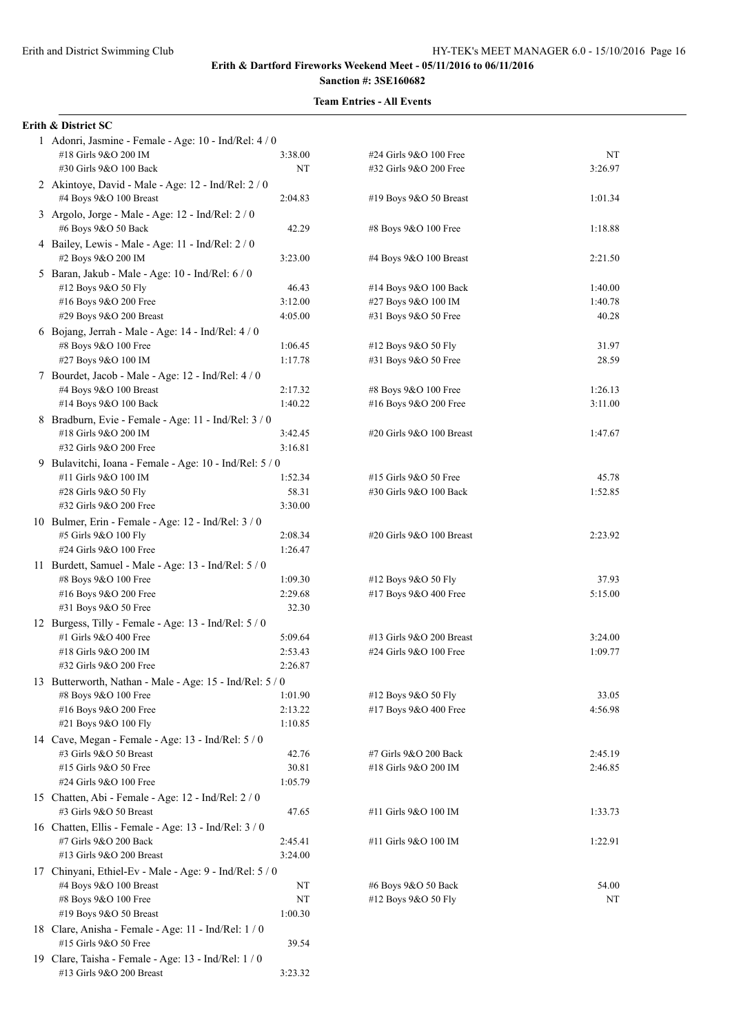19 Clare, Taisha - Female - Age: 13 - Ind/Rel: 1 / 0

#13 Girls 9&O 200 Breast 3:23.32

#### **Erith & Dartford Fireworks Weekend Meet - 05/11/2016 to 06/11/2016 Sanction #: 3SE160682**

# **Team Entries - All Events**

#### **Erith & District SC**

| 1 Adonri, Jasmine - Female - Age: 10 - Ind/Rel: 4 / 0<br>#18 Girls 9&O 200 IM<br>#30 Girls 9&O 100 Back | 3:38.00<br>NT  | #24 Girls 9&O 100 Free<br>#32 Girls 9&O 200 Free | NT<br>3:26.97      |
|---------------------------------------------------------------------------------------------------------|----------------|--------------------------------------------------|--------------------|
| 2 Akintoye, David - Male - Age: 12 - Ind/Rel: 2 / 0<br>#4 Boys 9&O 100 Breast                           | 2:04.83        | #19 Boys 9&O 50 Breast                           | 1:01.34            |
| 3 Argolo, Jorge - Male - Age: 12 - Ind/Rel: 2 / 0<br>#6 Boys 9&O 50 Back                                | 42.29          | #8 Boys 9&O 100 Free                             | 1:18.88            |
| 4 Bailey, Lewis - Male - Age: 11 - Ind/Rel: 2 / 0<br>#2 Boys 9&O 200 IM                                 | 3:23.00        | #4 Boys 9&O 100 Breast                           | 2:21.50            |
| 5 Baran, Jakub - Male - Age: 10 - Ind/Rel: 6 / 0                                                        |                |                                                  |                    |
| #12 Boys 9&O 50 Fly                                                                                     | 46.43          | #14 Boys 9&O 100 Back                            | 1:40.00            |
| #16 Boys 9&O 200 Free                                                                                   | 3:12.00        | #27 Boys 9&O 100 IM                              | 1:40.78            |
| #29 Boys 9&O 200 Breast                                                                                 | 4:05.00        | #31 Boys 9&O 50 Free                             | 40.28              |
| 6 Bojang, Jerrah - Male - Age: $14$ - Ind/Rel: $4/0$<br>#8 Boys 9&O 100 Free                            | 1:06.45        | #12 Boys 9&O 50 Fly                              | 31.97              |
| #27 Boys 9&O 100 IM                                                                                     | 1:17.78        | #31 Boys 9&O 50 Free                             | 28.59              |
| 7 Bourdet, Jacob - Male - Age: 12 - Ind/Rel: 4 / 0                                                      |                |                                                  |                    |
| #4 Boys 9&O 100 Breast                                                                                  | 2:17.32        | #8 Boys 9&O 100 Free                             | 1:26.13            |
| #14 Boys 9&O 100 Back                                                                                   | 1:40.22        | #16 Boys 9&O 200 Free                            | 3:11.00            |
| 8 Bradburn, Evie - Female - Age: 11 - Ind/Rel: 3 / 0                                                    |                |                                                  |                    |
| #18 Girls 9&O 200 IM                                                                                    | 3:42.45        | #20 Girls 9&O 100 Breast                         | 1:47.67            |
| #32 Girls 9&O 200 Free                                                                                  | 3:16.81        |                                                  |                    |
| 9 Bulavitchi, Ioana - Female - Age: 10 - Ind/Rel: 5 / 0                                                 |                |                                                  |                    |
| #11 Girls 9&O 100 IM                                                                                    | 1:52.34        | #15 Girls 9&O 50 Free                            | 45.78              |
| #28 Girls 9&O 50 Fly                                                                                    | 58.31          | #30 Girls 9&O 100 Back                           | 1:52.85            |
| #32 Girls 9&O 200 Free                                                                                  | 3:30.00        |                                                  |                    |
| 10 Bulmer, Erin - Female - Age: 12 - Ind/Rel: 3 / 0                                                     |                |                                                  |                    |
| #5 Girls 9&O 100 Fly                                                                                    | 2:08.34        | #20 Girls 9&O 100 Breast                         | 2:23.92            |
| #24 Girls 9&O 100 Free                                                                                  | 1:26.47        |                                                  |                    |
| 11 Burdett, Samuel - Male - Age: 13 - Ind/Rel: 5 / 0<br>#8 Boys 9&O 100 Free                            | 1:09.30        | #12 Boys 9&O 50 Fly                              | 37.93              |
| #16 Boys 9&O 200 Free                                                                                   | 2:29.68        | #17 Boys 9&O 400 Free                            | 5:15.00            |
| #31 Boys 9&O 50 Free                                                                                    | 32.30          |                                                  |                    |
| 12 Burgess, Tilly - Female - Age: 13 - Ind/Rel: 5 / 0                                                   |                |                                                  |                    |
| #1 Girls 9&O 400 Free                                                                                   | 5:09.64        | #13 Girls 9&O 200 Breast                         | 3:24.00            |
| #18 Girls 9&O 200 IM                                                                                    | 2:53.43        | #24 Girls 9&O 100 Free                           | 1:09.77            |
| #32 Girls 9&O 200 Free                                                                                  | 2:26.87        |                                                  |                    |
| 13 Butterworth, Nathan - Male - Age: 15 - Ind/Rel: 5 / 0                                                |                |                                                  |                    |
| #8 Boys 9&O 100 Free                                                                                    | 1:01.90        | #12 Boys 9&O 50 Fly                              | 33.05              |
| #16 Boys 9&O 200 Free                                                                                   | 2:13.22        | #17 Boys 9&O 400 Free                            | 4:56.98            |
| #21 Boys 9&O 100 Fly                                                                                    | 1:10.85        |                                                  |                    |
| 14 Cave, Megan - Female - Age: 13 - Ind/Rel: 5 / 0                                                      |                |                                                  |                    |
| #3 Girls 9&O 50 Breast<br>#15 Girls 9&O 50 Free                                                         | 42.76<br>30.81 | #7 Girls 9&O 200 Back<br>#18 Girls 9&O 200 IM    | 2:45.19<br>2:46.85 |
| #24 Girls 9&O 100 Free                                                                                  | 1:05.79        |                                                  |                    |
| 15 Chatten, Abi - Female - Age: 12 - Ind/Rel: 2 / 0                                                     |                |                                                  |                    |
| #3 Girls 9&O 50 Breast                                                                                  | 47.65          | #11 Girls 9&O 100 IM                             | 1:33.73            |
| 16 Chatten, Ellis - Female - Age: 13 - Ind/Rel: 3 / 0                                                   |                |                                                  |                    |
| #7 Girls 9&O 200 Back                                                                                   | 2:45.41        | #11 Girls 9&O 100 IM                             | 1:22.91            |
| #13 Girls 9&O 200 Breast                                                                                | 3:24.00        |                                                  |                    |
| 17 Chinyani, Ethiel-Ev - Male - Age: 9 - Ind/Rel: 5 / 0                                                 |                |                                                  |                    |
| #4 Boys 9&O 100 Breast                                                                                  | NT             | #6 Boys 9&O 50 Back                              | 54.00              |
| #8 Boys 9&O 100 Free                                                                                    | NT             | #12 Boys 9&O 50 Fly                              | NT                 |
| #19 Boys 9&O 50 Breast                                                                                  | 1:00.30        |                                                  |                    |
| 18 Clare, Anisha - Female - Age: 11 - Ind/Rel: 1 / 0                                                    |                |                                                  |                    |
| #15 Girls 9&O 50 Free                                                                                   | 39.54          |                                                  |                    |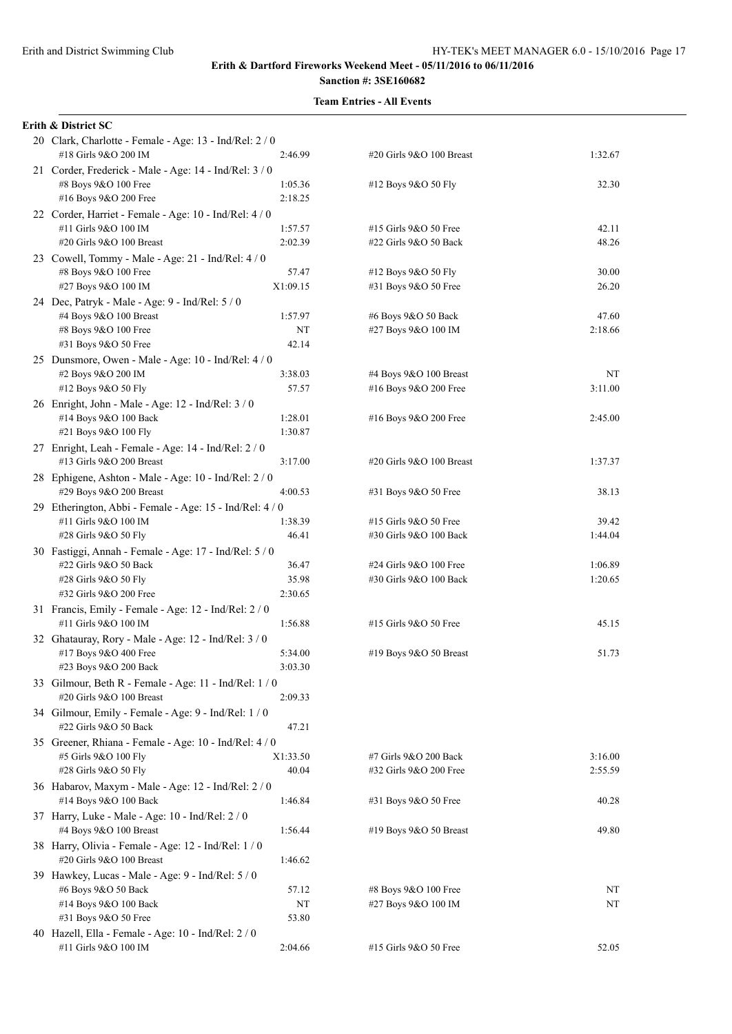# **Team Entries - All Events**

#### **Erith & District SC**

| 20 Clark, Charlotte - Female - Age: 13 - Ind/Rel: 2 / 0<br>#18 Girls 9&O 200 IM | 2:46.99  | #20 Girls 9&O 100 Breast | 1:32.67 |
|---------------------------------------------------------------------------------|----------|--------------------------|---------|
| 21 Corder, Frederick - Male - Age: 14 - Ind/Rel: 3 / 0<br>#8 Boys 9&O 100 Free  | 1:05.36  | #12 Boys 9&O 50 Fly      | 32.30   |
| #16 Boys 9&O 200 Free                                                           | 2:18.25  |                          |         |
| 22 Corder, Harriet - Female - Age: 10 - Ind/Rel: 4 / 0                          |          |                          |         |
| #11 Girls 9&O 100 IM                                                            | 1:57.57  | #15 Girls 9&O 50 Free    | 42.11   |
| #20 Girls 9&O 100 Breast                                                        | 2:02.39  | #22 Girls 9&O 50 Back    | 48.26   |
| 23 Cowell, Tommy - Male - Age: 21 - Ind/Rel: 4 / 0                              |          |                          |         |
| #8 Boys 9&O 100 Free                                                            | 57.47    | #12 Boys 9&O 50 Fly      | 30.00   |
| #27 Boys 9&O 100 IM                                                             | X1:09.15 | #31 Boys 9&O 50 Free     | 26.20   |
| 24 Dec, Patryk - Male - Age: 9 - Ind/Rel: 5 / 0                                 |          |                          |         |
| #4 Boys 9&O 100 Breast                                                          | 1:57.97  | #6 Boys 9&O 50 Back      | 47.60   |
| #8 Boys 9&O 100 Free                                                            | NT       | #27 Boys 9&O 100 IM      | 2:18.66 |
| #31 Boys 9&O 50 Free                                                            | 42.14    |                          |         |
| 25 Dunsmore, Owen - Male - Age: 10 - Ind/Rel: 4 / 0                             |          |                          |         |
| #2 Boys 9&O 200 IM                                                              | 3:38.03  | #4 Boys 9&O 100 Breast   | NT      |
| #12 Boys 9&O 50 Fly                                                             | 57.57    | #16 Boys 9&O 200 Free    | 3:11.00 |
| 26 Enright, John - Male - Age: 12 - Ind/Rel: 3 / 0                              |          |                          |         |
| #14 Boys 9&O 100 Back                                                           | 1:28.01  | #16 Boys 9&O 200 Free    | 2:45.00 |
|                                                                                 | 1:30.87  |                          |         |
| #21 Boys 9&O 100 Fly                                                            |          |                          |         |
| 27 Enright, Leah - Female - Age: 14 - Ind/Rel: 2 / 0                            |          |                          |         |
| #13 Girls 9&O 200 Breast                                                        | 3:17.00  | #20 Girls 9&O 100 Breast | 1:37.37 |
| 28 Ephigene, Ashton - Male - Age: 10 - Ind/Rel: 2 / 0                           |          |                          |         |
| #29 Boys 9&O 200 Breast                                                         | 4:00.53  | #31 Boys 9&O 50 Free     | 38.13   |
| 29 Etherington, Abbi - Female - Age: 15 - Ind/Rel: 4 / 0                        |          |                          |         |
| #11 Girls 9&O 100 IM                                                            | 1:38.39  | #15 Girls 9&O 50 Free    | 39.42   |
| #28 Girls 9&O 50 Fly                                                            | 46.41    | #30 Girls 9&O 100 Back   | 1:44.04 |
| 30 Fastiggi, Annah - Female - Age: 17 - Ind/Rel: 5 / 0                          |          |                          |         |
| #22 Girls 9&O 50 Back                                                           | 36.47    | #24 Girls 9&O 100 Free   | 1:06.89 |
| #28 Girls 9&O 50 Fly                                                            | 35.98    | #30 Girls 9&O 100 Back   | 1:20.65 |
| #32 Girls 9&O 200 Free                                                          | 2:30.65  |                          |         |
| 31 Francis, Emily - Female - Age: 12 - Ind/Rel: 2 / 0                           |          |                          |         |
| #11 Girls 9&O 100 IM                                                            | 1:56.88  | #15 Girls 9&O 50 Free    | 45.15   |
| 32 Ghatauray, Rory - Male - Age: 12 - Ind/Rel: 3 / 0                            |          |                          |         |
| #17 Boys 9&O 400 Free                                                           | 5:34.00  | #19 Boys $9&O 50$ Breast | 51.73   |
| #23 Boys 9&O 200 Back                                                           | 3:03.30  |                          |         |
|                                                                                 |          |                          |         |
| 33 Gilmour, Beth R - Female - Age: 11 - Ind/Rel: 1 / 0                          |          |                          |         |
| #20 Girls 9&O 100 Breast                                                        | 2:09.33  |                          |         |
| 34 Gilmour, Emily - Female - Age: 9 - Ind/Rel: 1 / 0                            |          |                          |         |
| #22 Girls 9&O 50 Back                                                           | 47.21    |                          |         |
| 35 Greener, Rhiana - Female - Age: 10 - Ind/Rel: 4/0                            |          |                          |         |
| #5 Girls 9&O 100 Fly                                                            | X1:33.50 | #7 Girls 9&O 200 Back    | 3:16.00 |
| #28 Girls 9&O 50 Fly                                                            | 40.04    | #32 Girls 9&O 200 Free   | 2:55.59 |
| 36 Habarov, Maxym - Male - Age: 12 - Ind/Rel: 2 / 0                             |          |                          |         |
| #14 Boys 9&O 100 Back                                                           | 1:46.84  | #31 Boys 9&O 50 Free     | 40.28   |
| 37 Harry, Luke - Male - Age: $10$ - Ind/Rel: $2/0$                              |          |                          |         |
| #4 Boys 9&O 100 Breast                                                          | 1:56.44  | #19 Boys 9&O 50 Breast   | 49.80   |
| 38 Harry, Olivia - Female - Age: 12 - Ind/Rel: 1 / 0                            |          |                          |         |
| #20 Girls 9&O 100 Breast                                                        | 1:46.62  |                          |         |
| 39 Hawkey, Lucas - Male - Age: 9 - Ind/Rel: 5 / 0                               |          |                          |         |
| #6 Boys 9&O 50 Back                                                             | 57.12    | #8 Boys 9&O 100 Free     | NT      |
| #14 Boys 9&O 100 Back                                                           | NT       | #27 Boys 9&O 100 IM      | NT      |
| #31 Boys 9&O 50 Free                                                            | 53.80    |                          |         |
|                                                                                 |          |                          |         |
| 40 Hazell, Ella - Female - Age: 10 - Ind/Rel: 2 / 0<br>#11 Girls 9&O 100 IM     | 2:04.66  | #15 Girls 9&O 50 Free    | 52.05   |
|                                                                                 |          |                          |         |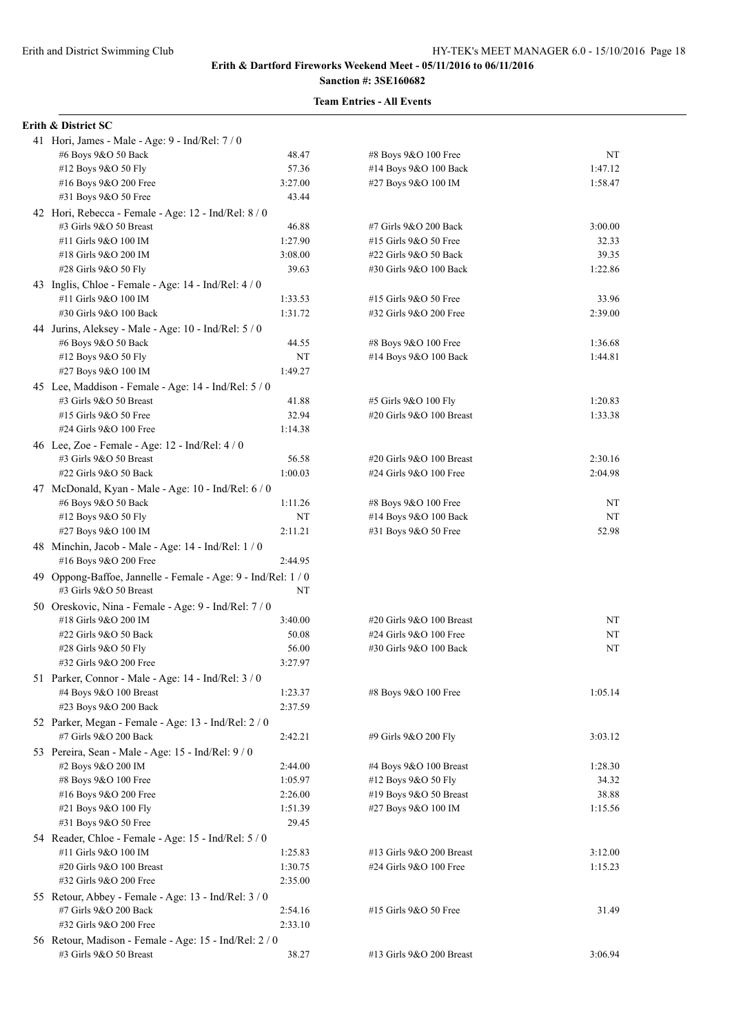# **Sanction #: 3SE160682**

# **Team Entries - All Events**

# **Erith & District SC**

| 41 Hori, James - Male - Age: $9$ - Ind/Rel: $7/0$             |         |                               |         |
|---------------------------------------------------------------|---------|-------------------------------|---------|
| #6 Boys 9&O 50 Back                                           | 48.47   | #8 Boys 9&O 100 Free          | NT      |
| #12 Boys 9&O 50 Fly                                           | 57.36   | #14 Boys 9&O 100 Back         | 1:47.12 |
| #16 Boys 9&O 200 Free                                         | 3:27.00 | #27 Boys 9&O 100 IM           | 1:58.47 |
| #31 Boys 9&O 50 Free                                          | 43.44   |                               |         |
| 42 Hori, Rebecca - Female - Age: 12 - Ind/Rel: 8 / 0          |         |                               |         |
| #3 Girls 9&O 50 Breast                                        | 46.88   | #7 Girls 9&O 200 Back         | 3:00.00 |
| #11 Girls 9&O 100 IM                                          | 1:27.90 | #15 Girls 9&O 50 Free         | 32.33   |
| #18 Girls 9&O 200 IM                                          | 3:08.00 | #22 Girls 9&O 50 Back         | 39.35   |
| #28 Girls 9&O 50 Fly                                          | 39.63   | #30 Girls 9&O 100 Back        | 1:22.86 |
| 43 Inglis, Chloe - Female - Age: 14 - Ind/Rel: 4 / 0          |         |                               |         |
| #11 Girls 9&O 100 IM                                          | 1:33.53 | #15 Girls 9&O 50 Free         | 33.96   |
| #30 Girls 9&O 100 Back                                        | 1:31.72 | #32 Girls 9&O 200 Free        | 2:39.00 |
| 44 Jurins, Aleksey - Male - Age: 10 - Ind/Rel: $5/0$          |         |                               |         |
| #6 Boys 9&O 50 Back                                           | 44.55   | #8 Boys 9&O 100 Free          | 1:36.68 |
| #12 Boys 9&O 50 Fly                                           | NT      | #14 Boys 9&O 100 Back         | 1:44.81 |
| #27 Boys 9&O 100 IM                                           | 1:49.27 |                               |         |
| 45 Lee, Maddison - Female - Age: 14 - Ind/Rel: 5 / 0          |         |                               |         |
| #3 Girls 9&O 50 Breast                                        | 41.88   | #5 Girls 9&O 100 Fly          | 1:20.83 |
| #15 Girls 9&O 50 Free                                         | 32.94   | #20 Girls 9&O 100 Breast      | 1:33.38 |
| #24 Girls 9&O 100 Free                                        | 1:14.38 |                               |         |
| 46 Lee, Zoe - Female - Age: $12$ - Ind/Rel: $4/0$             |         |                               |         |
| #3 Girls 9&O 50 Breast                                        | 56.58   | #20 Girls 9&O 100 Breast      | 2:30.16 |
| #22 Girls 9&O 50 Back                                         | 1:00.03 | #24 Girls 9&O 100 Free        | 2:04.98 |
| 47 McDonald, Kyan - Male - Age: 10 - Ind/Rel: 6 / 0           |         |                               |         |
| #6 Boys 9&O 50 Back                                           | 1:11.26 | #8 Boys 9&O 100 Free          | NT      |
| #12 Boys 9&O 50 Fly                                           | NT      | #14 Boys 9&O 100 Back         | NT      |
| #27 Boys 9&O 100 IM                                           | 2:11.21 | #31 Boys 9&O 50 Free          | 52.98   |
| 48 Minchin, Jacob - Male - Age: 14 - Ind/Rel: 1 / 0           |         |                               |         |
| #16 Boys 9&O 200 Free                                         | 2:44.95 |                               |         |
| 49 Oppong-Baffoe, Jannelle - Female - Age: 9 - Ind/Rel: 1 / 0 |         |                               |         |
| #3 Girls 9&O 50 Breast                                        | NT      |                               |         |
| 50 Oreskovic, Nina - Female - Age: 9 - Ind/Rel: 7 / 0         |         |                               |         |
| #18 Girls 9&O 200 IM                                          | 3:40.00 | $\#20$ Girls $9&O$ 100 Breast | NT      |
| #22 Girls 9&O 50 Back                                         | 50.08   | #24 Girls 9&O 100 Free        | NT      |
| #28 Girls 9&O 50 Fly                                          | 56.00   | #30 Girls 9&O 100 Back        | NT      |
| #32 Girls 9&O 200 Free                                        | 3:27.97 |                               |         |
| 51 Parker, Connor - Male - Age: 14 - Ind/Rel: 3 / 0           |         |                               |         |
| #4 Boys 9&O 100 Breast                                        | 1:23.37 | #8 Boys 9&O 100 Free          | 1:05.14 |
| #23 Boys 9&O 200 Back                                         | 2:37.59 |                               |         |
| 52 Parker, Megan - Female - Age: 13 - Ind/Rel: 2 / 0          |         |                               |         |
| #7 Girls 9&O 200 Back                                         | 2:42.21 | #9 Girls 9&O 200 Fly          | 3:03.12 |
| 53 Pereira, Sean - Male - Age: 15 - Ind/Rel: 9 / 0            |         |                               |         |
| #2 Boys 9&O 200 IM                                            | 2:44.00 | #4 Boys $9&O$ 100 Breast      | 1:28.30 |
| #8 Boys 9&O 100 Free                                          | 1:05.97 | #12 Boys 9&O 50 Fly           | 34.32   |
| #16 Boys 9&O 200 Free                                         | 2:26.00 | #19 Boys 9&O 50 Breast        | 38.88   |
| #21 Boys 9&O 100 Fly                                          | 1:51.39 | #27 Boys 9&O 100 IM           | 1:15.56 |
| #31 Boys 9&O 50 Free                                          | 29.45   |                               |         |
| 54 Reader, Chloe - Female - Age: 15 - Ind/Rel: 5 / 0          |         |                               |         |
| #11 Girls 9&O 100 IM                                          | 1:25.83 | #13 Girls 9&O 200 Breast      | 3:12.00 |
| #20 Girls 9&O 100 Breast                                      | 1:30.75 | #24 Girls 9&O 100 Free        | 1:15.23 |
| #32 Girls 9&O 200 Free                                        | 2:35.00 |                               |         |
| 55 Retour, Abbey - Female - Age: 13 - Ind/Rel: 3 / 0          |         |                               |         |
| #7 Girls 9&O 200 Back                                         | 2:54.16 | #15 Girls 9&O 50 Free         | 31.49   |
| #32 Girls 9&O 200 Free                                        | 2:33.10 |                               |         |
| 56 Retour, Madison - Female - Age: 15 - Ind/Rel: 2 / 0        |         |                               |         |
| #3 Girls 9&O 50 Breast                                        | 38.27   | #13 Girls 9&O 200 Breast      | 3:06.94 |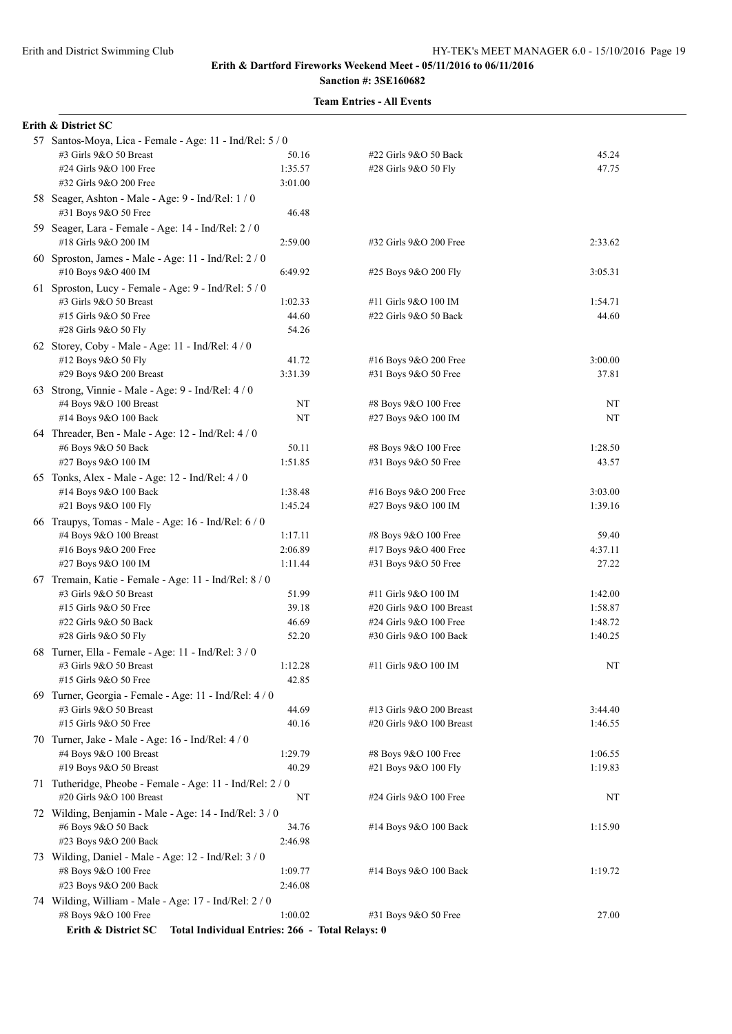| Erith & District SC                                                       |                  |                                              |         |
|---------------------------------------------------------------------------|------------------|----------------------------------------------|---------|
| 57 Santos-Moya, Lica - Female - Age: 11 - Ind/Rel: 5 / 0                  |                  |                                              |         |
| #3 Girls 9&O 50 Breast                                                    | 50.16            | #22 Girls 9&O 50 Back                        | 45.24   |
| #24 Girls 9&O 100 Free                                                    | 1:35.57          | #28 Girls 9&O 50 Fly                         | 47.75   |
| #32 Girls 9&O 200 Free                                                    | 3:01.00          |                                              |         |
| 58 Seager, Ashton - Male - Age: 9 - Ind/Rel: 1 / 0                        |                  |                                              |         |
| #31 Boys 9&O 50 Free                                                      | 46.48            |                                              |         |
| 59 Seager, Lara - Female - Age: 14 - Ind/Rel: 2 / 0                       |                  |                                              |         |
| #18 Girls 9&O 200 IM                                                      | 2:59.00          | #32 Girls 9&O 200 Free                       | 2:33.62 |
| 60 Sproston, James - Male - Age: 11 - Ind/Rel: 2 / 0                      |                  |                                              |         |
| #10 Boys 9&O 400 IM                                                       | 6:49.92          | #25 Boys 9&O 200 Fly                         | 3:05.31 |
| 61 Sproston, Lucy - Female - Age: 9 - Ind/Rel: 5 / 0                      |                  |                                              |         |
| #3 Girls 9&O 50 Breast                                                    | 1:02.33          | #11 Girls 9&O 100 IM                         | 1:54.71 |
| #15 Girls 9&O 50 Free                                                     | 44.60            | #22 Girls 9&O 50 Back                        | 44.60   |
| #28 Girls 9&O 50 Fly                                                      | 54.26            |                                              |         |
| 62 Storey, Coby - Male - Age: 11 - Ind/Rel: $4/0$                         |                  |                                              |         |
| #12 Boys 9&O 50 Fly                                                       | 41.72            | #16 Boys 9&O 200 Free                        | 3:00.00 |
| #29 Boys 9&O 200 Breast                                                   | 3:31.39          | #31 Boys 9&O 50 Free                         | 37.81   |
| 63 Strong, Vinnie - Male - Age: 9 - Ind/Rel: 4 / 0                        |                  |                                              |         |
| #4 Boys 9&O 100 Breast                                                    | NT               | #8 Boys 9&O 100 Free                         | NT      |
| #14 Boys 9&O 100 Back                                                     | NT               | #27 Boys 9&O 100 IM                          | NT      |
|                                                                           |                  |                                              |         |
| 64 Threader, Ben - Male - Age: 12 - Ind/Rel: 4 / 0<br>#6 Boys 9&O 50 Back |                  |                                              | 1:28.50 |
| #27 Boys 9&O 100 IM                                                       | 50.11<br>1:51.85 | #8 Boys 9&O 100 Free<br>#31 Boys 9&O 50 Free | 43.57   |
|                                                                           |                  |                                              |         |
| 65 Tonks, Alex - Male - Age: 12 - Ind/Rel: 4 / 0                          |                  |                                              |         |
| #14 Boys 9&O 100 Back                                                     | 1:38.48          | #16 Boys 9&O 200 Free                        | 3:03.00 |
| #21 Boys 9&O 100 Fly                                                      | 1:45.24          | #27 Boys 9&O 100 IM                          | 1:39.16 |
| 66 Traupys, Tomas - Male - Age: 16 - Ind/Rel: 6 / 0                       |                  |                                              |         |
| #4 Boys 9&O 100 Breast                                                    | 1:17.11          | #8 Boys 9&O 100 Free                         | 59.40   |
| #16 Boys 9&O 200 Free                                                     | 2:06.89          | #17 Boys 9&O 400 Free                        | 4:37.11 |
| #27 Boys 9&O 100 IM                                                       | 1:11.44          | #31 Boys 9&O 50 Free                         | 27.22   |
| 67 Tremain, Katie - Female - Age: 11 - Ind/Rel: 8 / 0                     |                  |                                              |         |
| #3 Girls 9&O 50 Breast                                                    | 51.99            | #11 Girls 9&O 100 IM                         | 1:42.00 |
| #15 Girls 9&O 50 Free                                                     | 39.18            | #20 Girls 9&O 100 Breast                     | 1:58.87 |
| #22 Girls 9&O 50 Back                                                     | 46.69            | #24 Girls 9&O 100 Free                       | 1:48.72 |
| #28 Girls 9&O 50 Fly                                                      | 52.20            | #30 Girls 9&O 100 Back                       | 1:40.25 |
| 68 Turner, Ella - Female - Age: 11 - Ind/Rel: 3 / 0                       |                  |                                              |         |
| #3 Girls 9&O 50 Breast                                                    | 1:12.28          | #11 Girls 9&O 100 IM                         | NT      |
| #15 Girls 9&O 50 Free                                                     | 42.85            |                                              |         |
| 69 Turner, Georgia - Female - Age: 11 - Ind/Rel: 4 / 0                    |                  |                                              |         |
| #3 Girls 9&O 50 Breast                                                    | 44.69            | #13 Girls 9&O 200 Breast                     | 3:44.40 |
| #15 Girls 9&O 50 Free                                                     | 40.16            | #20 Girls 9&O 100 Breast                     | 1:46.55 |
| 70 Turner, Jake - Male - Age: 16 - Ind/Rel: 4 / 0                         |                  |                                              |         |
| #4 Boys 9&O 100 Breast                                                    | 1:29.79          | #8 Boys 9&O 100 Free                         | 1:06.55 |
| #19 Boys 9&O 50 Breast                                                    | 40.29            | #21 Boys 9&O 100 Fly                         | 1:19.83 |
| 71 Tutheridge, Pheobe - Female - Age: 11 - Ind/Rel: 2 / 0                 |                  |                                              |         |
| #20 Girls 9&O 100 Breast                                                  | NT               | #24 Girls 9&O 100 Free                       | NT      |
| 72 Wilding, Benjamin - Male - Age: 14 - Ind/Rel: 3 / 0                    |                  |                                              |         |
| #6 Boys 9&O 50 Back                                                       | 34.76            | #14 Boys 9&O 100 Back                        | 1:15.90 |
| #23 Boys 9&O 200 Back                                                     | 2:46.98          |                                              |         |
| 73 Wilding, Daniel - Male - Age: 12 - Ind/Rel: 3 / 0                      |                  |                                              |         |
| #8 Boys 9&O 100 Free                                                      | 1:09.77          | #14 Boys 9&O 100 Back                        | 1:19.72 |
| #23 Boys 9&O 200 Back                                                     | 2:46.08          |                                              |         |
| 74 Wilding, William - Male - Age: 17 - Ind/Rel: 2 / 0                     |                  |                                              |         |
| #8 Boys 9&O 100 Free                                                      | 1:00.02          | #31 Boys 9&O 50 Free                         | 27.00   |
| Erith & District SC<br>Total Individual Entries: 266 - Total Relays: 0    |                  |                                              |         |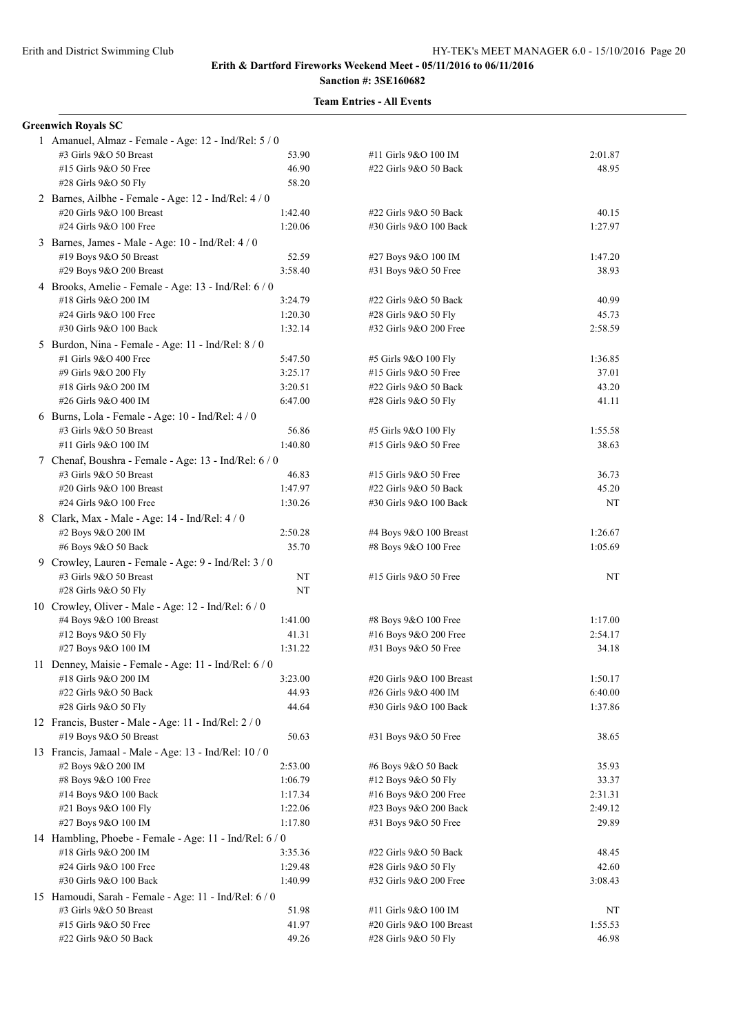**Greenwich Royals SC**

## **Erith & Dartford Fireworks Weekend Meet - 05/11/2016 to 06/11/2016**

# **Sanction #: 3SE160682**

## **Team Entries - All Events**

#### 1 Amanuel, Almaz - Female - Age: 12 - Ind/Rel: 5 / 0 #3 Girls 9&O 50 Breast 53.90 #11 Girls 9&O 100 IM 2:01.87 #15 Girls 9&O 50 Free 46.90 #22 Girls 9&O 50 Back 48.95 #28 Girls 9&O 50 Fly 58.20 2 Barnes, Ailbhe - Female - Age: 12 - Ind/Rel: 4 / 0 #20 Girls 9&O 100 Breast 1:42.40 #22 Girls 9&O 50 Back 40.15 #24 Girls 9&O 100 Free 1:20.06 #30 Girls 9&O 100 Back 1:27.97 3 Barnes, James - Male - Age: 10 - Ind/Rel: 4 / 0 #19 Boys 9&O 50 Breast 52.59 #27 Boys 9&O 100 IM 1:47.20 #29 Boys 9&O 200 Breast 3:58.40 #31 Boys 9&O 50 Free 38.93 4 Brooks, Amelie - Female - Age: 13 - Ind/Rel: 6 / 0 #18 Girls 9&O 200 IM 3:24.79 #22 Girls 9&O 50 Back 40.99 #24 Girls 9&O 100 Free 1:20.30 #28 Girls 9&O 50 Fly 45.73 #30 Girls 9&O 100 Back 1:32.14 #32 Girls 9&O 200 Free 2:58.59 5 Burdon, Nina - Female - Age: 11 - Ind/Rel: 8 / 0 #1 Girls 9&O 400 Free 5:47.50 #5 Girls 9&O 100 Fly 1:36.85 #9 Girls 9&O 200 Fly 3:25.17 #15 Girls 9&O 50 Free 37.01 #18 Girls 9&O 200 IM 3:20.51 #22 Girls 9&O 50 Back 43.20 #26 Girls 9&O 400 IM 6:47.00 #28 Girls 9&O 50 Fly 41.11 6 Burns, Lola - Female - Age: 10 - Ind/Rel: 4 / 0 #3 Girls 9&O 50 Breast 56.86 #5 Girls 9&O 100 Fly 1:55.58 #11 Girls 9&O 100 IM 1:40.80 #15 Girls 9&O 50 Free 38.63 7 Chenaf, Boushra - Female - Age: 13 - Ind/Rel: 6 / 0 #3 Girls 9&O 50 Breast 46.83 #15 Girls 9&O 50 Free 36.73 #20 Girls 9&O 100 Breast 1:47.97 #22 Girls 9&O 50 Back 45.20 #24 Girls 9&O 100 Free 1:30.26 #30 Girls 9&O 100 Back NT 8 Clark, Max - Male - Age: 14 - Ind/Rel: 4 / 0 #2 Boys 9&O 200 IM 2:50.28 #4 Boys 9&O 100 Breast 1:26.67 #6 Boys 9&O 50 Back 35.70 #8 Boys 9&O 100 Free 1:05.69 9 Crowley, Lauren - Female - Age: 9 - Ind/Rel: 3 / 0 #3 Girls 9&O 50 Breast NT #15 Girls 9&O 50 Free NT #28 Girls 9&O 50 Fly NT 10 Crowley, Oliver - Male - Age: 12 - Ind/Rel: 6 / 0 #4 Boys 9&O 100 Breast 1:41.00 #8 Boys 9&O 100 Free 1:17.00 #12 Boys 9&O 50 Fly 41.31 #16 Boys 9&O 200 Free 2:54.17 #27 Boys 9&O 100 IM 1:31.22 #31 Boys 9&O 50 Free 34.18 11 Denney, Maisie - Female - Age: 11 - Ind/Rel: 6 / 0 #18 Girls 9&O 200 IM 3:23.00 #20 Girls 9&O 100 Breast 1:50.17 #22 Girls 9&O 50 Back 44.93 #26 Girls 9&O 400 IM 6:40.00 #28 Girls 9&O 50 Fly 44.64 #30 Girls 9&O 100 Back 1:37.86 12 Francis, Buster - Male - Age: 11 - Ind/Rel: 2 / 0 #19 Boys 9&O 50 Breast 50.63 #31 Boys 9&O 50 Free 38.65 13 Francis, Jamaal - Male - Age: 13 - Ind/Rel: 10 / 0 #2 Boys 9&O 200 IM 2:53.00 #6 Boys 9&O 50 Back 35.93 #8 Boys 9&O 100 Free 1:06.79 #12 Boys 9&O 50 Fly 33.37 #14 Boys 9&O 100 Back 1:17.34 #16 Boys 9&O 200 Free 2:31.31 #21 Boys 9&O 100 Fly 1:22.06 #23 Boys 9&O 200 Back 2:49.12 #27 Boys 9&O 100 IM 1:17.80 #31 Boys 9&O 50 Free 29.89 14 Hambling, Phoebe - Female - Age: 11 - Ind/Rel: 6 / 0 #18 Girls 9&O 200 IM 3:35.36 #22 Girls 9&O 50 Back 48.45 #24 Girls 9&O 100 Free 1:29.48 #28 Girls 9&O 50 Fly 42.60 #30 Girls 9&O 100 Back 1:40.99 #32 Girls 9&O 200 Free 3:08.43 15 Hamoudi, Sarah - Female - Age: 11 - Ind/Rel: 6 / 0 #3 Girls 9&O 50 Breast 51.98 #11 Girls 9&O 100 IM NT #15 Girls 9&O 50 Free 41.97 #20 Girls 9&O 100 Breast 1:55.53 #22 Girls 9&O 50 Back 49.26 #28 Girls 9&O 50 Fly 46.98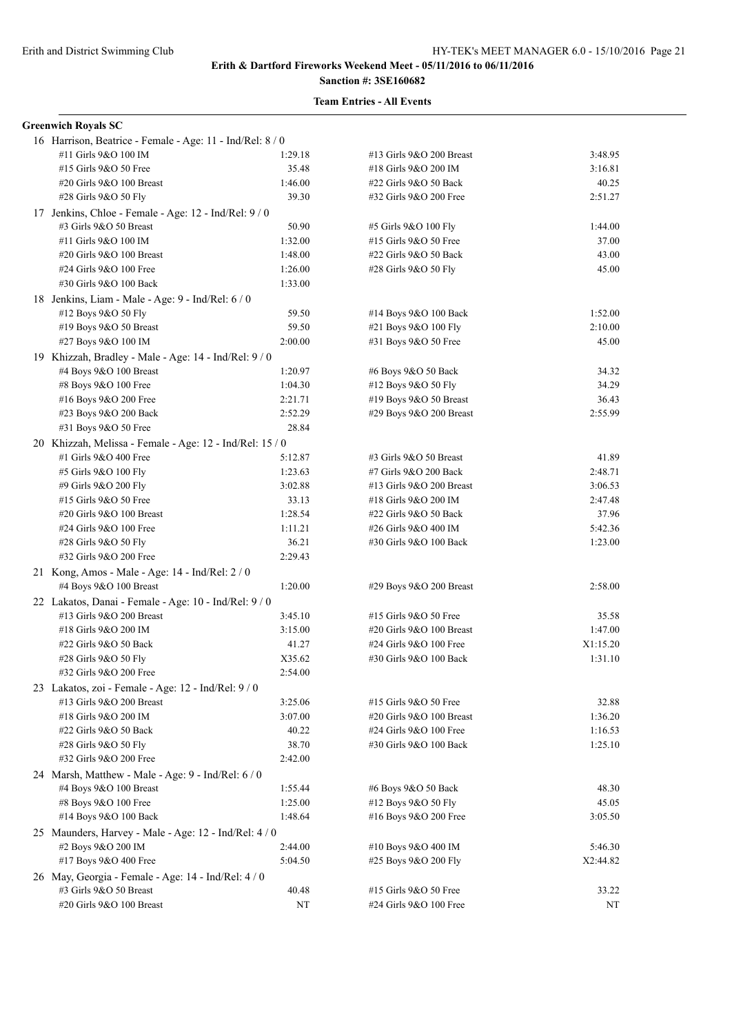# **Sanction #: 3SE160682**

| <b>Greenwich Royals SC</b>                                |         |                                                   |                     |
|-----------------------------------------------------------|---------|---------------------------------------------------|---------------------|
| 16 Harrison, Beatrice - Female - Age: 11 - Ind/Rel: 8 / 0 |         |                                                   |                     |
| #11 Girls 9&O 100 IM                                      | 1:29.18 | #13 Girls 9&O 200 Breast                          | 3:48.95             |
| #15 Girls 9&O 50 Free                                     | 35.48   | #18 Girls 9&O 200 IM                              | 3:16.81             |
| #20 Girls 9&O 100 Breast                                  | 1:46.00 | #22 Girls 9&O 50 Back                             | 40.25               |
| #28 Girls 9&O 50 Fly                                      | 39.30   | #32 Girls 9&O 200 Free                            | 2:51.27             |
| 17 Jenkins, Chloe - Female - Age: 12 - Ind/Rel: 9 / 0     |         |                                                   |                     |
| #3 Girls 9&O 50 Breast                                    | 50.90   | #5 Girls 9&O 100 Fly                              | 1:44.00             |
| #11 Girls 9&O 100 IM                                      | 1:32.00 | #15 Girls 9&O 50 Free                             | 37.00               |
| #20 Girls 9&O 100 Breast                                  | 1:48.00 | #22 Girls 9&O 50 Back                             | 43.00               |
| #24 Girls 9&O 100 Free                                    | 1:26.00 | #28 Girls 9&O 50 Fly                              | 45.00               |
| #30 Girls 9&O 100 Back                                    | 1:33.00 |                                                   |                     |
| 18 Jenkins, Liam - Male - Age: 9 - Ind/Rel: 6 / 0         |         |                                                   |                     |
| #12 Boys 9&O 50 Fly                                       | 59.50   | #14 Boys 9&O 100 Back                             | 1:52.00             |
| #19 Boys 9&O 50 Breast                                    | 59.50   | #21 Boys 9&O 100 Fly                              | 2:10.00             |
| #27 Boys 9&O 100 IM                                       | 2:00.00 | #31 Boys 9&O 50 Free                              | 45.00               |
| 19 Khizzah, Bradley - Male - Age: 14 - Ind/Rel: 9/0       |         |                                                   |                     |
| #4 Boys 9&O 100 Breast                                    | 1:20.97 | #6 Boys 9&O 50 Back                               | 34.32               |
| #8 Boys 9&O 100 Free                                      | 1:04.30 | #12 Boys 9&O 50 Fly                               | 34.29               |
| #16 Boys 9&O 200 Free                                     | 2:21.71 | #19 Boys $9&O 50$ Breast                          | 36.43               |
| #23 Boys 9&O 200 Back                                     | 2:52.29 | #29 Boys 9&O 200 Breast                           | 2:55.99             |
| #31 Boys 9&O 50 Free                                      | 28.84   |                                                   |                     |
| 20 Khizzah, Melissa - Female - Age: 12 - Ind/Rel: 15 / 0  |         |                                                   |                     |
| #1 Girls 9&O 400 Free                                     | 5:12.87 | #3 Girls 9&O 50 Breast                            | 41.89               |
| #5 Girls 9&O 100 Fly                                      | 1:23.63 | #7 Girls 9&O 200 Back                             | 2:48.71             |
| #9 Girls 9&O 200 Fly                                      | 3:02.88 | #13 Girls 9&O 200 Breast                          | 3:06.53             |
| #15 Girls 9&O 50 Free                                     | 33.13   | #18 Girls 9&O 200 IM                              | 2:47.48             |
| #20 Girls 9&O 100 Breast                                  | 1:28.54 | #22 Girls 9&O 50 Back                             | 37.96               |
| #24 Girls 9&O 100 Free                                    | 1:11.21 | #26 Girls 9&O 400 IM                              | 5:42.36             |
| #28 Girls 9&O 50 Fly                                      | 36.21   | #30 Girls 9&O 100 Back                            | 1:23.00             |
| #32 Girls 9&O 200 Free                                    | 2:29.43 |                                                   |                     |
| 21 Kong, Amos - Male - Age: 14 - Ind/Rel: $2/0$           |         |                                                   |                     |
| #4 Boys 9&O 100 Breast                                    | 1:20.00 | #29 Boys 9&O 200 Breast                           | 2:58.00             |
|                                                           |         |                                                   |                     |
| 22 Lakatos, Danai - Female - Age: 10 - Ind/Rel: 9 / 0     |         |                                                   |                     |
| #13 Girls 9&O 200 Breast<br>#18 Girls 9&O 200 IM          | 3:45.10 | #15 Girls 9&O 50 Free<br>#20 Girls 9&O 100 Breast | 35.58               |
| #22 Girls 9&O 50 Back                                     | 3:15.00 | #24 Girls 9&O 100 Free                            | 1:47.00             |
| #28 Girls 9&O 50 Fly                                      | 41.27   | #30 Girls 9&O 100 Back                            | X1:15.20<br>1:31.10 |
| #32 Girls 9&O 200 Free                                    | X35.62  |                                                   |                     |
|                                                           | 2:54.00 |                                                   |                     |
| 23 Lakatos, zoi - Female - Age: 12 - Ind/Rel: 9 / 0       |         |                                                   |                     |
| #13 Girls 9&O 200 Breast                                  | 3:25.06 | #15 Girls 9&O 50 Free                             | 32.88               |
| #18 Girls 9&O 200 IM                                      | 3:07.00 | #20 Girls 9&O 100 Breast                          | 1:36.20             |
| #22 Girls 9&O 50 Back                                     | 40.22   | #24 Girls 9&O 100 Free                            | 1:16.53             |
| #28 Girls 9&O 50 Fly                                      | 38.70   | #30 Girls 9&O 100 Back                            | 1:25.10             |
| #32 Girls 9&O 200 Free                                    | 2:42.00 |                                                   |                     |
| 24 Marsh, Matthew - Male - Age: 9 - Ind/Rel: 6 / 0        |         |                                                   |                     |
| #4 Boys 9&O 100 Breast                                    | 1:55.44 | #6 Boys 9&O 50 Back                               | 48.30               |
| #8 Boys 9&O 100 Free                                      | 1:25.00 | #12 Boys 9&O 50 Fly                               | 45.05               |
| #14 Boys 9&O 100 Back                                     | 1:48.64 | #16 Boys 9&O 200 Free                             | 3:05.50             |
| 25 Maunders, Harvey - Male - Age: 12 - Ind/Rel: 4/0       |         |                                                   |                     |
| #2 Boys 9&O 200 IM                                        | 2:44.00 | #10 Boys 9&O 400 IM                               | 5:46.30             |
| #17 Boys 9&O 400 Free                                     | 5:04.50 | #25 Boys 9&O 200 Fly                              | X2:44.82            |
| 26 May, Georgia - Female - Age: 14 - Ind/Rel: 4 / 0       |         |                                                   |                     |
| #3 Girls 9&O 50 Breast                                    | 40.48   | #15 Girls 9&O 50 Free                             | 33.22               |
| #20 Girls 9&O 100 Breast                                  | NT      | #24 Girls 9&O 100 Free                            | NT                  |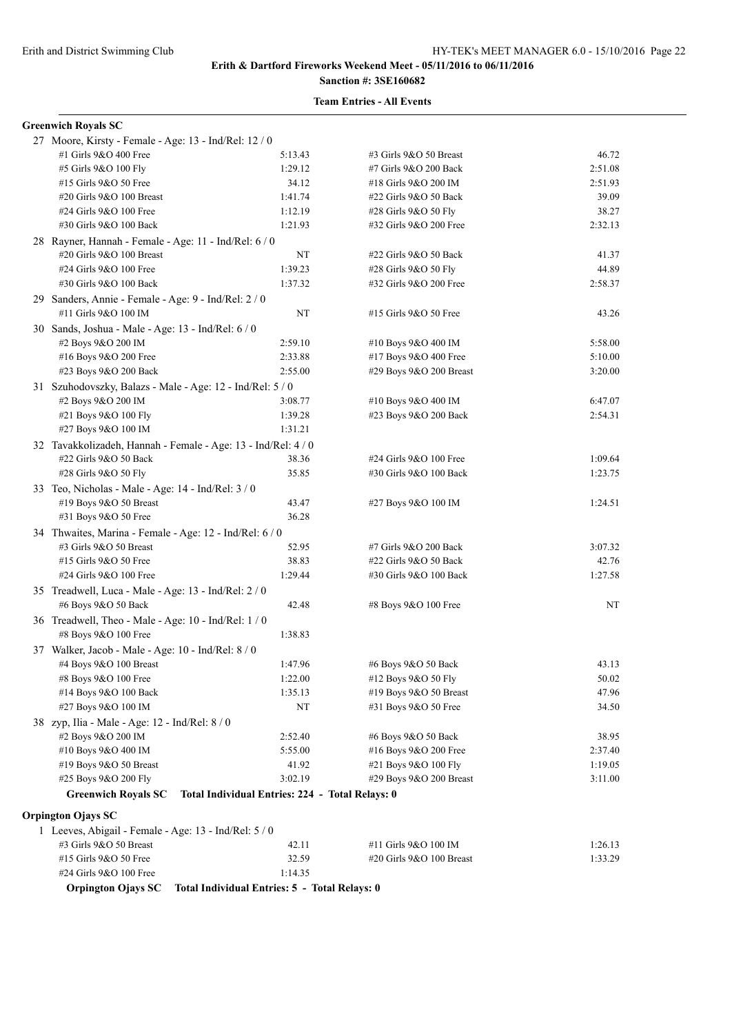# **Sanction #: 3SE160682**

#### **Team Entries - All Events**

#### **Greenwich Royals SC**

| 27 Moore, Kirsty - Female - Age: 13 - Ind/Rel: 12 / 0       |                                                 |                          |         |
|-------------------------------------------------------------|-------------------------------------------------|--------------------------|---------|
| #1 Girls 9&O 400 Free                                       | 5:13.43                                         | #3 Girls 9&O 50 Breast   | 46.72   |
| #5 Girls 9&O 100 Fly                                        | 1:29.12                                         | #7 Girls 9&O 200 Back    | 2:51.08 |
| #15 Girls 9&O 50 Free                                       | 34.12                                           | #18 Girls 9&O 200 IM     | 2:51.93 |
| #20 Girls 9&O 100 Breast                                    | 1:41.74                                         | #22 Girls 9&O 50 Back    | 39.09   |
| #24 Girls 9&O 100 Free                                      | 1:12.19                                         | #28 Girls 9&O 50 Fly     | 38.27   |
| #30 Girls 9&O 100 Back                                      | 1:21.93                                         | #32 Girls 9&O 200 Free   | 2:32.13 |
| 28 Rayner, Hannah - Female - Age: 11 - Ind/Rel: 6 / 0       |                                                 |                          |         |
| #20 Girls 9&O 100 Breast                                    | NT                                              | #22 Girls 9&O 50 Back    | 41.37   |
| #24 Girls 9&O 100 Free                                      | 1:39.23                                         | #28 Girls 9&O 50 Fly     | 44.89   |
| #30 Girls 9&O 100 Back                                      | 1:37.32                                         | #32 Girls 9&O 200 Free   | 2:58.37 |
| 29 Sanders, Annie - Female - Age: 9 - Ind/Rel: 2 / 0        |                                                 |                          |         |
| #11 Girls 9&O 100 IM                                        | NT                                              | #15 Girls 9&O 50 Free    | 43.26   |
| 30 Sands, Joshua - Male - Age: 13 - Ind/Rel: 6 / 0          |                                                 |                          |         |
| #2 Boys 9&O 200 IM                                          | 2:59.10                                         | #10 Boys 9&O 400 IM      | 5:58.00 |
| #16 Boys 9&O 200 Free                                       | 2:33.88                                         | #17 Boys 9&O 400 Free    | 5:10.00 |
| #23 Boys 9&O 200 Back                                       | 2:55.00                                         | #29 Boys 9&O 200 Breast  | 3:20.00 |
| 31 Szuhodovszky, Balazs - Male - Age: 12 - Ind/Rel: 5 / 0   |                                                 |                          |         |
| #2 Boys 9&O 200 IM                                          | 3:08.77                                         | #10 Boys 9&O 400 IM      | 6:47.07 |
| #21 Boys 9&O 100 Fly                                        | 1:39.28                                         | #23 Boys 9&O 200 Back    | 2:54.31 |
| #27 Boys 9&O 100 IM                                         | 1:31.21                                         |                          |         |
| 32 Tavakkolizadeh, Hannah - Female - Age: 13 - Ind/Rel: 4/0 |                                                 |                          |         |
| #22 Girls 9&O 50 Back                                       | 38.36                                           | #24 Girls 9&O 100 Free   | 1:09.64 |
| #28 Girls 9&O 50 Fly                                        | 35.85                                           | #30 Girls 9&O 100 Back   | 1:23.75 |
| 33 Teo, Nicholas - Male - Age: 14 - Ind/Rel: 3 / 0          |                                                 |                          |         |
| #19 Boys 9&O 50 Breast                                      | 43.47                                           | #27 Boys 9&O 100 IM      | 1:24.51 |
| #31 Boys 9&O 50 Free                                        | 36.28                                           |                          |         |
| 34 Thwaites, Marina - Female - Age: 12 - Ind/Rel: 6 / 0     |                                                 |                          |         |
| #3 Girls 9&O 50 Breast                                      | 52.95                                           | #7 Girls 9&O 200 Back    | 3:07.32 |
| #15 Girls 9&O 50 Free                                       | 38.83                                           | #22 Girls 9&O 50 Back    | 42.76   |
| #24 Girls 9&O 100 Free                                      | 1:29.44                                         | #30 Girls 9&O 100 Back   | 1:27.58 |
| 35 Treadwell, Luca - Male - Age: 13 - Ind/Rel: 2 / 0        |                                                 |                          |         |
| #6 Boys 9&O 50 Back                                         | 42.48                                           | #8 Boys 9&O 100 Free     | NT      |
| 36 Treadwell, Theo - Male - Age: 10 - Ind/Rel: 1 / 0        |                                                 |                          |         |
| #8 Boys 9&O 100 Free                                        | 1:38.83                                         |                          |         |
| 37 Walker, Jacob - Male - Age: 10 - Ind/Rel: 8 / 0          |                                                 |                          |         |
| #4 Boys 9&O 100 Breast                                      | 1:47.96                                         | #6 Boys 9&O 50 Back      | 43.13   |
| #8 Boys 9&O 100 Free                                        | 1:22.00                                         | #12 Boys 9&O 50 Fly      | 50.02   |
| #14 Boys 9&O 100 Back                                       | 1:35.13                                         | #19 Boys 9&O 50 Breast   | 47.96   |
| #27 Boys 9&O 100 IM                                         | NT                                              | #31 Boys 9&O 50 Free     | 34.50   |
| 38 zyp, Ilia - Male - Age: 12 - Ind/Rel: 8 / 0              |                                                 |                          |         |
| #2 Boys 9&O 200 IM                                          | 2:52.40                                         | #6 Boys 9&O 50 Back      | 38.95   |
| #10 Boys 9&O 400 IM                                         | 5:55.00                                         | #16 Boys 9&O 200 Free    | 2:37.40 |
| #19 Boys 9&O 50 Breast                                      | 41.92                                           | #21 Boys 9&O 100 Fly     | 1:19.05 |
| #25 Boys 9&O 200 Fly                                        | 3:02.19                                         | #29 Boys 9&O 200 Breast  | 3:11.00 |
| <b>Greenwich Royals SC</b>                                  | Total Individual Entries: 224 - Total Relays: 0 |                          |         |
| <b>Orpington Ojays SC</b>                                   |                                                 |                          |         |
| 1 Leeves, Abigail - Female - Age: 13 - Ind/Rel: 5 / 0       |                                                 |                          |         |
| #3 Girls 9&O 50 Breast                                      | 42.11                                           | #11 Girls 9&O 100 IM     | 1:26.13 |
| #15 Girls 9&O 50 Free                                       | 32.59                                           | #20 Girls 9&O 100 Breast | 1:33.29 |
| #24 Girls 9&O 100 Free                                      | 1:14.35                                         |                          |         |

**Orpington Ojays SC Total Individual Entries: 5 - Total Relays: 0**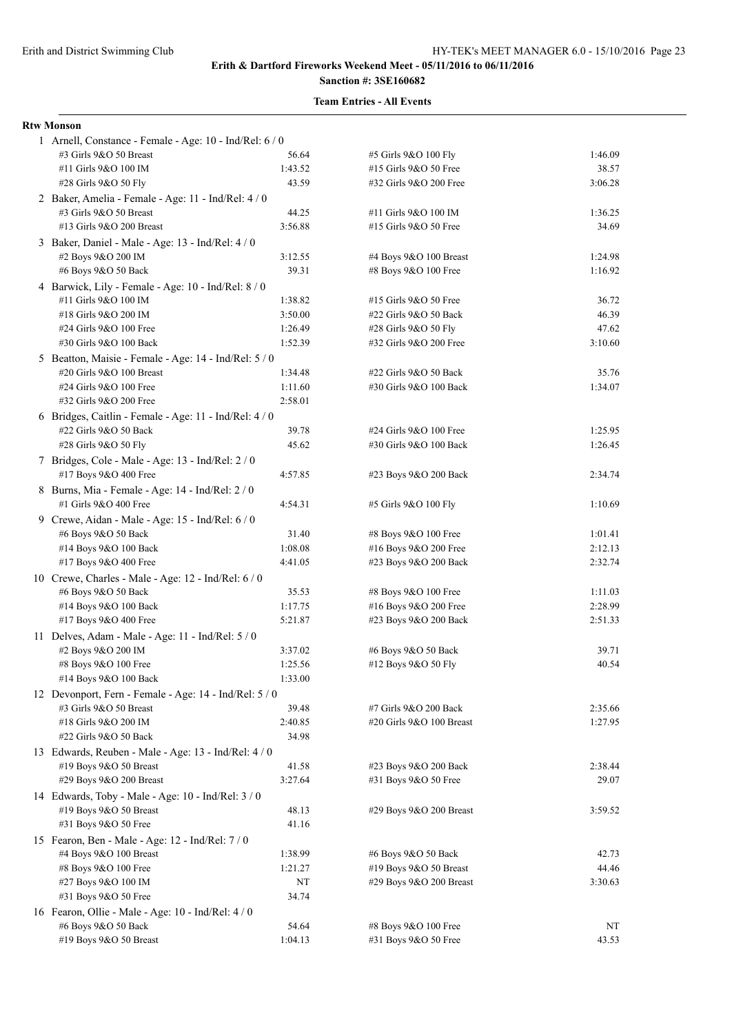# **Sanction #: 3SE160682**

### **Team Entries - All Events**

#### **Rtw Monson**

| 1 Arnell, Constance - Female - Age: 10 - Ind/Rel: 6/0                            |                    |                                                |                    |  |  |
|----------------------------------------------------------------------------------|--------------------|------------------------------------------------|--------------------|--|--|
| #3 Girls 9&O 50 Breast                                                           | 56.64              | #5 Girls 9&O 100 Fly                           | 1:46.09            |  |  |
| #11 Girls 9&O 100 IM                                                             | 1:43.52            | #15 Girls 9&O 50 Free                          | 38.57              |  |  |
| #28 Girls 9&O 50 Fly                                                             | 43.59              | #32 Girls 9&O 200 Free                         | 3:06.28            |  |  |
| 2 Baker, Amelia - Female - Age: 11 - Ind/Rel: 4 / 0                              |                    |                                                |                    |  |  |
| #3 Girls 9&O 50 Breast                                                           | 44.25              | #11 Girls 9&O 100 IM                           | 1:36.25            |  |  |
| #13 Girls 9&O 200 Breast                                                         | 3:56.88            | #15 Girls 9&O 50 Free                          | 34.69              |  |  |
| 3 Baker, Daniel - Male - Age: 13 - Ind/Rel: 4 / 0                                |                    |                                                |                    |  |  |
| #2 Boys 9&O 200 IM                                                               | 3:12.55            | #4 Boys 9&O 100 Breast                         | 1:24.98            |  |  |
| #6 Boys 9&O 50 Back                                                              | 39.31              | #8 Boys 9&O 100 Free                           | 1:16.92            |  |  |
| 4 Barwick, Lily - Female - Age: 10 - Ind/Rel: 8 / 0                              |                    |                                                |                    |  |  |
| #11 Girls 9&O 100 IM<br>#18 Girls 9&O 200 IM                                     | 1:38.82<br>3:50.00 | #15 Girls 9&O 50 Free<br>#22 Girls 9&O 50 Back | 36.72<br>46.39     |  |  |
| #24 Girls 9&O 100 Free                                                           | 1:26.49            | #28 Girls 9&O 50 Fly                           | 47.62              |  |  |
| #30 Girls 9&O 100 Back                                                           | 1:52.39            | #32 Girls 9&O 200 Free                         | 3:10.60            |  |  |
| 5 Beatton, Maisie - Female - Age: 14 - Ind/Rel: 5 / 0                            |                    |                                                |                    |  |  |
| #20 Girls 9&O 100 Breast                                                         | 1:34.48            | #22 Girls 9&O 50 Back                          | 35.76              |  |  |
| #24 Girls 9&O 100 Free                                                           | 1:11.60            | #30 Girls 9&O 100 Back                         | 1:34.07            |  |  |
| #32 Girls 9&O 200 Free                                                           | 2:58.01            |                                                |                    |  |  |
| 6 Bridges, Caitlin - Female - Age: 11 - Ind/Rel: 4 / 0                           |                    |                                                |                    |  |  |
| #22 Girls 9&O 50 Back                                                            | 39.78              | #24 Girls 9&O 100 Free                         | 1:25.95            |  |  |
| #28 Girls 9&O 50 Fly                                                             | 45.62              | #30 Girls 9&O 100 Back                         | 1:26.45            |  |  |
| 7 Bridges, Cole - Male - Age: 13 - Ind/Rel: 2 / 0                                |                    |                                                |                    |  |  |
| #17 Boys 9&O 400 Free                                                            | 4:57.85            | #23 Boys 9&O 200 Back                          | 2:34.74            |  |  |
| 8 Burns, Mia - Female - Age: 14 - Ind/Rel: 2 / 0                                 |                    |                                                |                    |  |  |
| #1 Girls 9&O 400 Free                                                            | 4:54.31            | #5 Girls 9&O 100 Fly                           | 1:10.69            |  |  |
| 9 Crewe, Aidan - Male - Age: 15 - Ind/Rel: 6 / 0                                 |                    |                                                |                    |  |  |
| #6 Boys 9&O 50 Back                                                              | 31.40              | #8 Boys 9&O 100 Free                           | 1:01.41            |  |  |
| #14 Boys 9&O 100 Back                                                            | 1:08.08            | #16 Boys 9&O 200 Free                          | 2:12.13            |  |  |
| #17 Boys 9&O 400 Free                                                            | 4:41.05            | #23 Boys 9&O 200 Back                          | 2:32.74            |  |  |
| 10 Crewe, Charles - Male - Age: 12 - Ind/Rel: 6 / 0                              |                    |                                                |                    |  |  |
| #6 Boys 9&O 50 Back                                                              | 35.53              | #8 Boys 9&O 100 Free                           | 1:11.03            |  |  |
| #14 Boys 9&O 100 Back                                                            | 1:17.75            | #16 Boys 9&O 200 Free                          | 2:28.99            |  |  |
| #17 Boys 9&O 400 Free                                                            | 5:21.87            | #23 Boys 9&O 200 Back                          | 2:51.33            |  |  |
| 11 Delves, Adam - Male - Age: 11 - Ind/Rel: 5 / 0                                |                    |                                                |                    |  |  |
| #2 Boys 9&O 200 IM                                                               | 3:37.02            | #6 Boys 9&O 50 Back                            | 39.71              |  |  |
| #8 Boys 9&O 100 Free                                                             | 1:25.56            | #12 Boys 9&O 50 Fly                            | 40.54              |  |  |
| #14 Boys $9&O$ 100 Back                                                          | 1:33.00            |                                                |                    |  |  |
| 12 Devonport, Fern - Female - Age: 14 - Ind/Rel: 5 / 0<br>#3 Girls 9&O 50 Breast |                    | #7 Girls 9&O 200 Back                          |                    |  |  |
| #18 Girls 9&O 200 IM                                                             | 39.48<br>2:40.85   | #20 Girls 9&O 100 Breast                       | 2:35.66<br>1:27.95 |  |  |
| #22 Girls 9&O 50 Back                                                            | 34.98              |                                                |                    |  |  |
| 13 Edwards, Reuben - Male - Age: 13 - Ind/Rel: 4 / 0                             |                    |                                                |                    |  |  |
| #19 Boys 9&O 50 Breast                                                           | 41.58              | #23 Boys 9&O 200 Back                          | 2:38.44            |  |  |
| #29 Boys 9&O 200 Breast                                                          | 3:27.64            | #31 Boys 9&O 50 Free                           | 29.07              |  |  |
| 14 Edwards, Toby - Male - Age: 10 - Ind/Rel: 3 / 0                               |                    |                                                |                    |  |  |
| #19 Boys 9&O 50 Breast                                                           | 48.13              | #29 Boys 9&O 200 Breast                        | 3:59.52            |  |  |
| #31 Boys 9&O 50 Free                                                             | 41.16              |                                                |                    |  |  |
| 15 Fearon, Ben - Male - Age: 12 - Ind/Rel: 7 / 0                                 |                    |                                                |                    |  |  |
| #4 Boys 9&O 100 Breast                                                           | 1:38.99            | #6 Boys 9&O 50 Back                            | 42.73              |  |  |
| #8 Boys 9&O 100 Free                                                             | 1:21.27            | #19 Boys 9&O 50 Breast                         | 44.46              |  |  |
| #27 Boys 9&O 100 IM                                                              | NT                 | #29 Boys 9&O 200 Breast                        | 3:30.63            |  |  |
| #31 Boys 9&O 50 Free                                                             | 34.74              |                                                |                    |  |  |
| 16 Fearon, Ollie - Male - Age: 10 - Ind/Rel: 4 / 0                               |                    |                                                |                    |  |  |
| #6 Boys 9&O 50 Back                                                              | 54.64              | #8 Boys 9&O 100 Free                           | NT                 |  |  |
| #19 Boys 9&O 50 Breast                                                           | 1:04.13            | #31 Boys 9&O 50 Free                           | 43.53              |  |  |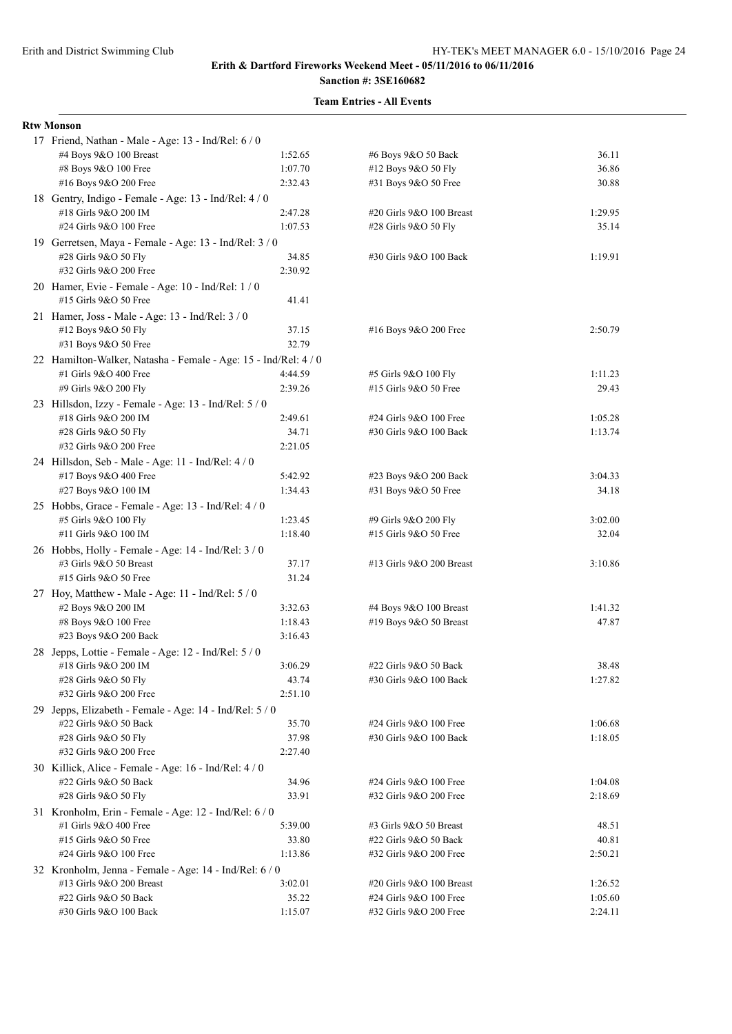# **Sanction #: 3SE160682**

| <b>Rtw Monson</b>                                                           |                  |                                                 |         |  |  |
|-----------------------------------------------------------------------------|------------------|-------------------------------------------------|---------|--|--|
| 17 Friend, Nathan - Male - Age: 13 - Ind/Rel: 6 / 0                         |                  |                                                 |         |  |  |
| #4 Boys 9&O 100 Breast                                                      | 1:52.65          | #6 Boys 9&O 50 Back                             | 36.11   |  |  |
| #8 Boys 9&O 100 Free                                                        | 1:07.70          | #12 Boys 9&O 50 Fly                             | 36.86   |  |  |
| #16 Boys 9&O 200 Free                                                       | 2:32.43          | #31 Boys 9&O 50 Free                            | 30.88   |  |  |
| 18 Gentry, Indigo - Female - Age: 13 - Ind/Rel: 4 / 0                       |                  |                                                 |         |  |  |
| #18 Girls 9&O 200 IM                                                        | 2:47.28          | #20 Girls 9&O 100 Breast                        | 1:29.95 |  |  |
| #24 Girls 9&O 100 Free                                                      | 1:07.53          | #28 Girls 9&O 50 Fly                            | 35.14   |  |  |
| 19 Gerretsen, Maya - Female - Age: 13 - Ind/Rel: 3 / 0                      |                  |                                                 |         |  |  |
| #28 Girls 9&O 50 Fly                                                        | 34.85            | #30 Girls 9&O 100 Back                          | 1:19.91 |  |  |
| #32 Girls 9&O 200 Free                                                      | 2:30.92          |                                                 |         |  |  |
| 20 Hamer, Evie - Female - Age: 10 - Ind/Rel: 1 / 0<br>#15 Girls 9&O 50 Free | 41.41            |                                                 |         |  |  |
| 21 Hamer, Joss - Male - Age: 13 - Ind/Rel: 3 / 0                            |                  |                                                 |         |  |  |
| #12 Boys 9&O 50 Fly                                                         | 37.15            | #16 Boys 9&O 200 Free                           | 2:50.79 |  |  |
| #31 Boys 9&O 50 Free                                                        | 32.79            |                                                 |         |  |  |
| 22 Hamilton-Walker, Natasha - Female - Age: 15 - Ind/Rel: 4 / 0             |                  |                                                 |         |  |  |
| #1 Girls 9&O 400 Free                                                       | 4:44.59          | #5 Girls 9&O 100 Fly                            | 1:11.23 |  |  |
| #9 Girls 9&O 200 Fly                                                        | 2:39.26          | #15 Girls 9&O 50 Free                           | 29.43   |  |  |
| 23 Hillsdon, Izzy - Female - Age: 13 - Ind/Rel: 5 / 0                       |                  |                                                 |         |  |  |
| #18 Girls 9&O 200 IM                                                        | 2:49.61          | #24 Girls 9&O 100 Free                          | 1:05.28 |  |  |
| #28 Girls 9&O 50 Fly                                                        | 34.71            | #30 Girls 9&O 100 Back                          | 1:13.74 |  |  |
| #32 Girls 9&O 200 Free                                                      | 2:21.05          |                                                 |         |  |  |
| 24 Hillsdon, Seb - Male - Age: 11 - Ind/Rel: 4 / 0                          |                  |                                                 |         |  |  |
| #17 Boys 9&O 400 Free                                                       | 5:42.92          | #23 Boys 9&O 200 Back                           | 3:04.33 |  |  |
| #27 Boys 9&O 100 IM                                                         | 1:34.43          | #31 Boys 9&O 50 Free                            | 34.18   |  |  |
| 25 Hobbs, Grace - Female - Age: 13 - Ind/Rel: 4 / 0                         |                  |                                                 |         |  |  |
| #5 Girls 9&O 100 Fly                                                        | 1:23.45          | #9 Girls 9&O 200 Fly                            | 3:02.00 |  |  |
| #11 Girls 9&O 100 IM                                                        | 1:18.40          | #15 Girls 9&O 50 Free                           | 32.04   |  |  |
| 26 Hobbs, Holly - Female - Age: 14 - Ind/Rel: 3 / 0                         |                  |                                                 |         |  |  |
| #3 Girls 9&O 50 Breast                                                      | 37.17            | #13 Girls 9&O 200 Breast                        | 3:10.86 |  |  |
| #15 Girls 9&O 50 Free                                                       | 31.24            |                                                 |         |  |  |
| 27 Hoy, Matthew - Male - Age: 11 - Ind/Rel: 5 / 0                           |                  |                                                 |         |  |  |
| #2 Boys 9&O 200 IM                                                          | 3:32.63          | #4 Boys 9&O 100 Breast                          | 1:41.32 |  |  |
| #8 Boys 9&O 100 Free<br>#23 Boys 9&O 200 Back                               | 1:18.43          | #19 Boys $9&O 50$ Breast                        | 47.87   |  |  |
|                                                                             | 3:16.43          |                                                 |         |  |  |
| 28 Jepps, Lottie - Female - Age: 12 - Ind/Rel: 5 / 0                        |                  |                                                 | 38.48   |  |  |
| #18 Girls 9&O 200 IM<br>#28 Girls 9&O 50 Fly                                | 3:06.29<br>43.74 | #22 Girls 9&O 50 Back<br>#30 Girls 9&O 100 Back | 1:27.82 |  |  |
| #32 Girls 9&O 200 Free                                                      | 2:51.10          |                                                 |         |  |  |
| 29 Jepps, Elizabeth - Female - Age: 14 - Ind/Rel: 5 / 0                     |                  |                                                 |         |  |  |
| #22 Girls 9&O 50 Back                                                       | 35.70            | #24 Girls 9&O 100 Free                          | 1:06.68 |  |  |
| #28 Girls 9&O 50 Fly                                                        | 37.98            | #30 Girls 9&O 100 Back                          | 1:18.05 |  |  |
| #32 Girls 9&O 200 Free                                                      | 2:27.40          |                                                 |         |  |  |
| 30 Killick, Alice - Female - Age: 16 - Ind/Rel: 4/0                         |                  |                                                 |         |  |  |
| #22 Girls 9&O 50 Back                                                       | 34.96            | #24 Girls 9&O 100 Free                          | 1:04.08 |  |  |
| #28 Girls 9&O 50 Fly                                                        | 33.91            | #32 Girls 9&O 200 Free                          | 2:18.69 |  |  |
| 31 Kronholm, Erin - Female - Age: 12 - Ind/Rel: 6 / 0                       |                  |                                                 |         |  |  |
| #1 Girls 9&O 400 Free                                                       | 5:39.00          | #3 Girls 9&O 50 Breast                          | 48.51   |  |  |
| #15 Girls 9&O 50 Free                                                       | 33.80            | #22 Girls 9&O 50 Back                           | 40.81   |  |  |
| #24 Girls 9&O 100 Free                                                      | 1:13.86          | #32 Girls 9&O 200 Free                          | 2:50.21 |  |  |
| 32 Kronholm, Jenna - Female - Age: 14 - Ind/Rel: 6 / 0                      |                  |                                                 |         |  |  |
| #13 Girls 9&O 200 Breast                                                    | 3:02.01          | #20 Girls 9&O 100 Breast                        | 1:26.52 |  |  |
| #22 Girls 9&O 50 Back                                                       | 35.22            | #24 Girls 9&O 100 Free                          | 1:05.60 |  |  |
| #30 Girls 9&O 100 Back                                                      | 1:15.07          | #32 Girls 9&O 200 Free                          | 2:24.11 |  |  |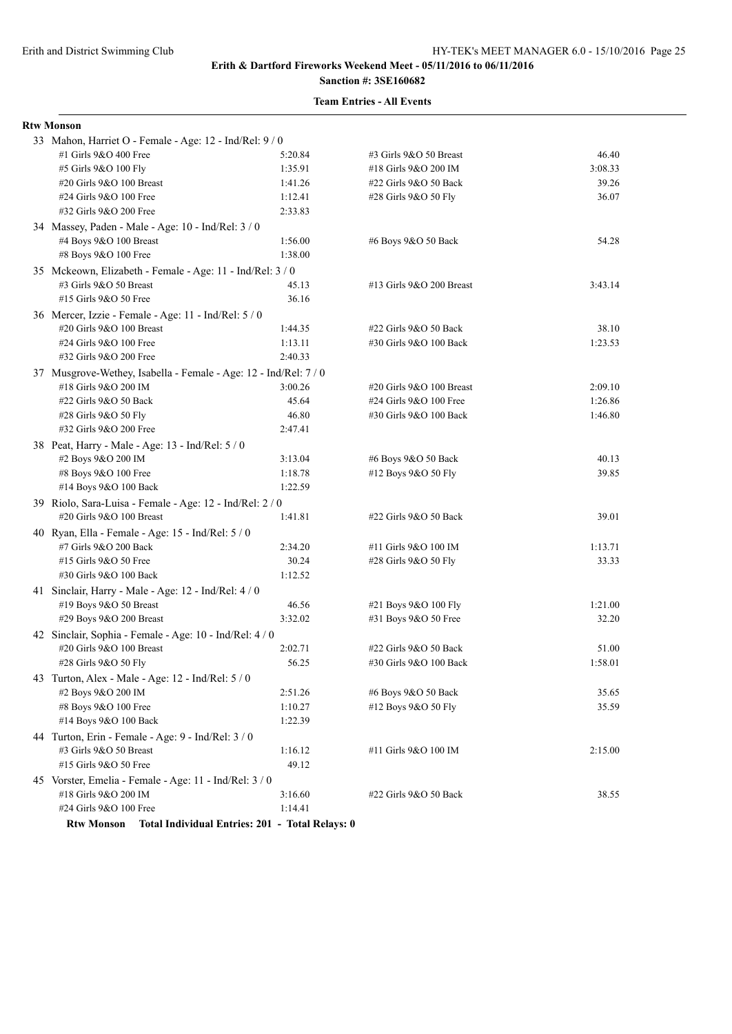# **Sanction #: 3SE160682**

| <b>Rtw Monson</b>                                                |                                                 |                          |         |  |  |
|------------------------------------------------------------------|-------------------------------------------------|--------------------------|---------|--|--|
| 33 Mahon, Harriet O - Female - Age: 12 - Ind/Rel: 9 / 0          |                                                 |                          |         |  |  |
| #1 Girls 9&O 400 Free                                            | 5:20.84                                         | #3 Girls 9&O 50 Breast   | 46.40   |  |  |
| #5 Girls 9&O 100 Fly                                             | 1:35.91                                         | #18 Girls 9&O 200 IM     | 3:08.33 |  |  |
| #20 Girls 9&O 100 Breast                                         | 1:41.26                                         | #22 Girls 9&O 50 Back    | 39.26   |  |  |
| #24 Girls 9&O 100 Free                                           | 1:12.41                                         | #28 Girls 9&O 50 Fly     | 36.07   |  |  |
| #32 Girls 9&O 200 Free                                           | 2:33.83                                         |                          |         |  |  |
| 34 Massey, Paden - Male - Age: 10 - Ind/Rel: 3 / 0               |                                                 |                          |         |  |  |
| #4 Boys 9&O 100 Breast                                           | 1:56.00                                         | #6 Boys 9&O 50 Back      | 54.28   |  |  |
| #8 Boys 9&O 100 Free                                             | 1:38.00                                         |                          |         |  |  |
| 35 Mckeown, Elizabeth - Female - Age: 11 - Ind/Rel: 3 / 0        |                                                 |                          |         |  |  |
| #3 Girls 9&O 50 Breast                                           | 45.13                                           | #13 Girls 9&O 200 Breast | 3:43.14 |  |  |
| #15 Girls 9&O 50 Free                                            | 36.16                                           |                          |         |  |  |
| 36 Mercer, Izzie - Female - Age: 11 - Ind/Rel: 5 / 0             |                                                 |                          |         |  |  |
| #20 Girls 9&O 100 Breast                                         | 1:44.35                                         | #22 Girls 9&O 50 Back    | 38.10   |  |  |
| #24 Girls 9&O 100 Free                                           | 1:13.11                                         | #30 Girls 9&O 100 Back   | 1:23.53 |  |  |
| #32 Girls 9&O 200 Free                                           | 2:40.33                                         |                          |         |  |  |
| 37 Musgrove-Wethey, Isabella - Female - Age: 12 - Ind/Rel: 7 / 0 |                                                 |                          |         |  |  |
| #18 Girls 9&O 200 IM                                             | 3:00.26                                         | #20 Girls 9&O 100 Breast | 2:09.10 |  |  |
| #22 Girls 9&O 50 Back                                            | 45.64                                           | #24 Girls 9&O 100 Free   | 1:26.86 |  |  |
| #28 Girls 9&O 50 Fly                                             | 46.80                                           | #30 Girls 9&O 100 Back   | 1:46.80 |  |  |
| #32 Girls 9&O 200 Free                                           | 2:47.41                                         |                          |         |  |  |
| 38 Peat, Harry - Male - Age: 13 - Ind/Rel: 5 / 0                 |                                                 |                          |         |  |  |
| #2 Boys 9&O 200 IM                                               | 3:13.04                                         | #6 Boys 9&O 50 Back      | 40.13   |  |  |
| #8 Boys 9&O 100 Free                                             | 1:18.78                                         | #12 Boys 9&O 50 Fly      | 39.85   |  |  |
| #14 Boys 9&O 100 Back                                            | 1:22.59                                         |                          |         |  |  |
| 39 Riolo, Sara-Luisa - Female - Age: 12 - Ind/Rel: 2 / 0         |                                                 |                          |         |  |  |
| #20 Girls 9&O 100 Breast                                         | 1:41.81                                         | #22 Girls 9&O 50 Back    | 39.01   |  |  |
| 40 Ryan, Ella - Female - Age: 15 - Ind/Rel: 5 / 0                |                                                 |                          |         |  |  |
| #7 Girls 9&O 200 Back                                            | 2:34.20                                         | #11 Girls 9&O 100 IM     | 1:13.71 |  |  |
| #15 Girls 9&O 50 Free                                            | 30.24                                           | #28 Girls 9&O 50 Fly     | 33.33   |  |  |
| #30 Girls 9&O 100 Back                                           | 1:12.52                                         |                          |         |  |  |
|                                                                  |                                                 |                          |         |  |  |
| 41 Sinclair, Harry - Male - Age: 12 - Ind/Rel: 4 / 0             | 46.56                                           |                          | 1:21.00 |  |  |
| #19 Boys 9&O 50 Breast                                           | 3:32.02                                         | #21 Boys 9&O 100 Fly     | 32.20   |  |  |
| #29 Boys 9&O 200 Breast                                          |                                                 | #31 Boys 9&O 50 Free     |         |  |  |
| 42 Sinclair, Sophia - Female - Age: 10 - Ind/Rel: 4 / 0          |                                                 |                          |         |  |  |
| #20 Girls 9&O 100 Breast                                         | 2:02.71                                         | #22 Girls 9&O 50 Back    | 51.00   |  |  |
| #28 Girls 9&O 50 Fly                                             | 56.25                                           | #30 Girls 9&O 100 Back   | 1:58.01 |  |  |
| 43 Turton, Alex - Male - Age: 12 - Ind/Rel: 5 / 0                |                                                 |                          |         |  |  |
| #2 Boys 9&O 200 IM                                               | 2:51.26                                         | #6 Boys 9&O 50 Back      | 35.65   |  |  |
| #8 Boys 9&O 100 Free                                             | 1:10.27                                         | #12 Boys 9&O 50 Fly      | 35.59   |  |  |
| #14 Boys 9&O 100 Back                                            | 1:22.39                                         |                          |         |  |  |
| 44 Turton, Erin - Female - Age: 9 - Ind/Rel: 3 / 0               |                                                 |                          |         |  |  |
| #3 Girls 9&O 50 Breast                                           | 1:16.12                                         | #11 Girls 9&O 100 IM     | 2:15.00 |  |  |
| #15 Girls 9&O 50 Free                                            | 49.12                                           |                          |         |  |  |
| 45 Vorster, Emelia - Female - Age: 11 - Ind/Rel: 3 / 0           |                                                 |                          |         |  |  |
| #18 Girls 9&O 200 IM                                             | 3:16.60                                         | #22 Girls 9&O 50 Back    | 38.55   |  |  |
| #24 Girls 9&O 100 Free                                           | 1:14.41                                         |                          |         |  |  |
| <b>Rtw Monson</b>                                                | Total Individual Entries: 201 - Total Relays: 0 |                          |         |  |  |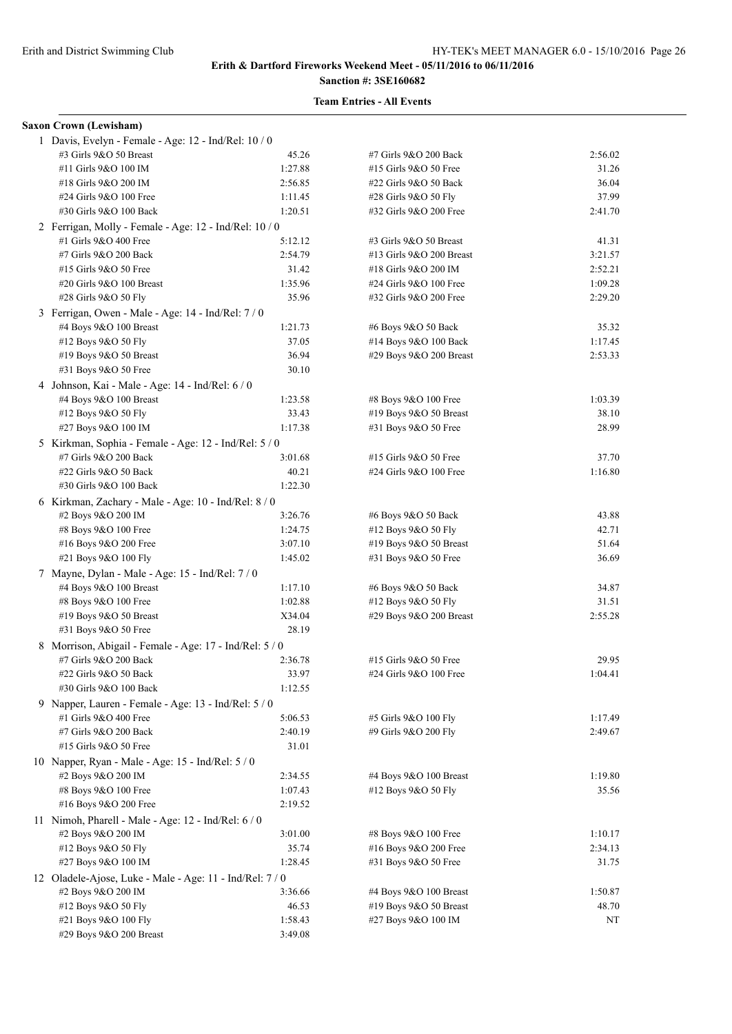# **Sanction #: 3SE160682**

| <b>Saxon Crown (Lewisham)</b>                           |         |                          |         |  |  |  |
|---------------------------------------------------------|---------|--------------------------|---------|--|--|--|
| 1 Davis, Evelyn - Female - Age: 12 - Ind/Rel: 10 / 0    |         |                          |         |  |  |  |
| #3 Girls 9&O 50 Breast                                  | 45.26   | #7 Girls 9&O 200 Back    | 2:56.02 |  |  |  |
| #11 Girls 9&O 100 IM                                    | 1:27.88 | #15 Girls 9&O 50 Free    | 31.26   |  |  |  |
| #18 Girls 9&O 200 IM                                    | 2:56.85 | #22 Girls 9&O 50 Back    | 36.04   |  |  |  |
| #24 Girls 9&O 100 Free                                  | 1:11.45 | #28 Girls 9&O 50 Fly     | 37.99   |  |  |  |
| #30 Girls 9&O 100 Back                                  | 1:20.51 | #32 Girls 9&O 200 Free   | 2:41.70 |  |  |  |
| 2 Ferrigan, Molly - Female - Age: 12 - Ind/Rel: 10 / 0  |         |                          |         |  |  |  |
| #1 Girls 9&O 400 Free                                   | 5:12.12 | #3 Girls 9&O 50 Breast   | 41.31   |  |  |  |
| #7 Girls 9&O 200 Back                                   | 2:54.79 | #13 Girls 9&O 200 Breast | 3:21.57 |  |  |  |
| #15 Girls 9&O 50 Free                                   | 31.42   | #18 Girls 9&O 200 IM     | 2:52.21 |  |  |  |
| #20 Girls 9&O 100 Breast                                | 1:35.96 | #24 Girls 9&O 100 Free   | 1:09.28 |  |  |  |
| #28 Girls 9&O 50 Fly                                    | 35.96   | #32 Girls 9&O 200 Free   | 2:29.20 |  |  |  |
| 3 Ferrigan, Owen - Male - Age: 14 - Ind/Rel: 7 / 0      |         |                          |         |  |  |  |
| #4 Boys 9&O 100 Breast                                  | 1:21.73 | #6 Boys 9&O 50 Back      | 35.32   |  |  |  |
| #12 Boys 9&O 50 Fly                                     | 37.05   | #14 Boys 9&O 100 Back    | 1:17.45 |  |  |  |
| #19 Boys 9&O 50 Breast                                  | 36.94   | #29 Boys 9&O 200 Breast  | 2:53.33 |  |  |  |
| #31 Boys 9&O 50 Free                                    | 30.10   |                          |         |  |  |  |
| 4 Johnson, Kai - Male - Age: 14 - Ind/Rel: 6 / 0        |         |                          |         |  |  |  |
| #4 Boys 9&O 100 Breast                                  | 1:23.58 | #8 Boys 9&O 100 Free     | 1:03.39 |  |  |  |
| #12 Boys 9&O 50 Fly                                     | 33.43   | #19 Boys 9&O 50 Breast   | 38.10   |  |  |  |
| #27 Boys 9&O 100 IM                                     | 1:17.38 | #31 Boys 9&O 50 Free     | 28.99   |  |  |  |
| 5 Kirkman, Sophia - Female - Age: 12 - Ind/Rel: 5 / 0   |         |                          |         |  |  |  |
| #7 Girls 9&O 200 Back                                   | 3:01.68 | #15 Girls 9&O 50 Free    | 37.70   |  |  |  |
| #22 Girls 9&O 50 Back                                   | 40.21   | #24 Girls 9&O 100 Free   | 1:16.80 |  |  |  |
| #30 Girls 9&O 100 Back                                  | 1:22.30 |                          |         |  |  |  |
| 6 Kirkman, Zachary - Male - Age: 10 - Ind/Rel: 8 / 0    |         |                          |         |  |  |  |
| #2 Boys 9&O 200 IM                                      | 3:26.76 | #6 Boys 9&O 50 Back      | 43.88   |  |  |  |
| #8 Boys 9&O 100 Free                                    | 1:24.75 | #12 Boys 9&O 50 Fly      | 42.71   |  |  |  |
| #16 Boys 9&O 200 Free                                   | 3:07.10 | #19 Boys $9&O 50$ Breast | 51.64   |  |  |  |
| #21 Boys 9&O 100 Fly                                    | 1:45.02 | #31 Boys 9&O 50 Free     | 36.69   |  |  |  |
| 7 Mayne, Dylan - Male - Age: 15 - Ind/Rel: 7/0          |         |                          |         |  |  |  |
| #4 Boys 9&O 100 Breast                                  | 1:17.10 | #6 Boys 9&O 50 Back      | 34.87   |  |  |  |
| #8 Boys 9&O 100 Free                                    | 1:02.88 | #12 Boys 9&O 50 Fly      | 31.51   |  |  |  |
| #19 Boys 9&O 50 Breast                                  | X34.04  | #29 Boys 9&O 200 Breast  | 2:55.28 |  |  |  |
| #31 Boys 9&O 50 Free                                    | 28.19   |                          |         |  |  |  |
| 8 Morrison, Abigail - Female - Age: 17 - Ind/Rel: 5 / 0 |         |                          |         |  |  |  |
| #7 Girls 9&O 200 Back                                   | 2:36.78 | #15 Girls 9&O 50 Free    | 29.95   |  |  |  |
| #22 Girls 9&O 50 Back                                   | 33.97   | #24 Girls 9&O 100 Free   | 1:04.41 |  |  |  |
| #30 Girls 9&O 100 Back                                  | 1:12.55 |                          |         |  |  |  |
| 9 Napper, Lauren - Female - Age: 13 - Ind/Rel: 5 / 0    |         |                          |         |  |  |  |
| #1 Girls 9&O 400 Free                                   | 5:06.53 | #5 Girls 9&O 100 Fly     | 1:17.49 |  |  |  |
| #7 Girls 9&O 200 Back                                   | 2:40.19 | #9 Girls 9&O 200 Fly     | 2:49.67 |  |  |  |
| #15 Girls 9&O 50 Free                                   | 31.01   |                          |         |  |  |  |
| 10 Napper, Ryan - Male - Age: $15$ - Ind/Rel: $5/0$     |         |                          |         |  |  |  |
| #2 Boys 9&O 200 IM                                      | 2:34.55 | #4 Boys 9&O 100 Breast   | 1:19.80 |  |  |  |
| #8 Boys 9&O 100 Free                                    | 1:07.43 | #12 Boys 9&O 50 Fly      | 35.56   |  |  |  |
| #16 Boys 9&O 200 Free                                   | 2:19.52 |                          |         |  |  |  |
| 11 Nimoh, Pharell - Male - Age: $12$ - Ind/Rel: $6/0$   |         |                          |         |  |  |  |
| #2 Boys 9&O 200 IM                                      | 3:01.00 | #8 Boys 9&O 100 Free     | 1:10.17 |  |  |  |
| #12 Boys 9&O 50 Fly                                     | 35.74   | #16 Boys 9&O 200 Free    | 2:34.13 |  |  |  |
| #27 Boys 9&O 100 IM                                     | 1:28.45 | #31 Boys 9&O 50 Free     | 31.75   |  |  |  |
| 12 Oladele-Ajose, Luke - Male - Age: 11 - Ind/Rel: 7/0  |         |                          |         |  |  |  |
| #2 Boys 9&O 200 IM                                      | 3:36.66 | #4 Boys 9&O 100 Breast   | 1:50.87 |  |  |  |
| #12 Boys 9&O 50 Fly                                     | 46.53   | #19 Boys 9&O 50 Breast   | 48.70   |  |  |  |
| #21 Boys 9&O 100 Fly                                    | 1:58.43 | #27 Boys 9&O 100 IM      | NT      |  |  |  |
| #29 Boys 9&O 200 Breast                                 | 3:49.08 |                          |         |  |  |  |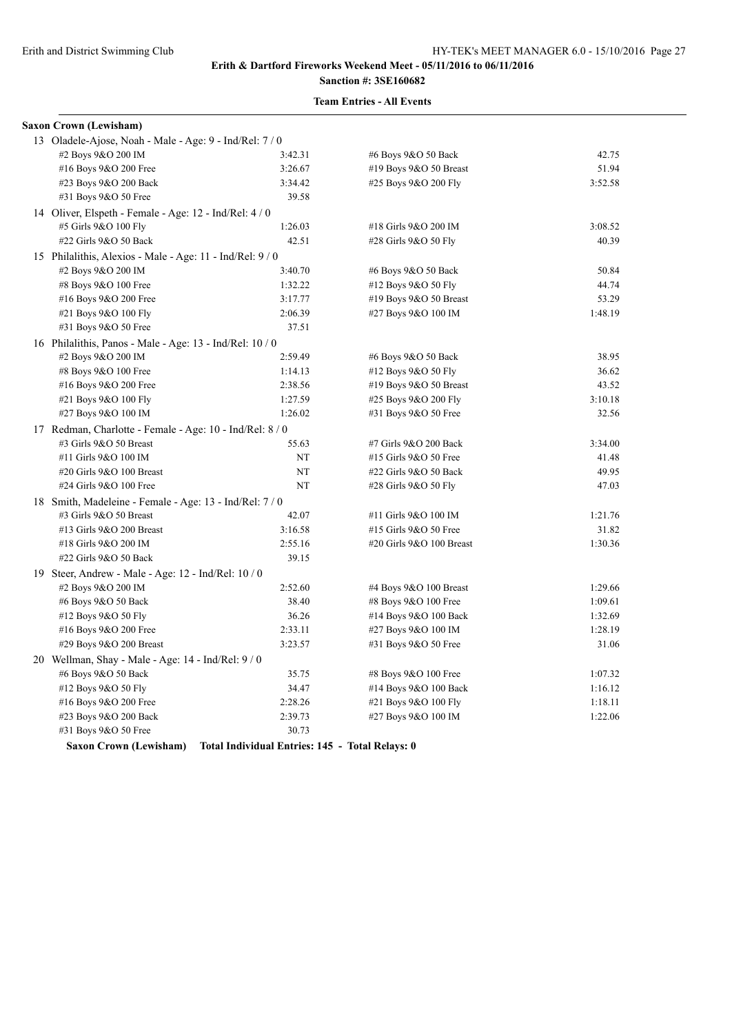# **Sanction #: 3SE160682**

## **Team Entries - All Events**

| #2 Boys 9&O 200 IM       | 3:42.31                | #6 Boys 9&O 50 Back                                                                                                                                                                                                                                                                                                                                                                                                                                                        | 42.75   |  |  |  |
|--------------------------|------------------------|----------------------------------------------------------------------------------------------------------------------------------------------------------------------------------------------------------------------------------------------------------------------------------------------------------------------------------------------------------------------------------------------------------------------------------------------------------------------------|---------|--|--|--|
| #16 Boys 9&O 200 Free    | 3:26.67                | #19 Boys 9&O 50 Breast                                                                                                                                                                                                                                                                                                                                                                                                                                                     | 51.94   |  |  |  |
| #23 Boys 9&O 200 Back    | 3:34.42                | #25 Boys 9&O 200 Fly                                                                                                                                                                                                                                                                                                                                                                                                                                                       | 3:52.58 |  |  |  |
| #31 Boys 9&O 50 Free     | 39.58                  |                                                                                                                                                                                                                                                                                                                                                                                                                                                                            |         |  |  |  |
|                          |                        |                                                                                                                                                                                                                                                                                                                                                                                                                                                                            |         |  |  |  |
| #5 Girls 9&O 100 Fly     | 1:26.03                | #18 Girls 9&O 200 IM                                                                                                                                                                                                                                                                                                                                                                                                                                                       | 3:08.52 |  |  |  |
| #22 Girls 9&O 50 Back    | 42.51                  | #28 Girls 9&O 50 Fly                                                                                                                                                                                                                                                                                                                                                                                                                                                       | 40.39   |  |  |  |
|                          |                        |                                                                                                                                                                                                                                                                                                                                                                                                                                                                            |         |  |  |  |
| #2 Boys 9&O 200 IM       | 3:40.70                | #6 Boys 9&O 50 Back                                                                                                                                                                                                                                                                                                                                                                                                                                                        | 50.84   |  |  |  |
| #8 Boys 9&O 100 Free     | 1:32.22                | #12 Boys 9&O 50 Fly                                                                                                                                                                                                                                                                                                                                                                                                                                                        | 44.74   |  |  |  |
| #16 Boys 9&O 200 Free    | 3:17.77                | #19 Boys 9&O 50 Breast                                                                                                                                                                                                                                                                                                                                                                                                                                                     | 53.29   |  |  |  |
| #21 Boys 9&O 100 Fly     | 2:06.39                | #27 Boys 9&O 100 IM                                                                                                                                                                                                                                                                                                                                                                                                                                                        | 1:48.19 |  |  |  |
| #31 Boys 9&O 50 Free     | 37.51                  |                                                                                                                                                                                                                                                                                                                                                                                                                                                                            |         |  |  |  |
|                          |                        |                                                                                                                                                                                                                                                                                                                                                                                                                                                                            |         |  |  |  |
| #2 Boys 9&O 200 IM       | 2:59.49                | #6 Boys 9&O 50 Back                                                                                                                                                                                                                                                                                                                                                                                                                                                        | 38.95   |  |  |  |
| #8 Boys 9&O 100 Free     | 1:14.13                | #12 Boys 9&O 50 Fly                                                                                                                                                                                                                                                                                                                                                                                                                                                        | 36.62   |  |  |  |
| #16 Boys 9&O 200 Free    | 2:38.56                | #19 Boys $9&O 50$ Breast                                                                                                                                                                                                                                                                                                                                                                                                                                                   | 43.52   |  |  |  |
| #21 Boys 9&O 100 Fly     | 1:27.59                | #25 Boys 9&O 200 Fly                                                                                                                                                                                                                                                                                                                                                                                                                                                       | 3:10.18 |  |  |  |
| #27 Boys 9&O 100 IM      | 1:26.02                | #31 Boys 9&O 50 Free                                                                                                                                                                                                                                                                                                                                                                                                                                                       | 32.56   |  |  |  |
|                          |                        |                                                                                                                                                                                                                                                                                                                                                                                                                                                                            |         |  |  |  |
| #3 Girls 9&O 50 Breast   | 55.63                  | #7 Girls 9&O 200 Back                                                                                                                                                                                                                                                                                                                                                                                                                                                      | 3:34.00 |  |  |  |
| #11 Girls 9&O 100 IM     | NT                     | #15 Girls 9&O 50 Free                                                                                                                                                                                                                                                                                                                                                                                                                                                      | 41.48   |  |  |  |
| #20 Girls 9&O 100 Breast | NT                     | #22 Girls 9&O 50 Back                                                                                                                                                                                                                                                                                                                                                                                                                                                      | 49.95   |  |  |  |
| #24 Girls 9&O 100 Free   | NT                     | #28 Girls 9&O 50 Fly                                                                                                                                                                                                                                                                                                                                                                                                                                                       | 47.03   |  |  |  |
|                          |                        |                                                                                                                                                                                                                                                                                                                                                                                                                                                                            |         |  |  |  |
| #3 Girls 9&O 50 Breast   | 42.07                  | #11 Girls 9&O 100 IM                                                                                                                                                                                                                                                                                                                                                                                                                                                       | 1:21.76 |  |  |  |
| #13 Girls 9&O 200 Breast | 3:16.58                | #15 Girls 9&O 50 Free                                                                                                                                                                                                                                                                                                                                                                                                                                                      | 31.82   |  |  |  |
| #18 Girls 9&O 200 IM     | 2:55.16                | #20 Girls 9&O 100 Breast                                                                                                                                                                                                                                                                                                                                                                                                                                                   | 1:30.36 |  |  |  |
| #22 Girls 9&O 50 Back    | 39.15                  |                                                                                                                                                                                                                                                                                                                                                                                                                                                                            |         |  |  |  |
|                          |                        |                                                                                                                                                                                                                                                                                                                                                                                                                                                                            |         |  |  |  |
| #2 Boys 9&O 200 IM       | 2:52.60                | #4 Boys 9&O 100 Breast                                                                                                                                                                                                                                                                                                                                                                                                                                                     | 1:29.66 |  |  |  |
| #6 Boys 9&O 50 Back      | 38.40                  | #8 Boys 9&O 100 Free                                                                                                                                                                                                                                                                                                                                                                                                                                                       | 1:09.61 |  |  |  |
| #12 Boys 9&O 50 Fly      | 36.26                  | #14 Boys 9&O 100 Back                                                                                                                                                                                                                                                                                                                                                                                                                                                      | 1:32.69 |  |  |  |
| #16 Boys 9&O 200 Free    | 2:33.11                | #27 Boys 9&O 100 IM                                                                                                                                                                                                                                                                                                                                                                                                                                                        | 1:28.19 |  |  |  |
| #29 Boys 9&O 200 Breast  | 3:23.57                | #31 Boys 9&O 50 Free                                                                                                                                                                                                                                                                                                                                                                                                                                                       | 31.06   |  |  |  |
|                          |                        |                                                                                                                                                                                                                                                                                                                                                                                                                                                                            |         |  |  |  |
| #6 Boys 9&O 50 Back      | 35.75                  | #8 Boys 9&O 100 Free                                                                                                                                                                                                                                                                                                                                                                                                                                                       | 1:07.32 |  |  |  |
| #12 Boys 9&O 50 Fly      | 34.47                  | #14 Boys 9&O 100 Back                                                                                                                                                                                                                                                                                                                                                                                                                                                      | 1:16.12 |  |  |  |
| #16 Boys 9&O 200 Free    | 2:28.26                | #21 Boys 9&O 100 Fly                                                                                                                                                                                                                                                                                                                                                                                                                                                       | 1:18.11 |  |  |  |
| #23 Boys 9&O 200 Back    | 2:39.73                | #27 Boys 9&O 100 IM                                                                                                                                                                                                                                                                                                                                                                                                                                                        | 1:22.06 |  |  |  |
| #31 Boys 9&O 50 Free     | 30.73                  |                                                                                                                                                                                                                                                                                                                                                                                                                                                                            |         |  |  |  |
|                          | Saxon Crown (Lewisham) | 13 Oladele-Ajose, Noah - Male - Age: 9 - Ind/Rel: 7/0<br>14 Oliver, Elspeth - Female - Age: $12$ - Ind/Rel: $4/0$<br>15 Philalithis, Alexios - Male - Age: 11 - Ind/Rel: 9/0<br>16 Philalithis, Panos - Male - Age: 13 - Ind/Rel: 10 / 0<br>17 Redman, Charlotte - Female - Age: 10 - Ind/Rel: 8/0<br>18 Smith, Madeleine - Female - Age: 13 - Ind/Rel: 7/0<br>19 Steer, Andrew - Male - Age: 12 - Ind/Rel: $10/0$<br>20 Wellman, Shay - Male - Age: $14$ - Ind/Rel: $9/0$ |         |  |  |  |

**Saxon Crown (Lewisham) Total Individual Entries: 145 - Total Relays: 0**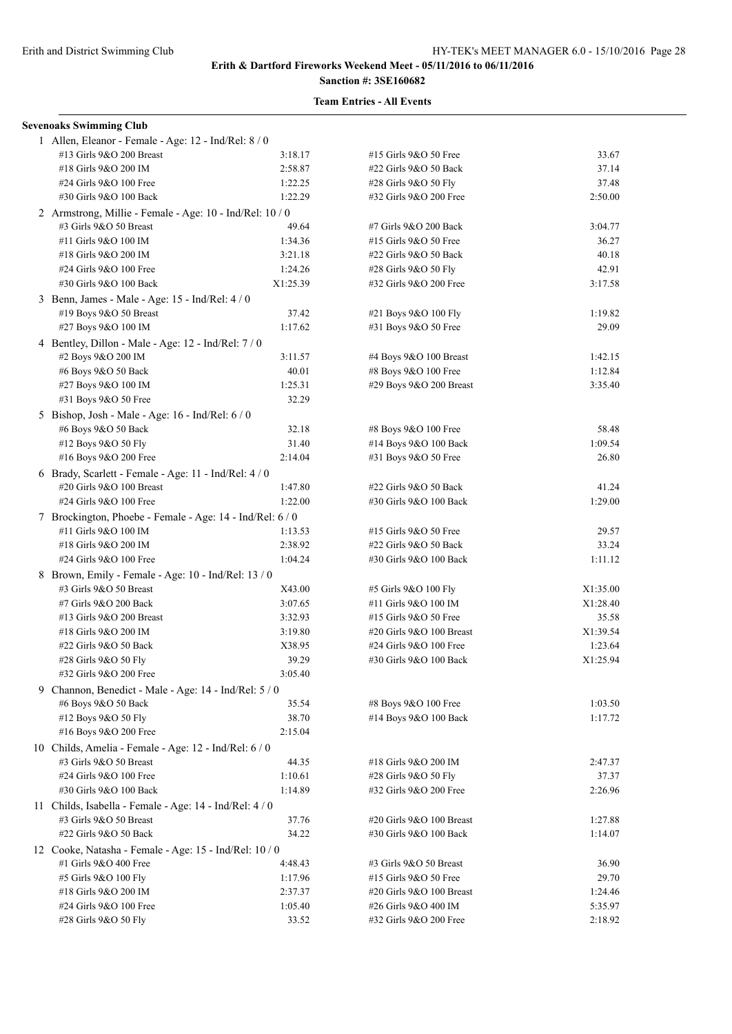# **Sanction #: 3SE160682**

| <b>Sevenoaks Swimming Club</b>                            |          |                          |          |  |  |
|-----------------------------------------------------------|----------|--------------------------|----------|--|--|
| 1 Allen, Eleanor - Female - Age: 12 - Ind/Rel: 8 / 0      |          |                          |          |  |  |
| #13 Girls 9&O 200 Breast                                  | 3:18.17  | #15 Girls 9&O 50 Free    | 33.67    |  |  |
| #18 Girls 9&O 200 IM                                      | 2:58.87  | #22 Girls 9&O 50 Back    | 37.14    |  |  |
| #24 Girls 9&O 100 Free                                    | 1:22.25  | #28 Girls 9&O 50 Fly     | 37.48    |  |  |
| #30 Girls 9&O 100 Back                                    | 1:22.29  | #32 Girls 9&O 200 Free   | 2:50.00  |  |  |
| 2 Armstrong, Millie - Female - Age: 10 - Ind/Rel: 10 / 0  |          |                          |          |  |  |
| #3 Girls 9&O 50 Breast                                    | 49.64    | #7 Girls 9&O 200 Back    | 3:04.77  |  |  |
| #11 Girls 9&O 100 IM                                      | 1:34.36  | #15 Girls 9&O 50 Free    | 36.27    |  |  |
| #18 Girls 9&O 200 IM                                      | 3:21.18  | #22 Girls 9&O 50 Back    | 40.18    |  |  |
| #24 Girls 9&O 100 Free                                    | 1:24.26  | #28 Girls 9&O 50 Fly     | 42.91    |  |  |
| #30 Girls 9&O 100 Back                                    | X1:25.39 | #32 Girls 9&O 200 Free   | 3:17.58  |  |  |
| 3 Benn, James - Male - Age: 15 - Ind/Rel: 4 / 0           |          |                          |          |  |  |
| #19 Boys 9&O 50 Breast                                    | 37.42    | #21 Boys 9&O 100 Fly     | 1:19.82  |  |  |
| #27 Boys 9&O 100 IM                                       | 1:17.62  | #31 Boys 9&O 50 Free     | 29.09    |  |  |
| 4 Bentley, Dillon - Male - Age: 12 - Ind/Rel: 7 / 0       |          |                          |          |  |  |
| #2 Boys 9&O 200 IM                                        | 3:11.57  | #4 Boys 9&O 100 Breast   | 1:42.15  |  |  |
| #6 Boys 9&O 50 Back                                       | 40.01    | #8 Boys 9&O 100 Free     | 1:12.84  |  |  |
| #27 Boys 9&O 100 IM                                       | 1:25.31  | #29 Boys 9&O 200 Breast  | 3:35.40  |  |  |
| #31 Boys 9&O 50 Free                                      | 32.29    |                          |          |  |  |
| 5 Bishop, Josh - Male - Age: 16 - Ind/Rel: 6 / 0          |          |                          |          |  |  |
| #6 Boys 9&O 50 Back                                       | 32.18    | #8 Boys 9&O 100 Free     | 58.48    |  |  |
| #12 Boys 9&O 50 Fly                                       | 31.40    | #14 Boys 9&O 100 Back    | 1:09.54  |  |  |
| #16 Boys 9&O 200 Free                                     | 2:14.04  | #31 Boys 9&O 50 Free     | 26.80    |  |  |
| 6 Brady, Scarlett - Female - Age: 11 - Ind/Rel: 4 / 0     |          |                          |          |  |  |
| #20 Girls 9&O 100 Breast                                  | 1:47.80  | #22 Girls 9&O 50 Back    | 41.24    |  |  |
| #24 Girls 9&O 100 Free                                    | 1:22.00  | #30 Girls 9&O 100 Back   | 1:29.00  |  |  |
| 7 Brockington, Phoebe - Female - Age: 14 - Ind/Rel: 6 / 0 |          |                          |          |  |  |
| #11 Girls 9&O 100 IM                                      | 1:13.53  | #15 Girls 9&O 50 Free    | 29.57    |  |  |
| #18 Girls 9&O 200 IM                                      | 2:38.92  | #22 Girls 9&O 50 Back    | 33.24    |  |  |
| #24 Girls 9&O 100 Free                                    | 1:04.24  | #30 Girls 9&O 100 Back   | 1:11.12  |  |  |
| 8 Brown, Emily - Female - Age: 10 - Ind/Rel: 13 / 0       |          |                          |          |  |  |
| #3 Girls 9&O 50 Breast                                    | X43.00   | #5 Girls 9&O 100 Fly     | X1:35.00 |  |  |
| #7 Girls 9&O 200 Back                                     | 3:07.65  | #11 Girls 9&O 100 IM     | X1:28.40 |  |  |
| #13 Girls 9&O 200 Breast                                  | 3:32.93  | #15 Girls 9&O 50 Free    | 35.58    |  |  |
| #18 Girls 9&O 200 IM                                      | 3:19.80  | #20 Girls 9&O 100 Breast | X1:39.54 |  |  |
| #22 Girls 9&O 50 Back                                     | X38.95   | #24 Girls 9&O 100 Free   | 1:23.64  |  |  |
| #28 Girls 9&O 50 Fly                                      | 39.29    | #30 Girls 9&O 100 Back   | X1:25.94 |  |  |
| #32 Girls 9&O 200 Free                                    | 3:05.40  |                          |          |  |  |
| 9 Channon, Benedict - Male - Age: 14 - Ind/Rel: 5 / 0     |          |                          |          |  |  |
| #6 Boys 9&O 50 Back                                       | 35.54    | #8 Boys 9&O 100 Free     | 1:03.50  |  |  |
| #12 Boys 9&O 50 Fly                                       | 38.70    | #14 Boys 9&O 100 Back    | 1:17.72  |  |  |
| #16 Boys 9&O 200 Free                                     | 2:15.04  |                          |          |  |  |
| 10 Childs, Amelia - Female - Age: 12 - Ind/Rel: 6 / 0     |          |                          |          |  |  |
| #3 Girls 9&O 50 Breast                                    | 44.35    | #18 Girls 9&O 200 IM     | 2:47.37  |  |  |
| #24 Girls 9&O 100 Free                                    | 1:10.61  | #28 Girls 9&O 50 Fly     | 37.37    |  |  |
| #30 Girls 9&O 100 Back                                    | 1:14.89  | #32 Girls 9&O 200 Free   | 2:26.96  |  |  |
| 11 Childs, Isabella - Female - Age: 14 - Ind/Rel: 4 / 0   |          |                          |          |  |  |
| #3 Girls 9&O 50 Breast                                    | 37.76    | #20 Girls 9&O 100 Breast | 1:27.88  |  |  |
| #22 Girls 9&O 50 Back                                     | 34.22    | #30 Girls 9&O 100 Back   | 1:14.07  |  |  |
| 12 Cooke, Natasha - Female - Age: 15 - Ind/Rel: 10 / 0    |          |                          |          |  |  |
| #1 Girls 9&O 400 Free                                     | 4:48.43  | #3 Girls 9&O 50 Breast   | 36.90    |  |  |
| #5 Girls 9&O 100 Fly                                      | 1:17.96  | #15 Girls 9&O 50 Free    | 29.70    |  |  |
| #18 Girls 9&O 200 IM                                      | 2:37.37  | #20 Girls 9&O 100 Breast | 1:24.46  |  |  |
| #24 Girls 9&O 100 Free                                    | 1:05.40  | #26 Girls 9&O 400 IM     | 5:35.97  |  |  |
| #28 Girls 9&O 50 Fly                                      | 33.52    | #32 Girls 9&O 200 Free   | 2:18.92  |  |  |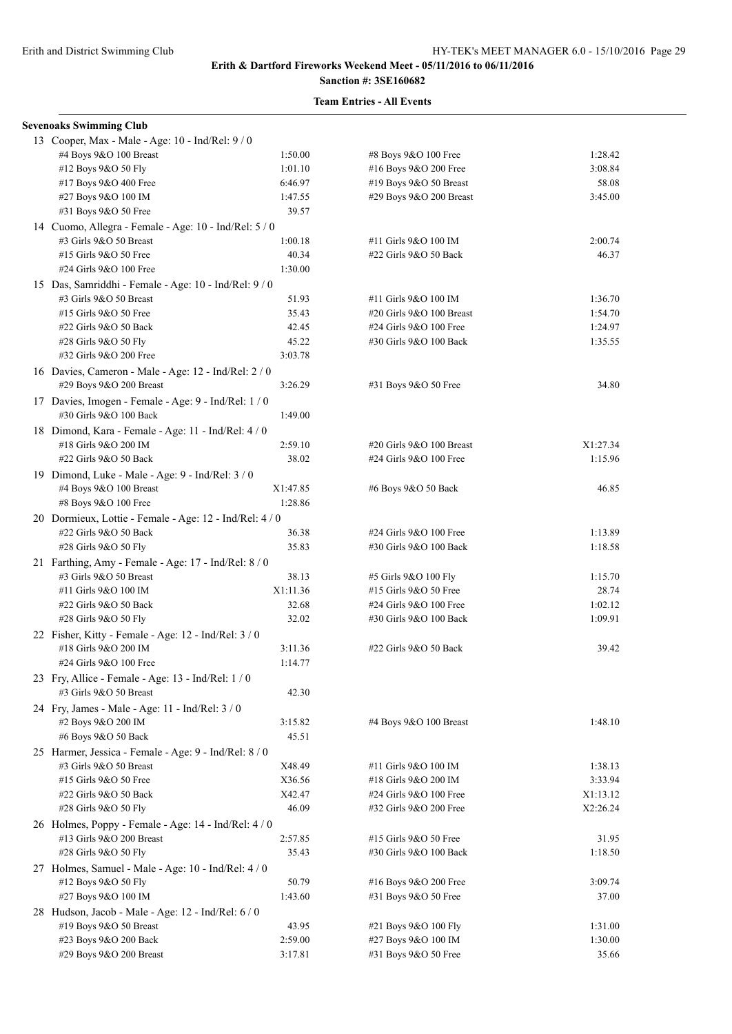# **Sanction #: 3SE160682**

| <b>Sevenoaks Swimming Club</b>                                        |          |                          |          |
|-----------------------------------------------------------------------|----------|--------------------------|----------|
| 13 Cooper, Max - Male - Age: 10 - Ind/Rel: 9/0                        |          |                          |          |
| #4 Boys 9&O 100 Breast                                                | 1:50.00  | #8 Boys 9&O 100 Free     | 1:28.42  |
| #12 Boys 9&O 50 Fly                                                   | 1:01.10  | #16 Boys 9&O 200 Free    | 3:08.84  |
| #17 Boys 9&O 400 Free                                                 | 6:46.97  | #19 Boys 9&O 50 Breast   | 58.08    |
| #27 Boys 9&O 100 IM                                                   | 1:47.55  | #29 Boys 9&O 200 Breast  | 3:45.00  |
| #31 Boys 9&O 50 Free                                                  | 39.57    |                          |          |
| 14 Cuomo, Allegra - Female - Age: 10 - Ind/Rel: 5 / 0                 |          |                          |          |
| #3 Girls 9&O 50 Breast                                                | 1:00.18  | #11 Girls 9&O 100 IM     | 2:00.74  |
| #15 Girls 9&O 50 Free                                                 | 40.34    | #22 Girls 9&O 50 Back    | 46.37    |
| #24 Girls 9&O 100 Free                                                | 1:30.00  |                          |          |
| 15 Das, Samriddhi - Female - Age: 10 - Ind/Rel: 9 / 0                 |          |                          |          |
| #3 Girls 9&O 50 Breast                                                | 51.93    | #11 Girls 9&O 100 IM     | 1:36.70  |
| #15 Girls 9&O 50 Free                                                 | 35.43    | #20 Girls 9&O 100 Breast | 1:54.70  |
| #22 Girls 9&O 50 Back                                                 | 42.45    | #24 Girls 9&O 100 Free   | 1:24.97  |
| #28 Girls 9&O 50 Fly                                                  | 45.22    | #30 Girls 9&O 100 Back   | 1:35.55  |
| #32 Girls 9&O 200 Free                                                | 3:03.78  |                          |          |
| 16 Davies, Cameron - Male - Age: 12 - Ind/Rel: 2 / 0                  |          |                          |          |
| #29 Boys 9&O 200 Breast                                               | 3:26.29  | #31 Boys 9&O 50 Free     | 34.80    |
| 17 Davies, Imogen - Female - Age: 9 - Ind/Rel: 1 / 0                  |          |                          |          |
| #30 Girls 9&O 100 Back                                                | 1:49.00  |                          |          |
|                                                                       |          |                          |          |
| 18 Dimond, Kara - Female - Age: 11 - Ind/Rel: 4 / 0                   |          |                          |          |
| #18 Girls 9&O 200 IM                                                  | 2:59.10  | #20 Girls 9&O 100 Breast | X1:27.34 |
| #22 Girls 9&O 50 Back                                                 | 38.02    | #24 Girls 9&O 100 Free   | 1:15.96  |
| 19 Dimond, Luke - Male - Age: 9 - Ind/Rel: 3 / 0                      |          |                          |          |
| #4 Boys 9&O 100 Breast                                                | X1:47.85 | #6 Boys 9&O 50 Back      | 46.85    |
| #8 Boys 9&O 100 Free                                                  | 1:28.86  |                          |          |
| 20 Dormieux, Lottie - Female - Age: 12 - Ind/Rel: 4 / 0               |          |                          |          |
| #22 Girls 9&O 50 Back                                                 | 36.38    | #24 Girls 9&O 100 Free   | 1:13.89  |
| #28 Girls 9&O 50 Fly                                                  | 35.83    | #30 Girls 9&O 100 Back   | 1:18.58  |
| 21 Farthing, Amy - Female - Age: 17 - Ind/Rel: 8 / 0                  |          |                          |          |
| #3 Girls 9&O 50 Breast                                                | 38.13    | #5 Girls 9&O 100 Fly     | 1:15.70  |
| #11 Girls 9&O 100 IM                                                  | X1:11.36 | #15 Girls 9&O 50 Free    | 28.74    |
| #22 Girls 9&O 50 Back                                                 | 32.68    | #24 Girls 9&O 100 Free   | 1:02.12  |
| #28 Girls 9&O 50 Fly                                                  | 32.02    | #30 Girls 9&O 100 Back   | 1:09.91  |
| 22 Fisher, Kitty - Female - Age: 12 - Ind/Rel: 3 / 0                  |          |                          |          |
| #18 Girls 9&O 200 IM                                                  | 3:11.36  | #22 Girls 9&O 50 Back    | 39.42    |
| #24 Girls 9&O 100 Free                                                | 1:14.77  |                          |          |
| 23 Fry, Allice - Female - Age: 13 - Ind/Rel: 1 / 0                    |          |                          |          |
| #3 Girls 9&O 50 Breast                                                | 42.30    |                          |          |
|                                                                       |          |                          |          |
| 24 Fry, James - Male - Age: 11 - Ind/Rel: 3 / 0<br>#2 Boys 9&O 200 IM | 3:15.82  | #4 Boys 9&O 100 Breast   | 1:48.10  |
| #6 Boys 9&O 50 Back                                                   | 45.51    |                          |          |
|                                                                       |          |                          |          |
| 25 Harmer, Jessica - Female - Age: 9 - Ind/Rel: 8 / 0                 |          |                          |          |
| #3 Girls 9&O 50 Breast                                                | X48.49   | #11 Girls 9&O 100 IM     | 1:38.13  |
| #15 Girls 9&O 50 Free                                                 | X36.56   | #18 Girls 9&O 200 IM     | 3:33.94  |
| #22 Girls 9&O 50 Back                                                 | X42.47   | #24 Girls 9&O 100 Free   | X1:13.12 |
| #28 Girls 9&O 50 Fly                                                  | 46.09    | #32 Girls 9&O 200 Free   | X2:26.24 |
| 26 Holmes, Poppy - Female - Age: 14 - Ind/Rel: 4 / 0                  |          |                          |          |
| #13 Girls 9&O 200 Breast                                              | 2:57.85  | #15 Girls 9&O 50 Free    | 31.95    |
| #28 Girls 9&O 50 Fly                                                  | 35.43    | #30 Girls 9&O 100 Back   | 1:18.50  |
| 27 Holmes, Samuel - Male - Age: 10 - Ind/Rel: 4 / 0                   |          |                          |          |
| #12 Boys 9&O 50 Fly                                                   | 50.79    | #16 Boys 9&O 200 Free    | 3:09.74  |
| #27 Boys 9&O 100 IM                                                   | 1:43.60  | #31 Boys 9&O 50 Free     | 37.00    |
| 28 Hudson, Jacob - Male - Age: 12 - Ind/Rel: 6 / 0                    |          |                          |          |
| #19 Boys 9&O 50 Breast                                                | 43.95    | #21 Boys 9&O 100 Fly     | 1:31.00  |
| #23 Boys 9&O 200 Back                                                 | 2:59.00  | #27 Boys 9&O 100 IM      | 1:30.00  |
| #29 Boys 9&O 200 Breast                                               | 3:17.81  | #31 Boys 9&O 50 Free     | 35.66    |
|                                                                       |          |                          |          |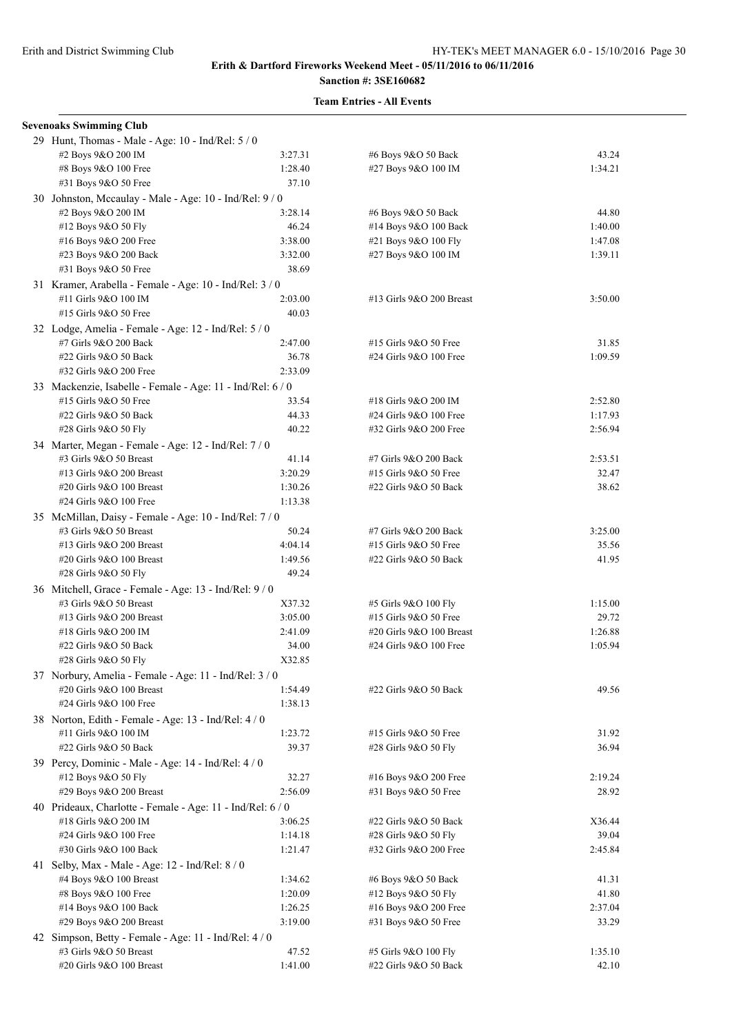| <b>Sevenoaks Swimming Club</b>                             |         |                          |         |  |  |
|------------------------------------------------------------|---------|--------------------------|---------|--|--|
| 29 Hunt, Thomas - Male - Age: 10 - Ind/Rel: 5 / 0          |         |                          |         |  |  |
| #2 Boys 9&O 200 IM                                         | 3:27.31 | #6 Boys 9&O 50 Back      | 43.24   |  |  |
| #8 Boys 9&O 100 Free                                       | 1:28.40 | #27 Boys 9&O 100 IM      | 1:34.21 |  |  |
| #31 Boys 9&O 50 Free                                       | 37.10   |                          |         |  |  |
| 30 Johnston, Mccaulay - Male - Age: 10 - Ind/Rel: 9/0      |         |                          |         |  |  |
| #2 Boys 9&O 200 IM                                         | 3:28.14 | #6 Boys 9&O 50 Back      | 44.80   |  |  |
| #12 Boys 9&O 50 Fly                                        | 46.24   | #14 Boys 9&O 100 Back    | 1:40.00 |  |  |
| #16 Boys 9&O 200 Free                                      | 3:38.00 | #21 Boys 9&O 100 Fly     | 1:47.08 |  |  |
| #23 Boys 9&O 200 Back                                      | 3:32.00 | #27 Boys 9&O 100 IM      | 1:39.11 |  |  |
| #31 Boys 9&O 50 Free                                       | 38.69   |                          |         |  |  |
| 31 Kramer, Arabella - Female - Age: 10 - Ind/Rel: 3 / 0    |         |                          |         |  |  |
| #11 Girls 9&O 100 IM                                       | 2:03.00 | #13 Girls 9&O 200 Breast | 3:50.00 |  |  |
| #15 Girls 9&O 50 Free                                      | 40.03   |                          |         |  |  |
|                                                            |         |                          |         |  |  |
| 32 Lodge, Amelia - Female - Age: 12 - Ind/Rel: 5 / 0       |         |                          |         |  |  |
| #7 Girls 9&O 200 Back                                      | 2:47.00 | #15 Girls 9&O 50 Free    | 31.85   |  |  |
| #22 Girls 9&O 50 Back                                      | 36.78   | #24 Girls 9&O 100 Free   | 1:09.59 |  |  |
| #32 Girls 9&O 200 Free                                     | 2:33.09 |                          |         |  |  |
| 33 Mackenzie, Isabelle - Female - Age: 11 - Ind/Rel: 6 / 0 |         |                          |         |  |  |
| #15 Girls 9&O 50 Free                                      | 33.54   | #18 Girls 9&O 200 IM     | 2:52.80 |  |  |
| #22 Girls 9&O 50 Back                                      | 44.33   | #24 Girls 9&O 100 Free   | 1:17.93 |  |  |
| #28 Girls 9&O 50 Fly                                       | 40.22   | #32 Girls 9&O 200 Free   | 2:56.94 |  |  |
| 34 Marter, Megan - Female - Age: 12 - Ind/Rel: 7 / 0       |         |                          |         |  |  |
| #3 Girls 9&O 50 Breast                                     | 41.14   | #7 Girls 9&O 200 Back    | 2:53.51 |  |  |
| #13 Girls 9&O 200 Breast                                   | 3:20.29 | #15 Girls 9&O 50 Free    | 32.47   |  |  |
| #20 Girls 9&O 100 Breast                                   | 1:30.26 | #22 Girls 9&O 50 Back    | 38.62   |  |  |
| #24 Girls 9&O 100 Free                                     | 1:13.38 |                          |         |  |  |
| 35 McMillan, Daisy - Female - Age: 10 - Ind/Rel: 7/0       |         |                          |         |  |  |
| #3 Girls 9&O 50 Breast                                     | 50.24   | #7 Girls 9&O 200 Back    | 3:25.00 |  |  |
| #13 Girls 9&O 200 Breast                                   | 4:04.14 | #15 Girls 9&O 50 Free    | 35.56   |  |  |
| #20 Girls 9&O 100 Breast                                   | 1:49.56 | #22 Girls 9&O 50 Back    | 41.95   |  |  |
| #28 Girls 9&O 50 Fly                                       | 49.24   |                          |         |  |  |
| 36 Mitchell, Grace - Female - Age: 13 - Ind/Rel: 9 / 0     |         |                          |         |  |  |
| #3 Girls 9&O 50 Breast                                     | X37.32  | #5 Girls 9&O 100 Fly     | 1:15.00 |  |  |
| #13 Girls 9&O 200 Breast                                   | 3:05.00 | #15 Girls 9&O 50 Free    | 29.72   |  |  |
| #18 Girls 9&O 200 IM                                       | 2:41.09 | #20 Girls 9&O 100 Breast | 1:26.88 |  |  |
| #22 Girls 9&O 50 Back                                      | 34.00   | #24 Girls 9&O 100 Free   | 1:05.94 |  |  |
| #28 Girls 9&O 50 Fly                                       | X32.85  |                          |         |  |  |
| 37 Norbury, Amelia - Female - Age: 11 - Ind/Rel: 3 / 0     |         |                          |         |  |  |
| #20 Girls 9&O 100 Breast                                   | 1:54.49 | #22 Girls 9&O 50 Back    | 49.56   |  |  |
| #24 Girls 9&O 100 Free                                     | 1:38.13 |                          |         |  |  |
| 38 Norton, Edith - Female - Age: 13 - Ind/Rel: 4/0         |         |                          |         |  |  |
| #11 Girls 9&O 100 IM                                       | 1:23.72 | #15 Girls 9&O 50 Free    | 31.92   |  |  |
| #22 Girls 9&O 50 Back                                      | 39.37   | #28 Girls 9&O 50 Fly     | 36.94   |  |  |
|                                                            |         |                          |         |  |  |
| 39 Percy, Dominic - Male - Age: 14 - Ind/Rel: 4 / 0        |         |                          |         |  |  |
| #12 Boys 9&O 50 Fly                                        | 32.27   | #16 Boys 9&O 200 Free    | 2:19.24 |  |  |
| #29 Boys 9&O 200 Breast                                    | 2:56.09 | #31 Boys 9&O 50 Free     | 28.92   |  |  |
| 40 Prideaux, Charlotte - Female - Age: 11 - Ind/Rel: 6 / 0 |         |                          |         |  |  |
| #18 Girls 9&O 200 IM                                       | 3:06.25 | #22 Girls 9&O 50 Back    | X36.44  |  |  |
| #24 Girls 9&O 100 Free                                     | 1:14.18 | #28 Girls 9&O 50 Fly     | 39.04   |  |  |
| #30 Girls 9&O 100 Back                                     | 1:21.47 | #32 Girls 9&O 200 Free   | 2:45.84 |  |  |
| 41 Selby, Max - Male - Age: $12$ - Ind/Rel: $8/0$          |         |                          |         |  |  |
| #4 Boys 9&O 100 Breast                                     | 1:34.62 | #6 Boys 9&O 50 Back      | 41.31   |  |  |
| #8 Boys 9&O 100 Free                                       | 1:20.09 | #12 Boys 9&O 50 Fly      | 41.80   |  |  |
| #14 Boys 9&O 100 Back                                      | 1:26.25 | #16 Boys 9&O 200 Free    | 2:37.04 |  |  |
| #29 Boys 9&O 200 Breast                                    | 3:19.00 | #31 Boys 9&O 50 Free     | 33.29   |  |  |
| 42 Simpson, Betty - Female - Age: 11 - Ind/Rel: 4 / 0      |         |                          |         |  |  |
| #3 Girls 9&O 50 Breast                                     | 47.52   | #5 Girls 9&O 100 Fly     | 1:35.10 |  |  |
| #20 Girls 9&O 100 Breast                                   | 1:41.00 | #22 Girls 9&O 50 Back    | 42.10   |  |  |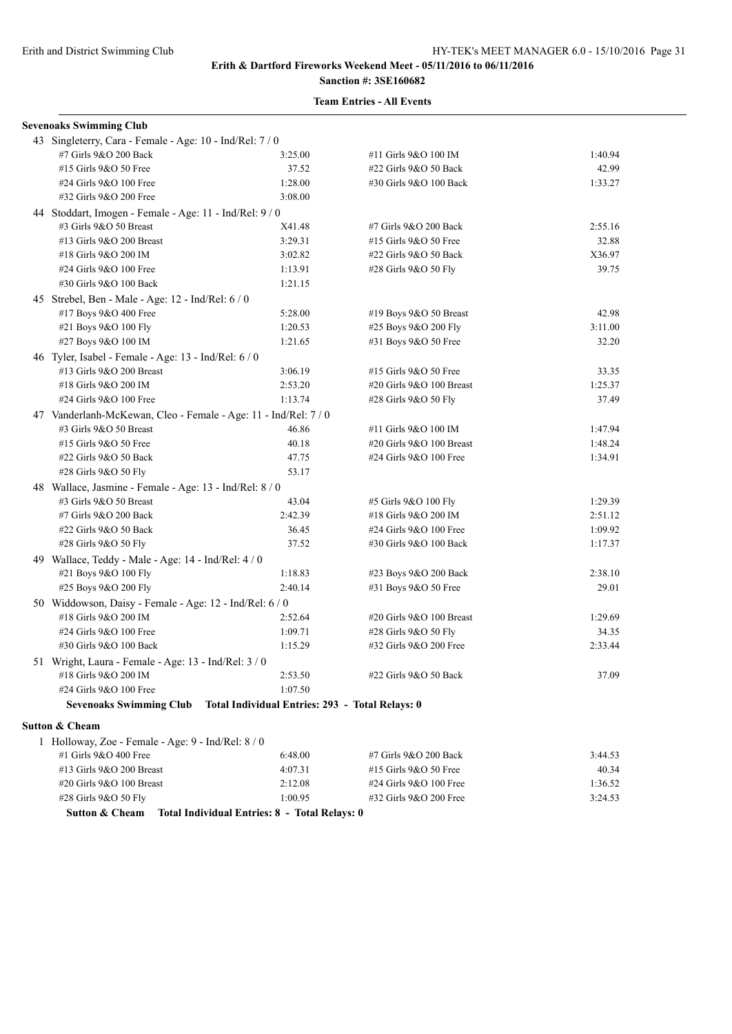# **Team Entries - All Events**

| <b>Sevenoaks Swimming Club</b>                                              |                                                 |                          |         |  |  |
|-----------------------------------------------------------------------------|-------------------------------------------------|--------------------------|---------|--|--|
| 43 Singleterry, Cara - Female - Age: 10 - Ind/Rel: 7 / 0                    |                                                 |                          |         |  |  |
| #7 Girls 9&O 200 Back                                                       | 3:25.00                                         | #11 Girls 9&O 100 IM     | 1:40.94 |  |  |
| #15 Girls 9&O 50 Free                                                       | 37.52                                           | #22 Girls 9&O 50 Back    | 42.99   |  |  |
| #24 Girls 9&O 100 Free                                                      | 1:28.00                                         | #30 Girls 9&O 100 Back   | 1:33.27 |  |  |
| #32 Girls 9&O 200 Free                                                      | 3:08.00                                         |                          |         |  |  |
| 44 Stoddart, Imogen - Female - Age: 11 - Ind/Rel: 9 / 0                     |                                                 |                          |         |  |  |
| #3 Girls 9&O 50 Breast                                                      | X41.48                                          | #7 Girls 9&O 200 Back    | 2:55.16 |  |  |
| #13 Girls 9&O 200 Breast                                                    | 3:29.31                                         | #15 Girls 9&O 50 Free    | 32.88   |  |  |
| #18 Girls 9&O 200 IM                                                        | 3:02.82                                         | #22 Girls 9&O 50 Back    | X36.97  |  |  |
| #24 Girls 9&O 100 Free                                                      | 1:13.91                                         | #28 Girls 9&O 50 Fly     | 39.75   |  |  |
| #30 Girls 9&O 100 Back                                                      | 1:21.15                                         |                          |         |  |  |
| 45 Strebel, Ben - Male - Age: 12 - Ind/Rel: 6 / 0                           |                                                 |                          |         |  |  |
| #17 Boys 9&O 400 Free                                                       | 5:28.00                                         | #19 Boys 9&O 50 Breast   | 42.98   |  |  |
| #21 Boys 9&O 100 Fly                                                        | 1:20.53                                         | #25 Boys 9&O 200 Fly     | 3:11.00 |  |  |
| #27 Boys 9&O 100 IM                                                         | 1:21.65                                         | #31 Boys 9&O 50 Free     | 32.20   |  |  |
| 46 Tyler, Isabel - Female - Age: 13 - Ind/Rel: 6 / 0                        |                                                 |                          |         |  |  |
| #13 Girls 9&O 200 Breast                                                    | 3:06.19                                         | #15 Girls 9&O 50 Free    | 33.35   |  |  |
| #18 Girls 9&O 200 IM                                                        | 2:53.20                                         | #20 Girls 9&O 100 Breast | 1:25.37 |  |  |
| #24 Girls 9&O 100 Free                                                      | 1:13.74                                         | #28 Girls 9&O 50 Fly     | 37.49   |  |  |
| 47 Vanderlanh-McKewan, Cleo - Female - Age: 11 - Ind/Rel: 7 / 0             |                                                 |                          |         |  |  |
| #3 Girls 9&O 50 Breast                                                      | 46.86                                           | #11 Girls 9&O 100 IM     | 1:47.94 |  |  |
| #15 Girls 9&O 50 Free                                                       | 40.18                                           | #20 Girls 9&O 100 Breast | 1:48.24 |  |  |
| #22 Girls 9&O 50 Back                                                       | 47.75                                           | #24 Girls 9&O 100 Free   | 1:34.91 |  |  |
| #28 Girls 9&O 50 Fly                                                        | 53.17                                           |                          |         |  |  |
| 48 Wallace, Jasmine - Female - Age: 13 - Ind/Rel: 8 / 0                     |                                                 |                          |         |  |  |
| #3 Girls 9&O 50 Breast                                                      | 43.04                                           | #5 Girls 9&O 100 Fly     | 1:29.39 |  |  |
| #7 Girls 9&O 200 Back                                                       | 2:42.39                                         | #18 Girls 9&O 200 IM     | 2:51.12 |  |  |
| #22 Girls 9&O 50 Back                                                       | 36.45                                           | #24 Girls 9&O 100 Free   | 1:09.92 |  |  |
| #28 Girls 9&O 50 Fly                                                        | 37.52                                           | #30 Girls 9&O 100 Back   | 1:17.37 |  |  |
| 49 Wallace, Teddy - Male - Age: 14 - Ind/Rel: 4 / 0                         |                                                 |                          |         |  |  |
| #21 Boys 9&O 100 Fly                                                        | 1:18.83                                         | #23 Boys 9&O 200 Back    | 2:38.10 |  |  |
| #25 Boys 9&O 200 Fly                                                        | 2:40.14                                         | #31 Boys 9&O 50 Free     | 29.01   |  |  |
| 50 Widdowson, Daisy - Female - Age: 12 - Ind/Rel: 6 / 0                     |                                                 |                          |         |  |  |
| #18 Girls 9&O 200 IM                                                        | 2:52.64                                         | #20 Girls 9&O 100 Breast | 1:29.69 |  |  |
| #24 Girls 9&O 100 Free                                                      | 1:09.71                                         | #28 Girls 9&O 50 Fly     | 34.35   |  |  |
| #30 Girls 9&O 100 Back                                                      | 1:15.29                                         | #32 Girls 9&O 200 Free   | 2:33.44 |  |  |
| 51 Wright, Laura - Female - Age: 13 - Ind/Rel: 3 / 0                        |                                                 |                          |         |  |  |
| #18 Girls 9&O 200 IM                                                        | 2:53.50                                         | #22 Girls 9&O 50 Back    | 37.09   |  |  |
| #24 Girls 9&O 100 Free                                                      | 1:07.50                                         |                          |         |  |  |
| <b>Sevenoaks Swimming Club</b>                                              | Total Individual Entries: 293 - Total Relays: 0 |                          |         |  |  |
|                                                                             |                                                 |                          |         |  |  |
| Sutton & Cheam                                                              |                                                 |                          |         |  |  |
| 1 Holloway, Zoe - Female - Age: 9 - Ind/Rel: 8 / 0<br>#1 Girls 9&O 400 Free | 6:48.00                                         | #7 Girls 9&O 200 Back    | 3:44.53 |  |  |
| #13 Girls 9&O 200 Breast                                                    | 4:07.31                                         | #15 Girls 9&O 50 Free    | 40.34   |  |  |
| #20 Girls 9&O 100 Breast                                                    | 2:12.08                                         | #24 Girls 9&O 100 Free   | 1:36.52 |  |  |
|                                                                             |                                                 |                          |         |  |  |

#28 Girls 9&O 50 Fly 1:00.95 #32 Girls 9&O 200 Free 3:24.53 **Sutton & Cheam Total Individual Entries: 8 - Total Relays: 0**